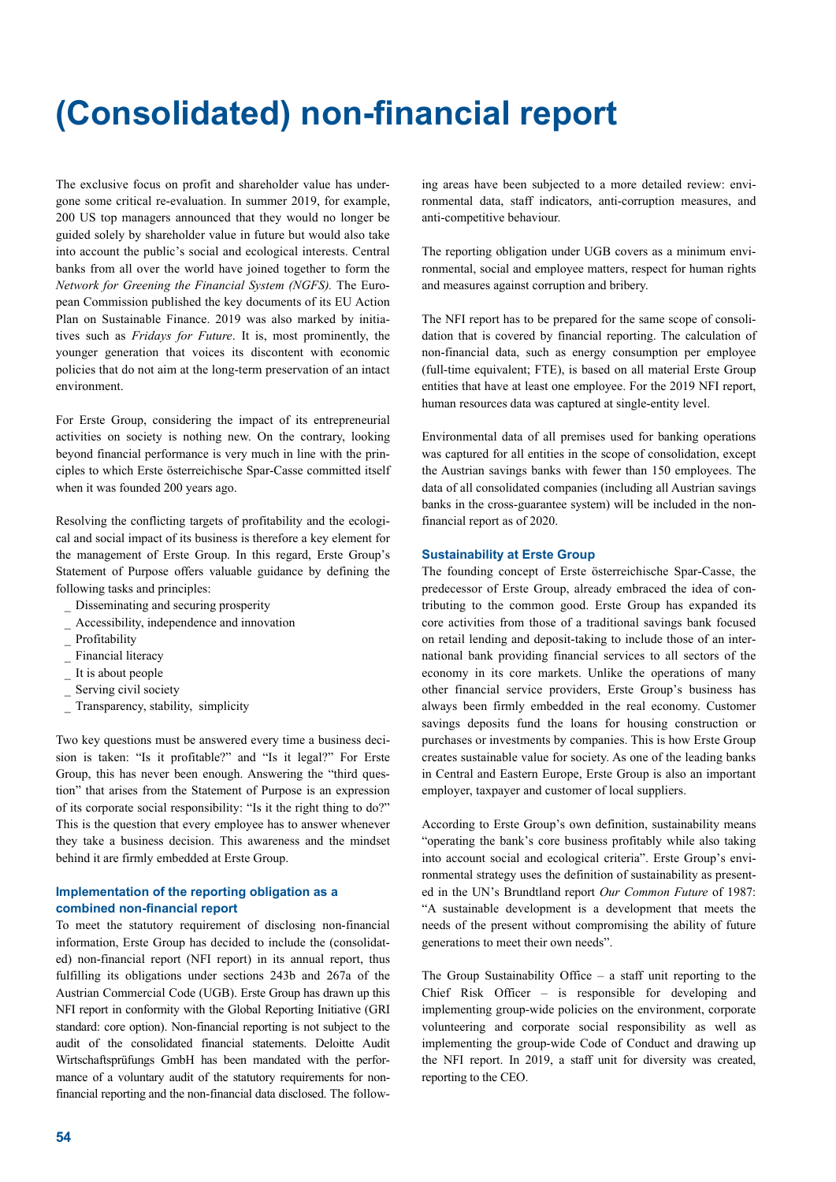# **(Consolidated) non-financial report**

The exclusive focus on profit and shareholder value has undergone some critical re-evaluation. In summer 2019, for example, 200 US top managers announced that they would no longer be guided solely by shareholder value in future but would also take into account the public's social and ecological interests. Central banks from all over the world have joined together to form the *Network for Greening the Financial System (NGFS).* The European Commission published the key documents of its EU Action Plan on Sustainable Finance. 2019 was also marked by initiatives such as *Fridays for Future*. It is, most prominently, the younger generation that voices its discontent with economic policies that do not aim at the long-term preservation of an intact environment.

For Erste Group, considering the impact of its entrepreneurial activities on society is nothing new. On the contrary, looking beyond financial performance is very much in line with the principles to which Erste österreichische Spar-Casse committed itself when it was founded 200 years ago.

Resolving the conflicting targets of profitability and the ecological and social impact of its business is therefore a key element for the management of Erste Group. In this regard, Erste Group's Statement of Purpose offers valuable guidance by defining the following tasks and principles:

- \_ Disseminating and securing prosperity
- \_ Accessibility, independence and innovation
- Profitability
- Financial literacy
- It is about people
- Serving civil society
- Transparency, stability, simplicity

Two key questions must be answered every time a business decision is taken: "Is it profitable?" and "Is it legal?" For Erste Group, this has never been enough. Answering the "third question" that arises from the Statement of Purpose is an expression of its corporate social responsibility: "Is it the right thing to do?" This is the question that every employee has to answer whenever they take a business decision. This awareness and the mindset behind it are firmly embedded at Erste Group.

## **Implementation of the reporting obligation as a combined non-financial report**

To meet the statutory requirement of disclosing non-financial information, Erste Group has decided to include the (consolidated) non-financial report (NFI report) in its annual report, thus fulfilling its obligations under sections 243b and 267a of the Austrian Commercial Code (UGB). Erste Group has drawn up this NFI report in conformity with the Global Reporting Initiative (GRI standard: core option). Non-financial reporting is not subject to the audit of the consolidated financial statements. Deloitte Audit Wirtschaftsprüfungs GmbH has been mandated with the performance of a voluntary audit of the statutory requirements for nonfinancial reporting and the non-financial data disclosed. The follow-

ing areas have been subjected to a more detailed review: environmental data, staff indicators, anti-corruption measures, and anti-competitive behaviour.

The reporting obligation under UGB covers as a minimum environmental, social and employee matters, respect for human rights and measures against corruption and bribery.

The NFI report has to be prepared for the same scope of consolidation that is covered by financial reporting. The calculation of non-financial data, such as energy consumption per employee (full-time equivalent; FTE), is based on all material Erste Group entities that have at least one employee. For the 2019 NFI report, human resources data was captured at single-entity level.

Environmental data of all premises used for banking operations was captured for all entities in the scope of consolidation, except the Austrian savings banks with fewer than 150 employees. The data of all consolidated companies (including all Austrian savings banks in the cross-guarantee system) will be included in the nonfinancial report as of 2020.

#### **Sustainability at Erste Group**

The founding concept of Erste österreichische Spar-Casse, the predecessor of Erste Group, already embraced the idea of contributing to the common good. Erste Group has expanded its core activities from those of a traditional savings bank focused on retail lending and deposit-taking to include those of an international bank providing financial services to all sectors of the economy in its core markets. Unlike the operations of many other financial service providers, Erste Group's business has always been firmly embedded in the real economy. Customer savings deposits fund the loans for housing construction or purchases or investments by companies. This is how Erste Group creates sustainable value for society. As one of the leading banks in Central and Eastern Europe, Erste Group is also an important employer, taxpayer and customer of local suppliers.

According to Erste Group's own definition, sustainability means "operating the bank's core business profitably while also taking into account social and ecological criteria". Erste Group's environmental strategy uses the definition of sustainability as presented in the UN's Brundtland report *Our Common Future* of 1987: "A sustainable development is a development that meets the needs of the present without compromising the ability of future generations to meet their own needs".

The Group Sustainability Office – a staff unit reporting to the Chief Risk Officer – is responsible for developing and implementing group-wide policies on the environment, corporate volunteering and corporate social responsibility as well as implementing the group-wide Code of Conduct and drawing up the NFI report. In 2019, a staff unit for diversity was created, reporting to the CEO.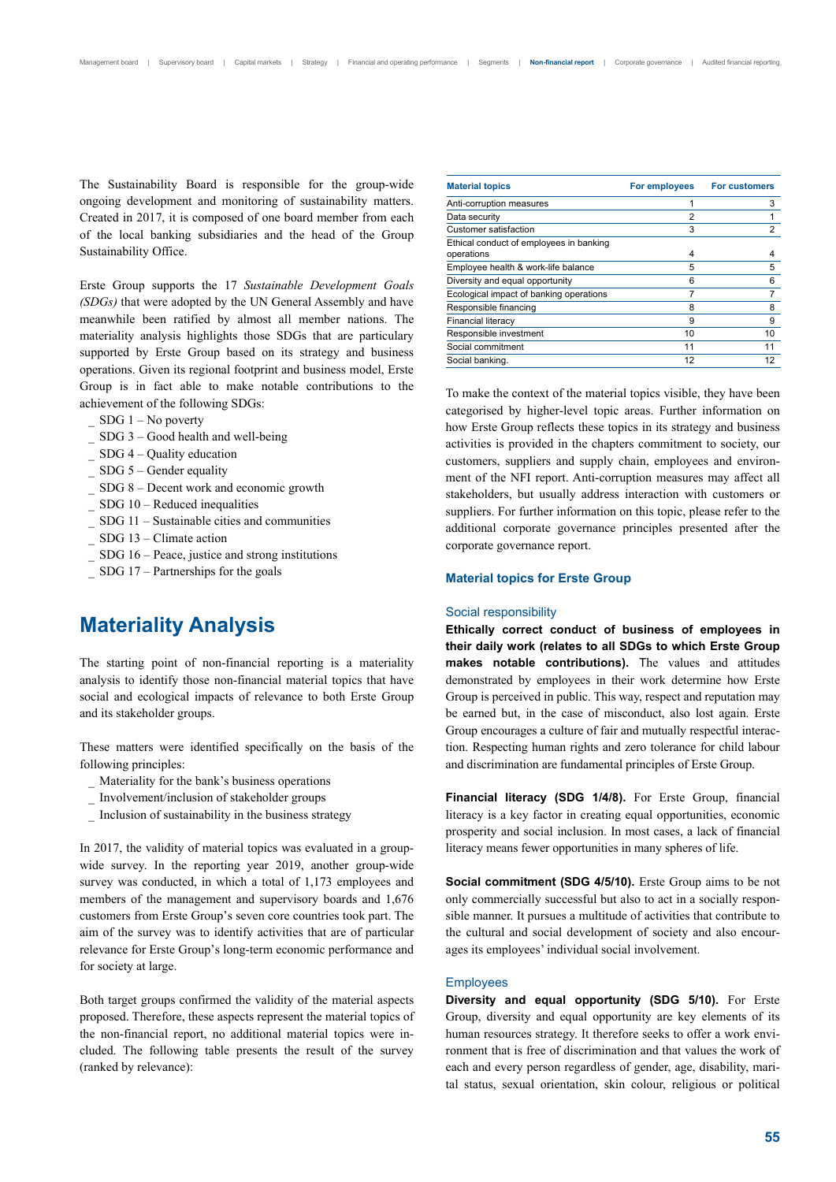The Sustainability Board is responsible for the group-wide ongoing development and monitoring of sustainability matters. Created in 2017, it is composed of one board member from each of the local banking subsidiaries and the head of the Group Sustainability Office.

Erste Group supports the 17 *Sustainable Development Goals (SDGs)* that were adopted by the UN General Assembly and have meanwhile been ratified by almost all member nations. The materiality analysis highlights those SDGs that are particulary supported by Erste Group based on its strategy and business operations. Given its regional footprint and business model, Erste Group is in fact able to make notable contributions to the achievement of the following SDGs:

- $\_$  SDG 1 No poverty
- $SDG$  3 Good health and well-being
- \_ SDG 4 Quality education
- $SDG$  5 Gender equality
- \_ SDG 8 Decent work and economic growth
- $SDG$  10 Reduced inequalities
- \_ SDG 11 Sustainable cities and communities
- \_ SDG 13 Climate action
- $SDG 16$  Peace, justice and strong institutions
- \_ SDG 17 Partnerships for the goals

# **Materiality Analysis**

The starting point of non-financial reporting is a materiality analysis to identify those non-financial material topics that have social and ecological impacts of relevance to both Erste Group and its stakeholder groups.

These matters were identified specifically on the basis of the following principles:

- \_ Materiality for the bank's business operations
- \_ Involvement/inclusion of stakeholder groups
- \_ Inclusion of sustainability in the business strategy

In 2017, the validity of material topics was evaluated in a groupwide survey. In the reporting year 2019, another group-wide survey was conducted, in which a total of 1,173 employees and members of the management and supervisory boards and 1,676 customers from Erste Group's seven core countries took part. The aim of the survey was to identify activities that are of particular relevance for Erste Group's long-term economic performance and for society at large.

Both target groups confirmed the validity of the material aspects proposed. Therefore, these aspects represent the material topics of the non-financial report, no additional material topics were included. The following table presents the result of the survey (ranked by relevance):

| For employees  | <b>For customers</b> |
|----------------|----------------------|
| 1              | 3                    |
| $\overline{2}$ |                      |
| 3              | 2                    |
|                |                      |
| 4              | 4                    |
| 5              | 5                    |
| 6              | 6                    |
|                |                      |
| 8              | 8                    |
| 9              | 9                    |
| 10             | 10                   |
| 11             | 11                   |
| 12             | 12                   |
|                |                      |

To make the context of the material topics visible, they have been categorised by higher-level topic areas. Further information on how Erste Group reflects these topics in its strategy and business activities is provided in the chapters commitment to society, our customers, suppliers and supply chain, employees and environment of the NFI report. Anti-corruption measures may affect all stakeholders, but usually address interaction with customers or suppliers. For further information on this topic, please refer to the additional corporate governance principles presented after the corporate governance report.

## **Material topics for Erste Group**

#### Social responsibility

**Ethically correct conduct of business of employees in their daily work (relates to all SDGs to which Erste Group makes notable contributions).** The values and attitudes demonstrated by employees in their work determine how Erste Group is perceived in public. This way, respect and reputation may be earned but, in the case of misconduct, also lost again. Erste Group encourages a culture of fair and mutually respectful interaction. Respecting human rights and zero tolerance for child labour and discrimination are fundamental principles of Erste Group.

**Financial literacy (SDG 1/4/8).** For Erste Group, financial literacy is a key factor in creating equal opportunities, economic prosperity and social inclusion. In most cases, a lack of financial literacy means fewer opportunities in many spheres of life.

**Social commitment (SDG 4/5/10).** Erste Group aims to be not only commercially successful but also to act in a socially responsible manner. It pursues a multitude of activities that contribute to the cultural and social development of society and also encourages its employees' individual social involvement.

#### **Employees**

**Diversity and equal opportunity (SDG 5/10).** For Erste Group, diversity and equal opportunity are key elements of its human resources strategy. It therefore seeks to offer a work environment that is free of discrimination and that values the work of each and every person regardless of gender, age, disability, marital status, sexual orientation, skin colour, religious or political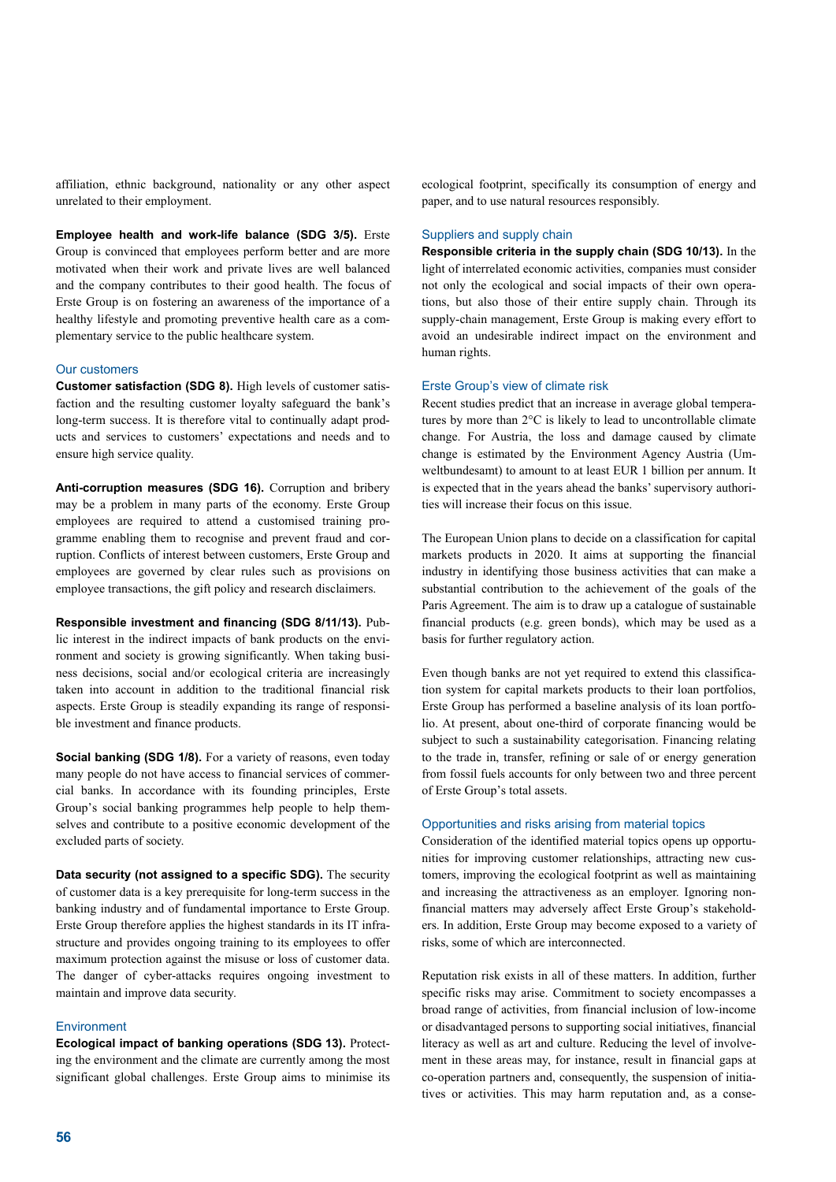affiliation, ethnic background, nationality or any other aspect unrelated to their employment.

**Employee health and work-life balance (SDG 3/5).** Erste Group is convinced that employees perform better and are more motivated when their work and private lives are well balanced and the company contributes to their good health. The focus of Erste Group is on fostering an awareness of the importance of a healthy lifestyle and promoting preventive health care as a complementary service to the public healthcare system.

#### Our customers

**Customer satisfaction (SDG 8).** High levels of customer satisfaction and the resulting customer loyalty safeguard the bank's long-term success. It is therefore vital to continually adapt products and services to customers' expectations and needs and to ensure high service quality.

**Anti-corruption measures (SDG 16).** Corruption and bribery may be a problem in many parts of the economy. Erste Group employees are required to attend a customised training programme enabling them to recognise and prevent fraud and corruption. Conflicts of interest between customers, Erste Group and employees are governed by clear rules such as provisions on employee transactions, the gift policy and research disclaimers.

**Responsible investment and financing (SDG 8/11/13).** Public interest in the indirect impacts of bank products on the environment and society is growing significantly. When taking business decisions, social and/or ecological criteria are increasingly taken into account in addition to the traditional financial risk aspects. Erste Group is steadily expanding its range of responsible investment and finance products.

**Social banking (SDG 1/8).** For a variety of reasons, even today many people do not have access to financial services of commercial banks. In accordance with its founding principles, Erste Group's social banking programmes help people to help themselves and contribute to a positive economic development of the excluded parts of society.

**Data security (not assigned to a specific SDG).** The security of customer data is a key prerequisite for long-term success in the banking industry and of fundamental importance to Erste Group. Erste Group therefore applies the highest standards in its IT infrastructure and provides ongoing training to its employees to offer maximum protection against the misuse or loss of customer data. The danger of cyber-attacks requires ongoing investment to maintain and improve data security.

#### Environment

**Ecological impact of banking operations (SDG 13).** Protecting the environment and the climate are currently among the most significant global challenges. Erste Group aims to minimise its ecological footprint, specifically its consumption of energy and paper, and to use natural resources responsibly.

## Suppliers and supply chain

**Responsible criteria in the supply chain (SDG 10/13).** In the light of interrelated economic activities, companies must consider not only the ecological and social impacts of their own operations, but also those of their entire supply chain. Through its supply-chain management, Erste Group is making every effort to avoid an undesirable indirect impact on the environment and human rights.

## Erste Group's view of climate risk

Recent studies predict that an increase in average global temperatures by more than 2°C is likely to lead to uncontrollable climate change. For Austria, the loss and damage caused by climate change is estimated by the Environment Agency Austria (Umweltbundesamt) to amount to at least EUR 1 billion per annum. It is expected that in the years ahead the banks' supervisory authorities will increase their focus on this issue.

The European Union plans to decide on a classification for capital markets products in 2020. It aims at supporting the financial industry in identifying those business activities that can make a substantial contribution to the achievement of the goals of the Paris Agreement. The aim is to draw up a catalogue of sustainable financial products (e.g. green bonds), which may be used as a basis for further regulatory action.

Even though banks are not yet required to extend this classification system for capital markets products to their loan portfolios, Erste Group has performed a baseline analysis of its loan portfolio. At present, about one-third of corporate financing would be subject to such a sustainability categorisation. Financing relating to the trade in, transfer, refining or sale of or energy generation from fossil fuels accounts for only between two and three percent of Erste Group's total assets.

#### Opportunities and risks arising from material topics

Consideration of the identified material topics opens up opportunities for improving customer relationships, attracting new customers, improving the ecological footprint as well as maintaining and increasing the attractiveness as an employer. Ignoring nonfinancial matters may adversely affect Erste Group's stakeholders. In addition, Erste Group may become exposed to a variety of risks, some of which are interconnected.

Reputation risk exists in all of these matters. In addition, further specific risks may arise. Commitment to society encompasses a broad range of activities, from financial inclusion of low-income or disadvantaged persons to supporting social initiatives, financial literacy as well as art and culture. Reducing the level of involvement in these areas may, for instance, result in financial gaps at co-operation partners and, consequently, the suspension of initiatives or activities. This may harm reputation and, as a conse-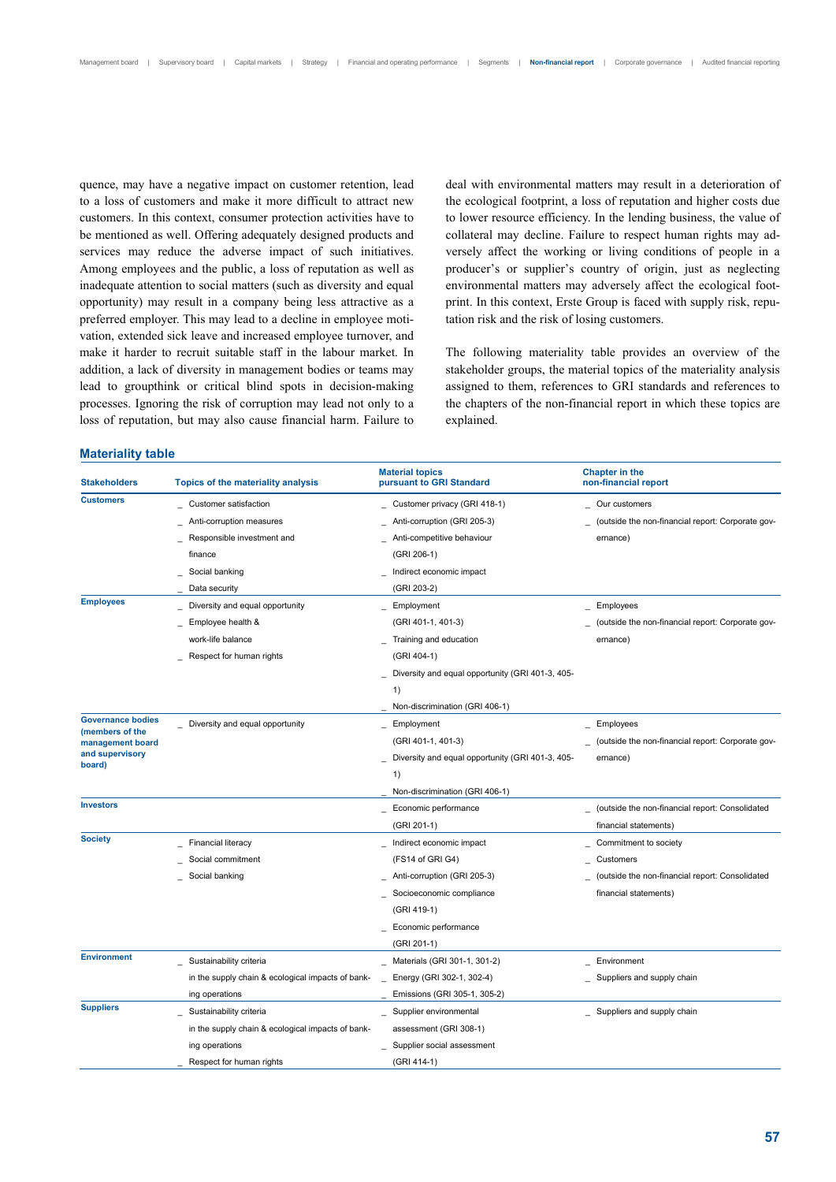quence, may have a negative impact on customer retention, lead to a loss of customers and make it more difficult to attract new customers. In this context, consumer protection activities have to be mentioned as well. Offering adequately designed products and services may reduce the adverse impact of such initiatives. Among employees and the public, a loss of reputation as well as inadequate attention to social matters (such as diversity and equal opportunity) may result in a company being less attractive as a preferred employer. This may lead to a decline in employee motivation, extended sick leave and increased employee turnover, and make it harder to recruit suitable staff in the labour market. In addition, a lack of diversity in management bodies or teams may lead to groupthink or critical blind spots in decision-making processes. Ignoring the risk of corruption may lead not only to a loss of reputation, but may also cause financial harm. Failure to

# **Materiality table**

deal with environmental matters may result in a deterioration of the ecological footprint, a loss of reputation and higher costs due to lower resource efficiency. In the lending business, the value of collateral may decline. Failure to respect human rights may adversely affect the working or living conditions of people in a producer's or supplier's country of origin, just as neglecting environmental matters may adversely affect the ecological footprint. In this context, Erste Group is faced with supply risk, reputation risk and the risk of losing customers.

The following materiality table provides an overview of the stakeholder groups, the material topics of the materiality analysis assigned to them, references to GRI standards and references to the chapters of the non-financial report in which these topics are explained.

| <b>Stakeholders</b><br><b>Topics of the materiality analysis</b><br>pursuant to GRI Standard | non-financial report                              |
|----------------------------------------------------------------------------------------------|---------------------------------------------------|
| <b>Customers</b><br>Customer satisfaction<br>Customer privacy (GRI 418-1)                    | Our customers                                     |
| Anti-corruption measures<br>Anti-corruption (GRI 205-3)                                      | (outside the non-financial report: Corporate gov- |
| Responsible investment and<br>Anti-competitive behaviour                                     | ernance)                                          |
| finance<br>(GRI 206-1)                                                                       |                                                   |
| Social banking<br>Indirect economic impact                                                   |                                                   |
| Data security<br>(GRI 203-2)                                                                 |                                                   |
| <b>Employees</b><br>Diversity and equal opportunity<br>Employment                            | Employees                                         |
| (GRI 401-1, 401-3)<br>Employee health &                                                      | (outside the non-financial report: Corporate gov- |
| work-life balance<br>Training and education                                                  | ernance)                                          |
| (GRI 404-1)<br>Respect for human rights                                                      |                                                   |
| Diversity and equal opportunity (GRI 401-3, 405-                                             |                                                   |
| 1)                                                                                           |                                                   |
| Non-discrimination (GRI 406-1)                                                               |                                                   |
| <b>Governance bodies</b><br>Diversity and equal opportunity<br>Employment<br>(members of the | Employees                                         |
| (GRI 401-1, 401-3)<br>management board                                                       | (outside the non-financial report: Corporate gov- |
| and supervisory<br>Diversity and equal opportunity (GRI 401-3, 405-<br>board)                | ernance)                                          |
| 1)                                                                                           |                                                   |
| Non-discrimination (GRI 406-1)                                                               |                                                   |
| <b>Investors</b><br>Economic performance                                                     | (outside the non-financial report: Consolidated   |
| (GRI 201-1)                                                                                  | financial statements)                             |
| <b>Society</b><br><b>Financial literacy</b><br>Indirect economic impact                      | Commitment to society                             |
| Social commitment<br>(FS14 of GRI G4)                                                        | Customers                                         |
| Social banking<br>Anti-corruption (GRI 205-3)                                                | (outside the non-financial report: Consolidated   |
| Socioeconomic compliance                                                                     | financial statements)                             |
| (GRI 419-1)                                                                                  |                                                   |
| Economic performance                                                                         |                                                   |
| (GRI 201-1)                                                                                  |                                                   |
| <b>Environment</b><br>Materials (GRI 301-1, 301-2)<br>Sustainability criteria                | Environment                                       |
| in the supply chain & ecological impacts of bank-<br>Energy (GRI 302-1, 302-4)               | Suppliers and supply chain                        |
| ing operations<br>Emissions (GRI 305-1, 305-2)                                               |                                                   |
| <b>Suppliers</b><br>Supplier environmental<br>Sustainability criteria                        | _ Suppliers and supply chain                      |
| in the supply chain & ecological impacts of bank-<br>assessment (GRI 308-1)                  |                                                   |
| ing operations<br>Supplier social assessment                                                 |                                                   |
| (GRI 414-1)<br>Respect for human rights                                                      |                                                   |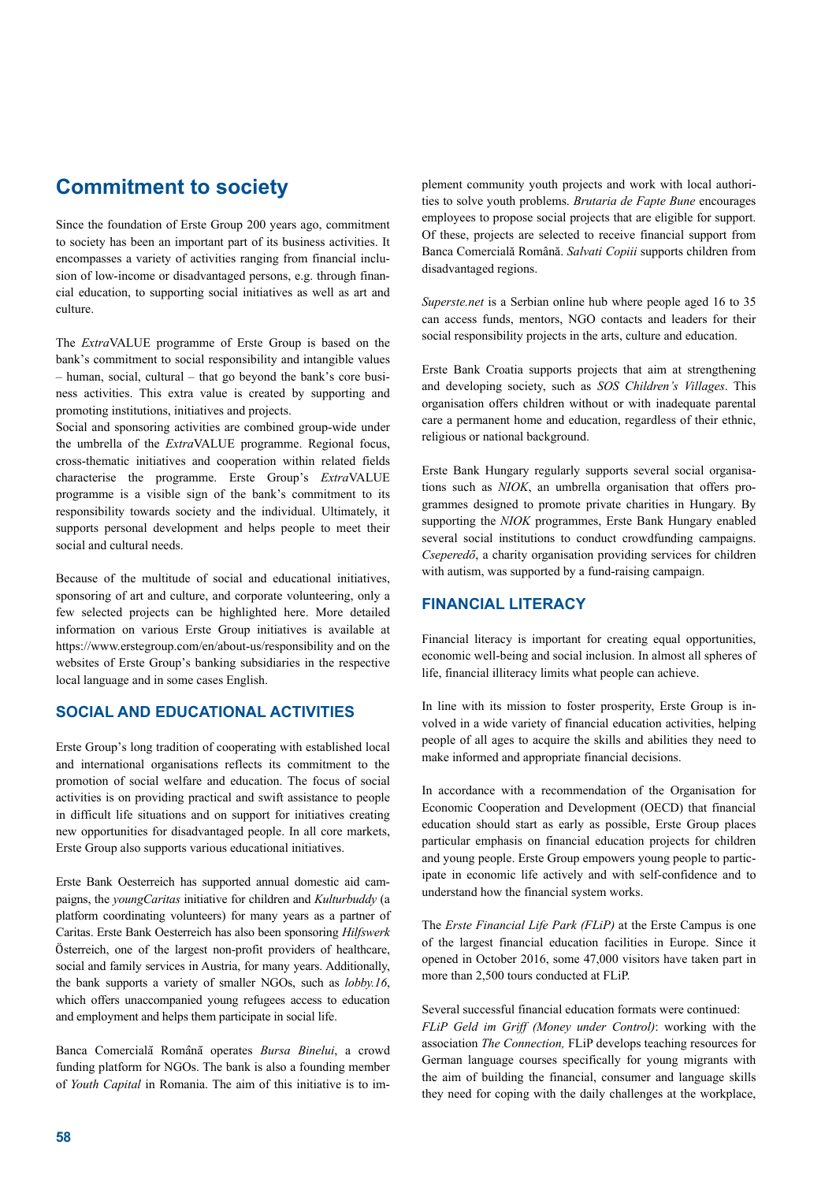# **Commitment to society**

Since the foundation of Erste Group 200 years ago, commitment to society has been an important part of its business activities. It encompasses a variety of activities ranging from financial inclusion of low-income or disadvantaged persons, e.g. through financial education, to supporting social initiatives as well as art and culture.

The *Extra*VALUE programme of Erste Group is based on the bank's commitment to social responsibility and intangible values – human, social, cultural – that go beyond the bank's core business activities. This extra value is created by supporting and promoting institutions, initiatives and projects.

Social and sponsoring activities are combined group-wide under the umbrella of the *Extra*VALUE programme. Regional focus, cross-thematic initiatives and cooperation within related fields characterise the programme. Erste Group's *Extra*VALUE programme is a visible sign of the bank's commitment to its responsibility towards society and the individual. Ultimately, it supports personal development and helps people to meet their social and cultural needs.

Because of the multitude of social and educational initiatives, sponsoring of art and culture, and corporate volunteering, only a few selected projects can be highlighted here. More detailed information on various Erste Group initiatives is available at https://www.erstegroup.com/en/about-us/responsibility and on the websites of Erste Group's banking subsidiaries in the respective local language and in some cases English.

## **SOCIAL AND EDUCATIONAL ACTIVITIES**

Erste Group's long tradition of cooperating with established local and international organisations reflects its commitment to the promotion of social welfare and education. The focus of social activities is on providing practical and swift assistance to people in difficult life situations and on support for initiatives creating new opportunities for disadvantaged people. In all core markets, Erste Group also supports various educational initiatives.

Erste Bank Oesterreich has supported annual domestic aid campaigns, the *youngCaritas* initiative for children and *Kulturbuddy* (a platform coordinating volunteers) for many years as a partner of Caritas. Erste Bank Oesterreich has also been sponsoring *Hilfswerk* Österreich, one of the largest non-profit providers of healthcare, social and family services in Austria, for many years. Additionally, the bank supports a variety of smaller NGOs, such as *lobby.16*, which offers unaccompanied young refugees access to education and employment and helps them participate in social life.

Banca Comercială Română operates *Bursa Binelui*, a crowd funding platform for NGOs. The bank is also a founding member of *Youth Capital* in Romania. The aim of this initiative is to im-

plement community youth projects and work with local authorities to solve youth problems. *Brutaria de Fapte Bune* encourages employees to propose social projects that are eligible for support. Of these, projects are selected to receive financial support from Banca Comercială Română. *Salvati Copiii* supports children from disadvantaged regions.

*Superste.net* is a Serbian online hub where people aged 16 to 35 can access funds, mentors, NGO contacts and leaders for their social responsibility projects in the arts, culture and education.

Erste Bank Croatia supports projects that aim at strengthening and developing society, such as *SOS Children's Villages*. This organisation offers children without or with inadequate parental care a permanent home and education, regardless of their ethnic, religious or national background.

Erste Bank Hungary regularly supports several social organisations such as *NIOK*, an umbrella organisation that offers programmes designed to promote private charities in Hungary. By supporting the *NIOK* programmes, Erste Bank Hungary enabled several social institutions to conduct crowdfunding campaigns. *Cseperedő*, a charity organisation providing services for children with autism, was supported by a fund-raising campaign.

## **FINANCIAL LITERACY**

Financial literacy is important for creating equal opportunities, economic well-being and social inclusion. In almost all spheres of life, financial illiteracy limits what people can achieve.

In line with its mission to foster prosperity, Erste Group is involved in a wide variety of financial education activities, helping people of all ages to acquire the skills and abilities they need to make informed and appropriate financial decisions.

In accordance with a recommendation of the Organisation for Economic Cooperation and Development (OECD) that financial education should start as early as possible, Erste Group places particular emphasis on financial education projects for children and young people. Erste Group empowers young people to participate in economic life actively and with self-confidence and to understand how the financial system works.

The *Erste Financial Life Park (FLiP)* at the Erste Campus is one of the largest financial education facilities in Europe. Since it opened in October 2016, some 47,000 visitors have taken part in more than 2,500 tours conducted at FLiP.

## Several successful financial education formats were continued:

*FLiP Geld im Griff (Money under Control)*: working with the association *The Connection,* FLiP develops teaching resources for German language courses specifically for young migrants with the aim of building the financial, consumer and language skills they need for coping with the daily challenges at the workplace,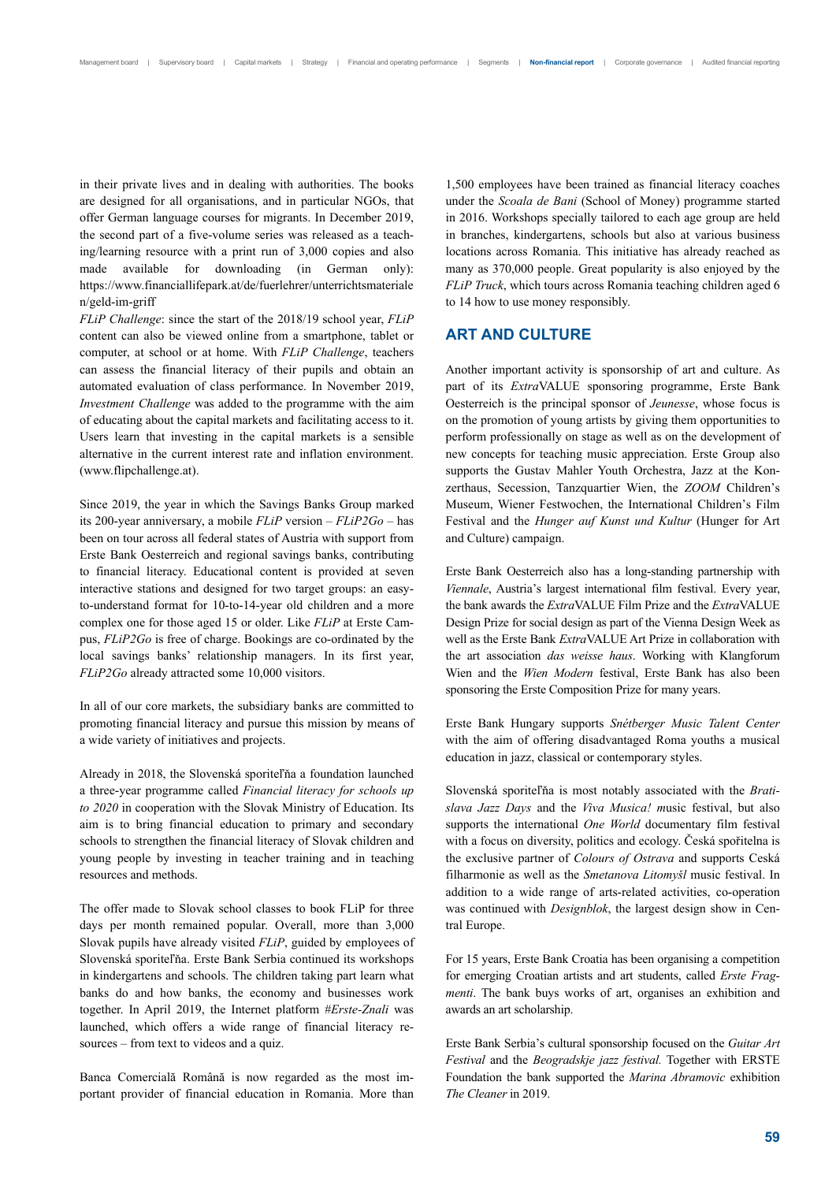in their private lives and in dealing with authorities. The books are designed for all organisations, and in particular NGOs, that offer German language courses for migrants. In December 2019, the second part of a five-volume series was released as a teaching/learning resource with a print run of 3,000 copies and also made available for downloading (in German only): https://www.financiallifepark.at/de/fuerlehrer/unterrichtsmateriale n/geld-im-griff

*FLiP Challenge*: since the start of the 2018/19 school year, *FLiP* content can also be viewed online from a smartphone, tablet or computer, at school or at home. With *FLiP Challenge*, teachers can assess the financial literacy of their pupils and obtain an automated evaluation of class performance. In November 2019, *Investment Challenge* was added to the programme with the aim of educating about the capital markets and facilitating access to it. Users learn that investing in the capital markets is a sensible alternative in the current interest rate and inflation environment. (www.flipchallenge.at).

Since 2019, the year in which the Savings Banks Group marked its 200-year anniversary, a mobile *FLiP* version – *FLiP2Go* – has been on tour across all federal states of Austria with support from Erste Bank Oesterreich and regional savings banks, contributing to financial literacy. Educational content is provided at seven interactive stations and designed for two target groups: an easyto-understand format for 10-to-14-year old children and a more complex one for those aged 15 or older. Like *FLiP* at Erste Campus, *FLiP2Go* is free of charge. Bookings are co-ordinated by the local savings banks' relationship managers. In its first year, *FLiP2Go* already attracted some 10,000 visitors.

In all of our core markets, the subsidiary banks are committed to promoting financial literacy and pursue this mission by means of a wide variety of initiatives and projects.

Already in 2018, the Slovenská sporiteľňa a foundation launched a three-year programme called *Financial literacy for schools up to 2020* in cooperation with the Slovak Ministry of Education. Its aim is to bring financial education to primary and secondary schools to strengthen the financial literacy of Slovak children and young people by investing in teacher training and in teaching resources and methods.

The offer made to Slovak school classes to book FLiP for three days per month remained popular. Overall, more than 3,000 Slovak pupils have already visited *FLiP*, guided by employees of Slovenská sporiteľňa. Erste Bank Serbia continued its workshops in kindergartens and schools. The children taking part learn what banks do and how banks, the economy and businesses work together. In April 2019, the Internet platform #*Erste-Znali* was launched, which offers a wide range of financial literacy resources – from text to videos and a quiz.

Banca Comercială Română is now regarded as the most important provider of financial education in Romania. More than 1,500 employees have been trained as financial literacy coaches under the *Scoala de Bani* (School of Money) programme started in 2016. Workshops specially tailored to each age group are held in branches, kindergartens, schools but also at various business locations across Romania. This initiative has already reached as many as 370,000 people. Great popularity is also enjoyed by the *FLiP Truck*, which tours across Romania teaching children aged 6 to 14 how to use money responsibly.

## **ART AND CULTURE**

Another important activity is sponsorship of art and culture. As part of its *Extra*VALUE sponsoring programme, Erste Bank Oesterreich is the principal sponsor of *Jeunesse*, whose focus is on the promotion of young artists by giving them opportunities to perform professionally on stage as well as on the development of new concepts for teaching music appreciation. Erste Group also supports the Gustav Mahler Youth Orchestra, Jazz at the Konzerthaus, Secession, Tanzquartier Wien, the *ZOOM* Children's Museum, Wiener Festwochen, the International Children's Film Festival and the *Hunger auf Kunst und Kultur* (Hunger for Art and Culture) campaign.

Erste Bank Oesterreich also has a long-standing partnership with *Viennale*, Austria's largest international film festival. Every year, the bank awards the *Extra*VALUE Film Prize and the *Extra*VALUE Design Prize for social design as part of the Vienna Design Week as well as the Erste Bank *Extra*VALUE Art Prize in collaboration with the art association *das weisse haus*. Working with Klangforum Wien and the *Wien Modern* festival, Erste Bank has also been sponsoring the Erste Composition Prize for many years.

Erste Bank Hungary supports *Snétberger Music Talent Center* with the aim of offering disadvantaged Roma youths a musical education in jazz, classical or contemporary styles.

Slovenská sporiteľňa is most notably associated with the *Bratislava Jazz Days* and the *Viva Musica! m*usic festival, but also supports the international *One World* documentary film festival with a focus on diversity, politics and ecology. Česká spořitelna is the exclusive partner of *Colours of Ostrava* and supports Ceská filharmonie as well as the *Smetanova Litomyšl* music festival. In addition to a wide range of arts-related activities, co-operation was continued with *Designblok*, the largest design show in Central Europe.

For 15 years, Erste Bank Croatia has been organising a competition for emerging Croatian artists and art students, called *Erste Fragmenti*. The bank buys works of art, organises an exhibition and awards an art scholarship.

Erste Bank Serbia's cultural sponsorship focused on the *Guitar Art Festival* and the *Beogradskje jazz festival.* Together with ERSTE Foundation the bank supported the *Marina Abramovic* exhibition *The Cleaner* in 2019.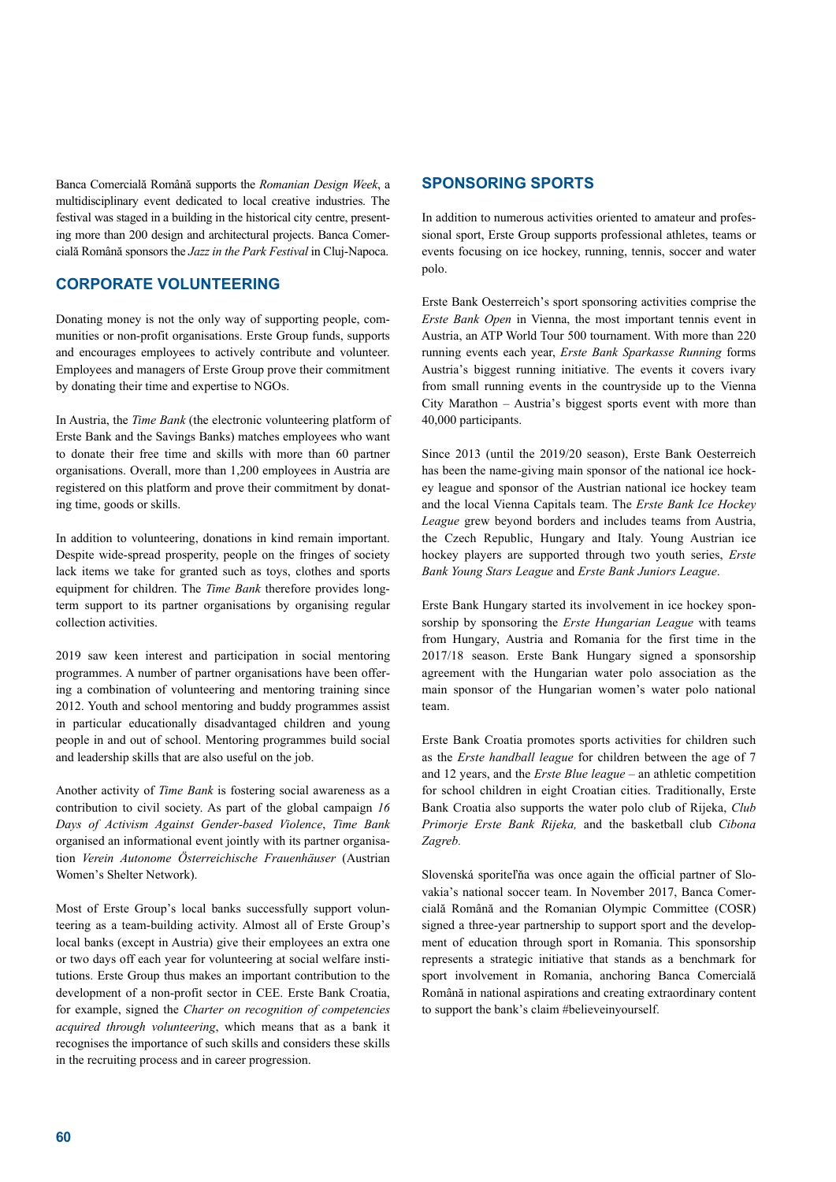Banca Comercială Română supports the *Romanian Design Week*, a multidisciplinary event dedicated to local creative industries. The festival was staged in a building in the historical city centre, presenting more than 200 design and architectural projects. Banca Comercială Română sponsors the *Jazz in the Park Festival* in Cluj-Napoca.

## **CORPORATE VOLUNTEERING**

Donating money is not the only way of supporting people, communities or non-profit organisations. Erste Group funds, supports and encourages employees to actively contribute and volunteer. Employees and managers of Erste Group prove their commitment by donating their time and expertise to NGOs.

In Austria, the *Time Bank* (the electronic volunteering platform of Erste Bank and the Savings Banks) matches employees who want to donate their free time and skills with more than 60 partner organisations. Overall, more than 1,200 employees in Austria are registered on this platform and prove their commitment by donating time, goods or skills.

In addition to volunteering, donations in kind remain important. Despite wide-spread prosperity, people on the fringes of society lack items we take for granted such as toys, clothes and sports equipment for children. The *Time Bank* therefore provides longterm support to its partner organisations by organising regular collection activities.

2019 saw keen interest and participation in social mentoring programmes. A number of partner organisations have been offering a combination of volunteering and mentoring training since 2012. Youth and school mentoring and buddy programmes assist in particular educationally disadvantaged children and young people in and out of school. Mentoring programmes build social and leadership skills that are also useful on the job.

Another activity of *Time Bank* is fostering social awareness as a contribution to civil society. As part of the global campaign *16 Days of Activism Against Gender-based Violence*, *Time Bank*  organised an informational event jointly with its partner organisation *Verein Autonome Österreichische Frauenhäuser* (Austrian Women's Shelter Network).

Most of Erste Group's local banks successfully support volunteering as a team-building activity. Almost all of Erste Group's local banks (except in Austria) give their employees an extra one or two days off each year for volunteering at social welfare institutions. Erste Group thus makes an important contribution to the development of a non-profit sector in CEE. Erste Bank Croatia, for example, signed the *Charter on recognition of competencies acquired through volunteering*, which means that as a bank it recognises the importance of such skills and considers these skills in the recruiting process and in career progression.

## **SPONSORING SPORTS**

In addition to numerous activities oriented to amateur and professional sport, Erste Group supports professional athletes, teams or events focusing on ice hockey, running, tennis, soccer and water polo.

Erste Bank Oesterreich's sport sponsoring activities comprise the *Erste Bank Open* in Vienna, the most important tennis event in Austria, an ATP World Tour 500 tournament. With more than 220 running events each year, *Erste Bank Sparkasse Running* forms Austria's biggest running initiative. The events it covers ivary from small running events in the countryside up to the Vienna City Marathon – Austria's biggest sports event with more than 40,000 participants.

Since 2013 (until the 2019/20 season), Erste Bank Oesterreich has been the name-giving main sponsor of the national ice hockey league and sponsor of the Austrian national ice hockey team and the local Vienna Capitals team. The *Erste Bank Ice Hockey League* grew beyond borders and includes teams from Austria, the Czech Republic, Hungary and Italy. Young Austrian ice hockey players are supported through two youth series, *Erste Bank Young Stars League* and *Erste Bank Juniors League*.

Erste Bank Hungary started its involvement in ice hockey sponsorship by sponsoring the *Erste Hungarian League* with teams from Hungary, Austria and Romania for the first time in the 2017/18 season. Erste Bank Hungary signed a sponsorship agreement with the Hungarian water polo association as the main sponsor of the Hungarian women's water polo national team.

Erste Bank Croatia promotes sports activities for children such as the *Erste handball league* for children between the age of 7 and 12 years, and the *Erste Blue league* – an athletic competition for school children in eight Croatian cities. Traditionally, Erste Bank Croatia also supports the water polo club of Rijeka, *Club Primorje Erste Bank Rijeka,* and the basketball club *Cibona Zagreb.* 

Slovenská sporiteľňa was once again the official partner of Slovakia's national soccer team. In November 2017, Banca Comercială Română and the Romanian Olympic Committee (COSR) signed a three-year partnership to support sport and the development of education through sport in Romania. This sponsorship represents a strategic initiative that stands as a benchmark for sport involvement in Romania, anchoring Banca Comercială Română in national aspirations and creating extraordinary content to support the bank's claim #believeinyourself.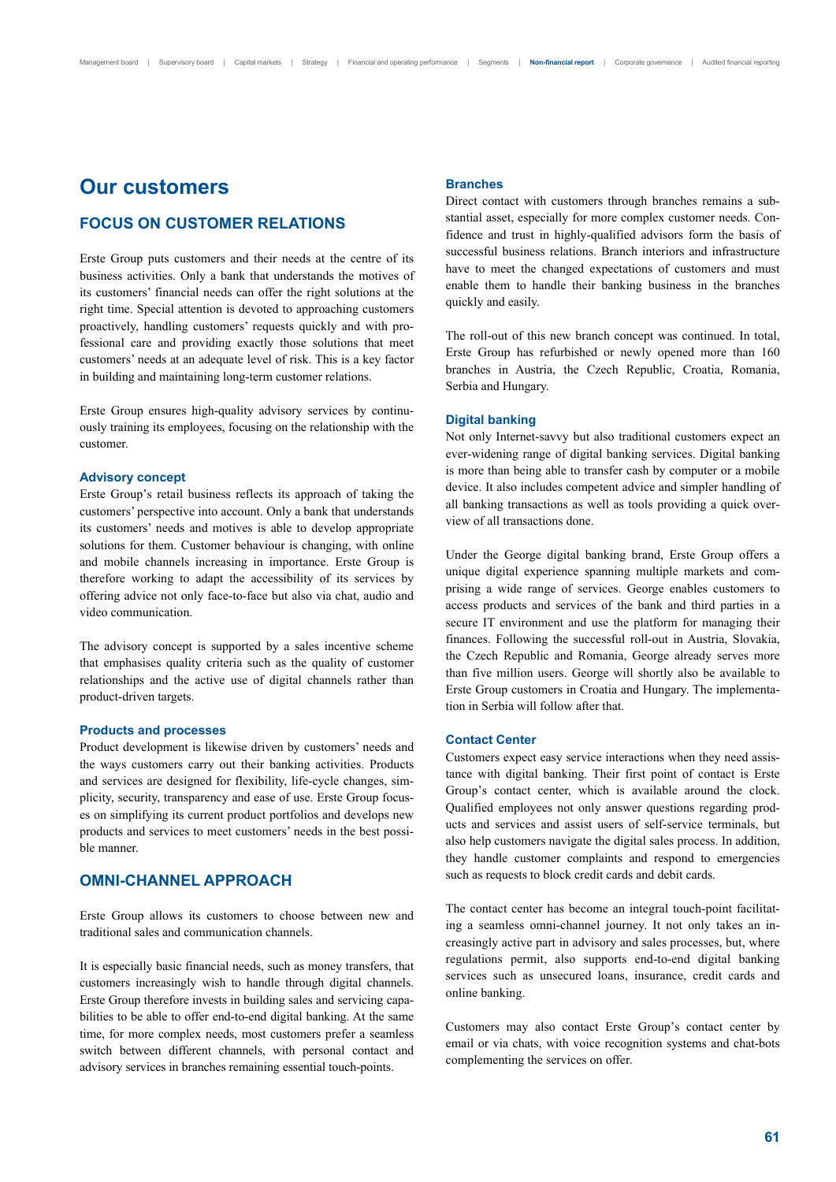## **Our customers**

## **FOCUS ON CUSTOMER RELATIONS**

Erste Group puts customers and their needs at the centre of its business activities. Only a bank that understands the motives of its customers' financial needs can offer the right solutions at the right time. Special attention is devoted to approaching customers proactively, handling customers' requests quickly and with professional care and providing exactly those solutions that meet customers' needs at an adequate level of risk. This is a key factor in building and maintaining long-term customer relations.

Erste Group ensures high-quality advisory services by continuously training its employees, focusing on the relationship with the customer.

## **Advisory concept**

Erste Group's retail business reflects its approach of taking the customers' perspective into account. Only a bank that understands its customers' needs and motives is able to develop appropriate solutions for them. Customer behaviour is changing, with online and mobile channels increasing in importance. Erste Group is therefore working to adapt the accessibility of its services by offering advice not only face-to-face but also via chat, audio and video communication.

The advisory concept is supported by a sales incentive scheme that emphasises quality criteria such as the quality of customer relationships and the active use of digital channels rather than product-driven targets.

## **Products and processes**

Product development is likewise driven by customers' needs and the ways customers carry out their banking activities. Products and services are designed for flexibility, life-cycle changes, simplicity, security, transparency and ease of use. Erste Group focuses on simplifying its current product portfolios and develops new products and services to meet customers' needs in the best possible manner.

## **OMNI-CHANNEL APPROACH**

Erste Group allows its customers to choose between new and traditional sales and communication channels.

It is especially basic financial needs, such as money transfers, that customers increasingly wish to handle through digital channels. Erste Group therefore invests in building sales and servicing capabilities to be able to offer end-to-end digital banking. At the same time, for more complex needs, most customers prefer a seamless switch between different channels, with personal contact and advisory services in branches remaining essential touch-points.

#### **Branches**

Direct contact with customers through branches remains a substantial asset, especially for more complex customer needs. Confidence and trust in highly-qualified advisors form the basis of successful business relations. Branch interiors and infrastructure have to meet the changed expectations of customers and must enable them to handle their banking business in the branches quickly and easily.

The roll-out of this new branch concept was continued. In total, Erste Group has refurbished or newly opened more than 160 branches in Austria, the Czech Republic, Croatia, Romania, Serbia and Hungary.

#### **Digital banking**

Not only Internet-savvy but also traditional customers expect an ever-widening range of digital banking services. Digital banking is more than being able to transfer cash by computer or a mobile device. It also includes competent advice and simpler handling of all banking transactions as well as tools providing a quick overview of all transactions done.

Under the George digital banking brand, Erste Group offers a unique digital experience spanning multiple markets and comprising a wide range of services. George enables customers to access products and services of the bank and third parties in a secure IT environment and use the platform for managing their finances. Following the successful roll-out in Austria, Slovakia, the Czech Republic and Romania, George already serves more than five million users. George will shortly also be available to Erste Group customers in Croatia and Hungary. The implementation in Serbia will follow after that.

#### **Contact Center**

Customers expect easy service interactions when they need assistance with digital banking. Their first point of contact is Erste Group's contact center, which is available around the clock. Qualified employees not only answer questions regarding products and services and assist users of self-service terminals, but also help customers navigate the digital sales process. In addition, they handle customer complaints and respond to emergencies such as requests to block credit cards and debit cards.

The contact center has become an integral touch-point facilitating a seamless omni-channel journey. It not only takes an increasingly active part in advisory and sales processes, but, where regulations permit, also supports end-to-end digital banking services such as unsecured loans, insurance, credit cards and online banking.

Customers may also contact Erste Group's contact center by email or via chats, with voice recognition systems and chat-bots complementing the services on offer.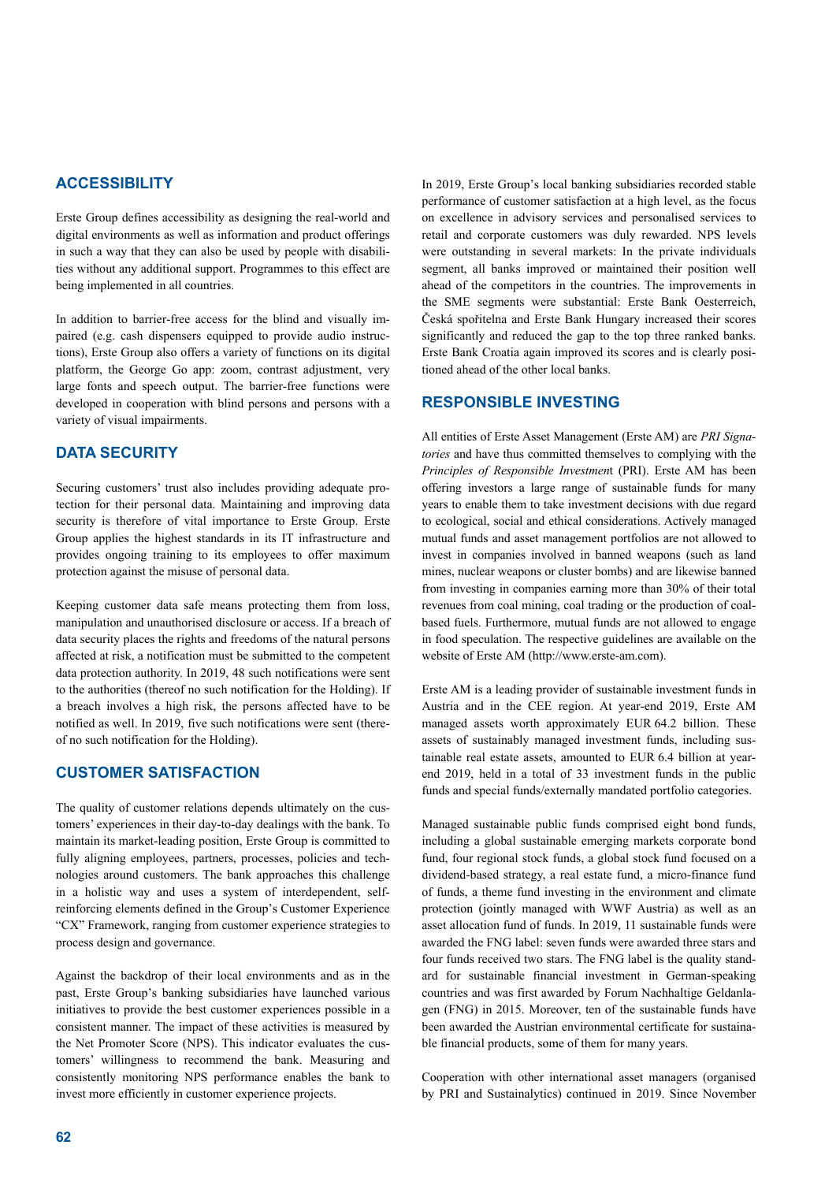## **ACCESSIBILITY**

Erste Group defines accessibility as designing the real-world and digital environments as well as information and product offerings in such a way that they can also be used by people with disabilities without any additional support. Programmes to this effect are being implemented in all countries.

In addition to barrier-free access for the blind and visually impaired (e.g. cash dispensers equipped to provide audio instructions), Erste Group also offers a variety of functions on its digital platform, the George Go app: zoom, contrast adjustment, very large fonts and speech output. The barrier-free functions were developed in cooperation with blind persons and persons with a variety of visual impairments.

## **DATA SECURITY**

Securing customers' trust also includes providing adequate protection for their personal data. Maintaining and improving data security is therefore of vital importance to Erste Group. Erste Group applies the highest standards in its IT infrastructure and provides ongoing training to its employees to offer maximum protection against the misuse of personal data.

Keeping customer data safe means protecting them from loss, manipulation and unauthorised disclosure or access. If a breach of data security places the rights and freedoms of the natural persons affected at risk, a notification must be submitted to the competent data protection authority. In 2019, 48 such notifications were sent to the authorities (thereof no such notification for the Holding). If a breach involves a high risk, the persons affected have to be notified as well. In 2019, five such notifications were sent (thereof no such notification for the Holding).

## **CUSTOMER SATISFACTION**

The quality of customer relations depends ultimately on the customers' experiences in their day-to-day dealings with the bank. To maintain its market-leading position, Erste Group is committed to fully aligning employees, partners, processes, policies and technologies around customers. The bank approaches this challenge in a holistic way and uses a system of interdependent, selfreinforcing elements defined in the Group's Customer Experience "CX" Framework, ranging from customer experience strategies to process design and governance.

Against the backdrop of their local environments and as in the past, Erste Group's banking subsidiaries have launched various initiatives to provide the best customer experiences possible in a consistent manner. The impact of these activities is measured by the Net Promoter Score (NPS). This indicator evaluates the customers' willingness to recommend the bank. Measuring and consistently monitoring NPS performance enables the bank to invest more efficiently in customer experience projects.

In 2019, Erste Group's local banking subsidiaries recorded stable performance of customer satisfaction at a high level, as the focus on excellence in advisory services and personalised services to retail and corporate customers was duly rewarded. NPS levels were outstanding in several markets: In the private individuals segment, all banks improved or maintained their position well ahead of the competitors in the countries. The improvements in the SME segments were substantial: Erste Bank Oesterreich, Česká spořitelna and Erste Bank Hungary increased their scores significantly and reduced the gap to the top three ranked banks. Erste Bank Croatia again improved its scores and is clearly positioned ahead of the other local banks.

## **RESPONSIBLE INVESTING**

All entities of Erste Asset Management (Erste AM) are *PRI Signatories* and have thus committed themselves to complying with the *Principles of Responsible Investmen*t (PRI). Erste AM has been offering investors a large range of sustainable funds for many years to enable them to take investment decisions with due regard to ecological, social and ethical considerations. Actively managed mutual funds and asset management portfolios are not allowed to invest in companies involved in banned weapons (such as land mines, nuclear weapons or cluster bombs) and are likewise banned from investing in companies earning more than 30% of their total revenues from coal mining, coal trading or the production of coalbased fuels. Furthermore, mutual funds are not allowed to engage in food speculation. The respective guidelines are available on the website of Erste AM (http://www.erste-am.com).

Erste AM is a leading provider of sustainable investment funds in Austria and in the CEE region. At year-end 2019, Erste AM managed assets worth approximately EUR 64.2 billion. These assets of sustainably managed investment funds, including sustainable real estate assets, amounted to EUR 6.4 billion at yearend 2019, held in a total of 33 investment funds in the public funds and special funds/externally mandated portfolio categories.

Managed sustainable public funds comprised eight bond funds, including a global sustainable emerging markets corporate bond fund, four regional stock funds, a global stock fund focused on a dividend-based strategy, a real estate fund, a micro-finance fund of funds, a theme fund investing in the environment and climate protection (jointly managed with WWF Austria) as well as an asset allocation fund of funds. In 2019, 11 sustainable funds were awarded the FNG label: seven funds were awarded three stars and four funds received two stars. The FNG label is the quality standard for sustainable financial investment in German-speaking countries and was first awarded by Forum Nachhaltige Geldanlagen (FNG) in 2015. Moreover, ten of the sustainable funds have been awarded the Austrian environmental certificate for sustainable financial products, some of them for many years.

Cooperation with other international asset managers (organised by PRI and Sustainalytics) continued in 2019. Since November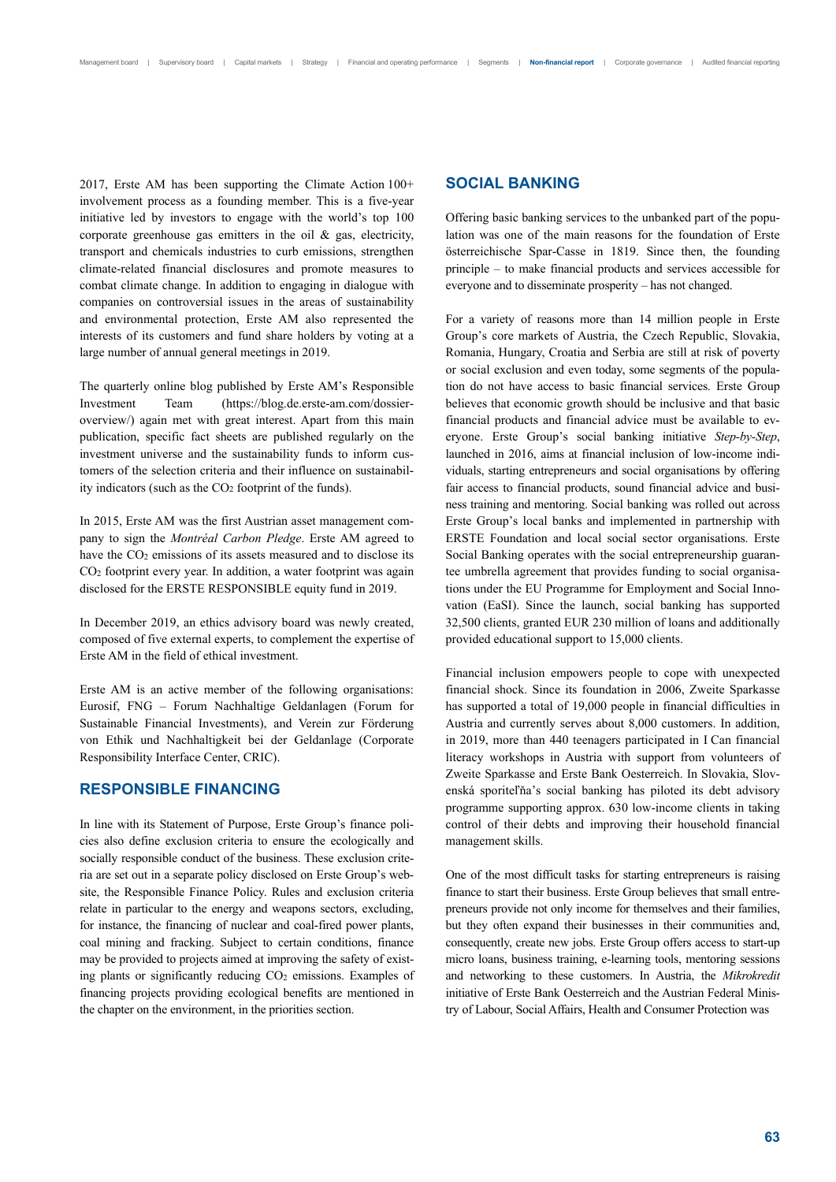2017, Erste AM has been supporting the Climate Action 100+ involvement process as a founding member. This is a five-year initiative led by investors to engage with the world's top 100 corporate greenhouse gas emitters in the oil & gas, electricity, transport and chemicals industries to curb emissions, strengthen climate-related financial disclosures and promote measures to combat climate change. In addition to engaging in dialogue with companies on controversial issues in the areas of sustainability and environmental protection, Erste AM also represented the interests of its customers and fund share holders by voting at a large number of annual general meetings in 2019.

The quarterly online blog published by Erste AM's Responsible Investment Team (https://blog.de.erste-am.com/dossieroverview/) again met with great interest. Apart from this main publication, specific fact sheets are published regularly on the investment universe and the sustainability funds to inform customers of the selection criteria and their influence on sustainability indicators (such as the  $CO<sub>2</sub>$  footprint of the funds).

In 2015, Erste AM was the first Austrian asset management company to sign the *Montréal Carbon Pledge*. Erste AM agreed to have the CO<sub>2</sub> emissions of its assets measured and to disclose its CO2 footprint every year. In addition, a water footprint was again disclosed for the ERSTE RESPONSIBLE equity fund in 2019.

In December 2019, an ethics advisory board was newly created, composed of five external experts, to complement the expertise of Erste AM in the field of ethical investment.

Erste AM is an active member of the following organisations: Eurosif, FNG – Forum Nachhaltige Geldanlagen (Forum for Sustainable Financial Investments), and Verein zur Förderung von Ethik und Nachhaltigkeit bei der Geldanlage (Corporate Responsibility Interface Center, CRIC).

## **RESPONSIBLE FINANCING**

In line with its Statement of Purpose, Erste Group's finance policies also define exclusion criteria to ensure the ecologically and socially responsible conduct of the business. These exclusion criteria are set out in a separate policy disclosed on Erste Group's website, the Responsible Finance Policy. Rules and exclusion criteria relate in particular to the energy and weapons sectors, excluding, for instance, the financing of nuclear and coal-fired power plants, coal mining and fracking. Subject to certain conditions, finance may be provided to projects aimed at improving the safety of existing plants or significantly reducing CO<sub>2</sub> emissions. Examples of financing projects providing ecological benefits are mentioned in the chapter on the environment, in the priorities section.

## **SOCIAL BANKING**

Offering basic banking services to the unbanked part of the population was one of the main reasons for the foundation of Erste österreichische Spar-Casse in 1819. Since then, the founding principle – to make financial products and services accessible for everyone and to disseminate prosperity – has not changed.

For a variety of reasons more than 14 million people in Erste Group's core markets of Austria, the Czech Republic, Slovakia, Romania, Hungary, Croatia and Serbia are still at risk of poverty or social exclusion and even today, some segments of the population do not have access to basic financial services. Erste Group believes that economic growth should be inclusive and that basic financial products and financial advice must be available to everyone. Erste Group's social banking initiative *Step-by-Step*, launched in 2016, aims at financial inclusion of low-income individuals, starting entrepreneurs and social organisations by offering fair access to financial products, sound financial advice and business training and mentoring. Social banking was rolled out across Erste Group's local banks and implemented in partnership with ERSTE Foundation and local social sector organisations. Erste Social Banking operates with the social entrepreneurship guarantee umbrella agreement that provides funding to social organisations under the EU Programme for Employment and Social Innovation (EaSI). Since the launch, social banking has supported 32,500 clients, granted EUR 230 million of loans and additionally provided educational support to 15,000 clients.

Financial inclusion empowers people to cope with unexpected financial shock. Since its foundation in 2006, Zweite Sparkasse has supported a total of 19,000 people in financial difficulties in Austria and currently serves about 8,000 customers. In addition, in 2019, more than 440 teenagers participated in I Can financial literacy workshops in Austria with support from volunteers of Zweite Sparkasse and Erste Bank Oesterreich. In Slovakia, Slovenská sporiteľňa's social banking has piloted its debt advisory programme supporting approx. 630 low-income clients in taking control of their debts and improving their household financial management skills.

One of the most difficult tasks for starting entrepreneurs is raising finance to start their business. Erste Group believes that small entrepreneurs provide not only income for themselves and their families, but they often expand their businesses in their communities and, consequently, create new jobs. Erste Group offers access to start-up micro loans, business training, e-learning tools, mentoring sessions and networking to these customers. In Austria, the *Mikrokredit* initiative of Erste Bank Oesterreich and the Austrian Federal Ministry of Labour, Social Affairs, Health and Consumer Protection was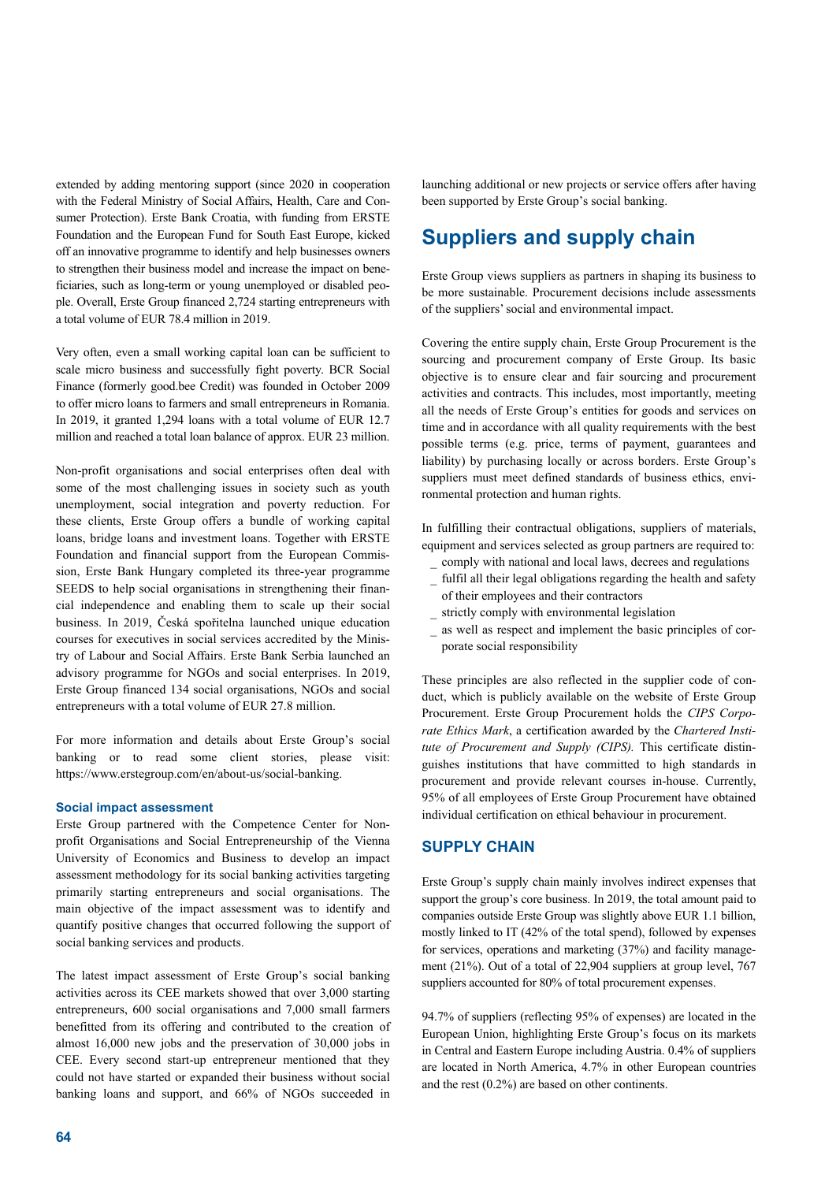extended by adding mentoring support (since 2020 in cooperation with the Federal Ministry of Social Affairs, Health, Care and Consumer Protection). Erste Bank Croatia, with funding from ERSTE Foundation and the European Fund for South East Europe, kicked off an innovative programme to identify and help businesses owners to strengthen their business model and increase the impact on beneficiaries, such as long-term or young unemployed or disabled people. Overall, Erste Group financed 2,724 starting entrepreneurs with a total volume of EUR 78.4 million in 2019.

Very often, even a small working capital loan can be sufficient to scale micro business and successfully fight poverty. BCR Social Finance (formerly good.bee Credit) was founded in October 2009 to offer micro loans to farmers and small entrepreneurs in Romania. In 2019, it granted 1,294 loans with a total volume of EUR 12.7 million and reached a total loan balance of approx. EUR 23 million.

Non-profit organisations and social enterprises often deal with some of the most challenging issues in society such as youth unemployment, social integration and poverty reduction. For these clients, Erste Group offers a bundle of working capital loans, bridge loans and investment loans. Together with ERSTE Foundation and financial support from the European Commission, Erste Bank Hungary completed its three-year programme SEEDS to help social organisations in strengthening their financial independence and enabling them to scale up their social business. In 2019, Česká spořitelna launched unique education courses for executives in social services accredited by the Ministry of Labour and Social Affairs. Erste Bank Serbia launched an advisory programme for NGOs and social enterprises. In 2019, Erste Group financed 134 social organisations, NGOs and social entrepreneurs with a total volume of EUR 27.8 million.

For more information and details about Erste Group's social banking or to read some client stories, please visit: https://www.erstegroup.com/en/about-us/social-banking.

## **Social impact assessment**

Erste Group partnered with the Competence Center for Nonprofit Organisations and Social Entrepreneurship of the Vienna University of Economics and Business to develop an impact assessment methodology for its social banking activities targeting primarily starting entrepreneurs and social organisations. The main objective of the impact assessment was to identify and quantify positive changes that occurred following the support of social banking services and products.

The latest impact assessment of Erste Group's social banking activities across its CEE markets showed that over 3,000 starting entrepreneurs, 600 social organisations and 7,000 small farmers benefitted from its offering and contributed to the creation of almost 16,000 new jobs and the preservation of 30,000 jobs in CEE. Every second start-up entrepreneur mentioned that they could not have started or expanded their business without social banking loans and support, and 66% of NGOs succeeded in

launching additional or new projects or service offers after having been supported by Erste Group's social banking.

# **Suppliers and supply chain**

Erste Group views suppliers as partners in shaping its business to be more sustainable. Procurement decisions include assessments of the suppliers' social and environmental impact.

Covering the entire supply chain, Erste Group Procurement is the sourcing and procurement company of Erste Group. Its basic objective is to ensure clear and fair sourcing and procurement activities and contracts. This includes, most importantly, meeting all the needs of Erste Group's entities for goods and services on time and in accordance with all quality requirements with the best possible terms (e.g. price, terms of payment, guarantees and liability) by purchasing locally or across borders. Erste Group's suppliers must meet defined standards of business ethics, environmental protection and human rights.

In fulfilling their contractual obligations, suppliers of materials, equipment and services selected as group partners are required to:

- \_ comply with national and local laws, decrees and regulations
- fulfil all their legal obligations regarding the health and safety of their employees and their contractors
- strictly comply with environmental legislation
- as well as respect and implement the basic principles of corporate social responsibility

These principles are also reflected in the supplier code of conduct, which is publicly available on the website of Erste Group Procurement. Erste Group Procurement holds the *CIPS Corporate Ethics Mark*, a certification awarded by the *Chartered Institute of Procurement and Supply (CIPS).* This certificate distinguishes institutions that have committed to high standards in procurement and provide relevant courses in-house. Currently, 95% of all employees of Erste Group Procurement have obtained individual certification on ethical behaviour in procurement.

## **SUPPLY CHAIN**

Erste Group's supply chain mainly involves indirect expenses that support the group's core business. In 2019, the total amount paid to companies outside Erste Group was slightly above EUR 1.1 billion, mostly linked to IT (42% of the total spend), followed by expenses for services, operations and marketing (37%) and facility management (21%). Out of a total of 22,904 suppliers at group level, 767 suppliers accounted for 80% of total procurement expenses.

94.7% of suppliers (reflecting 95% of expenses) are located in the European Union, highlighting Erste Group's focus on its markets in Central and Eastern Europe including Austria. 0.4% of suppliers are located in North America, 4.7% in other European countries and the rest (0.2%) are based on other continents.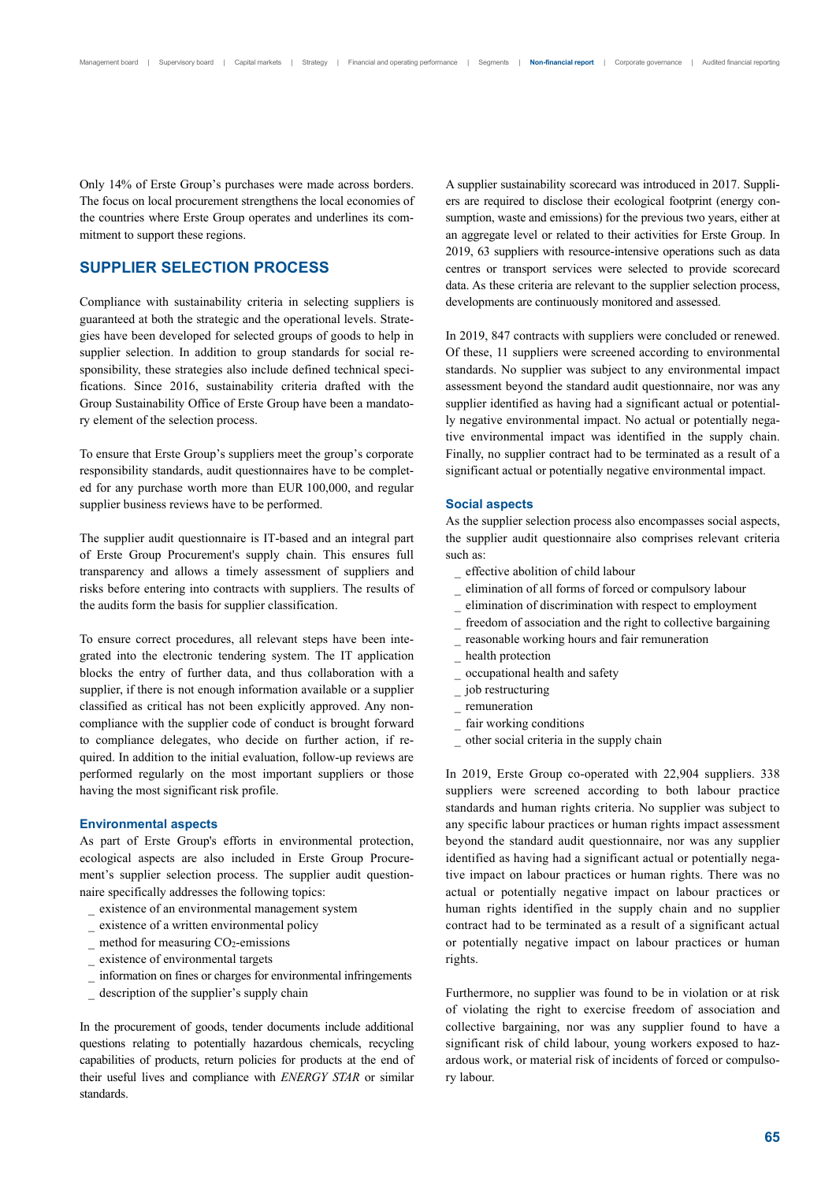Only 14% of Erste Group's purchases were made across borders. The focus on local procurement strengthens the local economies of the countries where Erste Group operates and underlines its commitment to support these regions.

## **SUPPLIER SELECTION PROCESS**

Compliance with sustainability criteria in selecting suppliers is guaranteed at both the strategic and the operational levels. Strategies have been developed for selected groups of goods to help in supplier selection. In addition to group standards for social responsibility, these strategies also include defined technical specifications. Since 2016, sustainability criteria drafted with the Group Sustainability Office of Erste Group have been a mandatory element of the selection process.

To ensure that Erste Group's suppliers meet the group's corporate responsibility standards, audit questionnaires have to be completed for any purchase worth more than EUR 100,000, and regular supplier business reviews have to be performed.

The supplier audit questionnaire is IT-based and an integral part of Erste Group Procurement's supply chain. This ensures full transparency and allows a timely assessment of suppliers and risks before entering into contracts with suppliers. The results of the audits form the basis for supplier classification.

To ensure correct procedures, all relevant steps have been integrated into the electronic tendering system. The IT application blocks the entry of further data, and thus collaboration with a supplier, if there is not enough information available or a supplier classified as critical has not been explicitly approved. Any noncompliance with the supplier code of conduct is brought forward to compliance delegates, who decide on further action, if required. In addition to the initial evaluation, follow-up reviews are performed regularly on the most important suppliers or those having the most significant risk profile.

#### **Environmental aspects**

As part of Erste Group's efforts in environmental protection, ecological aspects are also included in Erste Group Procurement's supplier selection process. The supplier audit questionnaire specifically addresses the following topics:

- \_ existence of an environmental management system
- \_ existence of a written environmental policy
- method for measuring CO<sub>2</sub>-emissions
- existence of environmental targets
- \_ information on fines or charges for environmental infringements
- description of the supplier's supply chain

In the procurement of goods, tender documents include additional questions relating to potentially hazardous chemicals, recycling capabilities of products, return policies for products at the end of their useful lives and compliance with *ENERGY STAR* or similar standards.

A supplier sustainability scorecard was introduced in 2017. Suppliers are required to disclose their ecological footprint (energy consumption, waste and emissions) for the previous two years, either at an aggregate level or related to their activities for Erste Group. In 2019, 63 suppliers with resource-intensive operations such as data centres or transport services were selected to provide scorecard data. As these criteria are relevant to the supplier selection process, developments are continuously monitored and assessed.

In 2019, 847 contracts with suppliers were concluded or renewed. Of these, 11 suppliers were screened according to environmental standards. No supplier was subject to any environmental impact assessment beyond the standard audit questionnaire, nor was any supplier identified as having had a significant actual or potentially negative environmental impact. No actual or potentially negative environmental impact was identified in the supply chain. Finally, no supplier contract had to be terminated as a result of a significant actual or potentially negative environmental impact.

#### **Social aspects**

As the supplier selection process also encompasses social aspects, the supplier audit questionnaire also comprises relevant criteria such as:

- \_ effective abolition of child labour
- \_ elimination of all forms of forced or compulsory labour
- \_ elimination of discrimination with respect to employment
- freedom of association and the right to collective bargaining
- reasonable working hours and fair remuneration
- health protection
- \_ occupational health and safety
- job restructuring
- \_ remuneration
- fair working conditions
- \_ other social criteria in the supply chain

In 2019, Erste Group co-operated with 22,904 suppliers. 338 suppliers were screened according to both labour practice standards and human rights criteria. No supplier was subject to any specific labour practices or human rights impact assessment beyond the standard audit questionnaire, nor was any supplier identified as having had a significant actual or potentially negative impact on labour practices or human rights. There was no actual or potentially negative impact on labour practices or human rights identified in the supply chain and no supplier contract had to be terminated as a result of a significant actual or potentially negative impact on labour practices or human rights.

Furthermore, no supplier was found to be in violation or at risk of violating the right to exercise freedom of association and collective bargaining, nor was any supplier found to have a significant risk of child labour, young workers exposed to hazardous work, or material risk of incidents of forced or compulsory labour.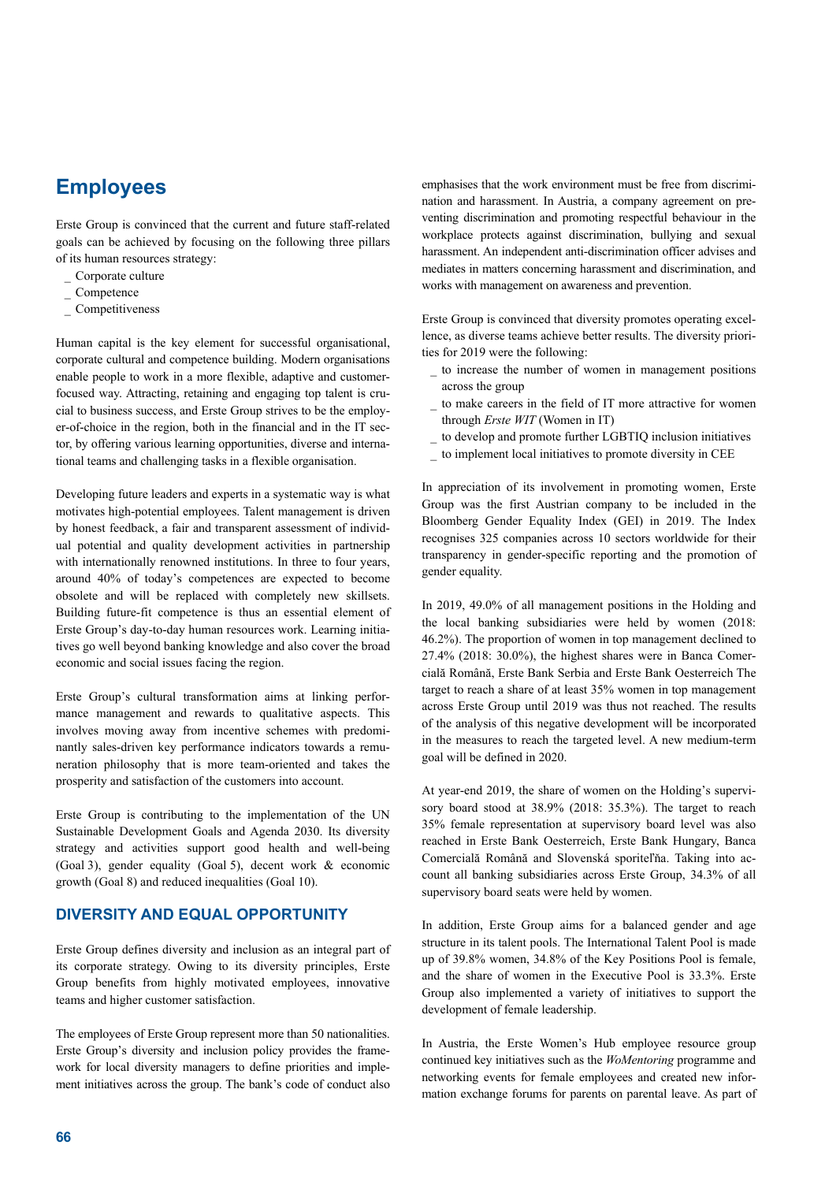# **Employees**

Erste Group is convinced that the current and future staff-related goals can be achieved by focusing on the following three pillars of its human resources strategy:

- \_ Corporate culture
- $\overline{\phantom{a}}$  Competence
- \_ Competitiveness

Human capital is the key element for successful organisational, corporate cultural and competence building. Modern organisations enable people to work in a more flexible, adaptive and customerfocused way. Attracting, retaining and engaging top talent is crucial to business success, and Erste Group strives to be the employer-of-choice in the region, both in the financial and in the IT sector, by offering various learning opportunities, diverse and international teams and challenging tasks in a flexible organisation.

Developing future leaders and experts in a systematic way is what motivates high-potential employees. Talent management is driven by honest feedback, a fair and transparent assessment of individual potential and quality development activities in partnership with internationally renowned institutions. In three to four years, around 40% of today's competences are expected to become obsolete and will be replaced with completely new skillsets. Building future-fit competence is thus an essential element of Erste Group's day-to-day human resources work. Learning initiatives go well beyond banking knowledge and also cover the broad economic and social issues facing the region.

Erste Group's cultural transformation aims at linking performance management and rewards to qualitative aspects. This involves moving away from incentive schemes with predominantly sales-driven key performance indicators towards a remuneration philosophy that is more team-oriented and takes the prosperity and satisfaction of the customers into account.

Erste Group is contributing to the implementation of the UN Sustainable Development Goals and Agenda 2030. Its diversity strategy and activities support good health and well-being (Goal 3), gender equality (Goal 5), decent work & economic growth (Goal 8) and reduced inequalities (Goal 10).

## **DIVERSITY AND EQUAL OPPORTUNITY**

Erste Group defines diversity and inclusion as an integral part of its corporate strategy. Owing to its diversity principles, Erste Group benefits from highly motivated employees, innovative teams and higher customer satisfaction.

The employees of Erste Group represent more than 50 nationalities. Erste Group's diversity and inclusion policy provides the framework for local diversity managers to define priorities and implement initiatives across the group. The bank's code of conduct also

emphasises that the work environment must be free from discrimination and harassment. In Austria, a company agreement on preventing discrimination and promoting respectful behaviour in the workplace protects against discrimination, bullying and sexual harassment. An independent anti-discrimination officer advises and mediates in matters concerning harassment and discrimination, and works with management on awareness and prevention.

Erste Group is convinced that diversity promotes operating excellence, as diverse teams achieve better results. The diversity priorities for 2019 were the following:

- \_ to increase the number of women in management positions across the group
- \_ to make careers in the field of IT more attractive for women through *Erste WIT* (Women in IT)
- to develop and promote further LGBTIQ inclusion initiatives
- to implement local initiatives to promote diversity in CEE

In appreciation of its involvement in promoting women, Erste Group was the first Austrian company to be included in the Bloomberg Gender Equality Index (GEI) in 2019. The Index recognises 325 companies across 10 sectors worldwide for their transparency in gender-specific reporting and the promotion of gender equality.

In 2019, 49.0% of all management positions in the Holding and the local banking subsidiaries were held by women (2018: 46.2%). The proportion of women in top management declined to 27.4% (2018: 30.0%), the highest shares were in Banca Comercială Română, Erste Bank Serbia and Erste Bank Oesterreich The target to reach a share of at least 35% women in top management across Erste Group until 2019 was thus not reached. The results of the analysis of this negative development will be incorporated in the measures to reach the targeted level. A new medium-term goal will be defined in 2020.

At year-end 2019, the share of women on the Holding's supervisory board stood at 38.9% (2018: 35.3%). The target to reach 35% female representation at supervisory board level was also reached in Erste Bank Oesterreich, Erste Bank Hungary, Banca Comercială Română and Slovenská sporiteľňa. Taking into account all banking subsidiaries across Erste Group, 34.3% of all supervisory board seats were held by women.

In addition, Erste Group aims for a balanced gender and age structure in its talent pools. The International Talent Pool is made up of 39.8% women, 34.8% of the Key Positions Pool is female, and the share of women in the Executive Pool is 33.3%. Erste Group also implemented a variety of initiatives to support the development of female leadership.

In Austria, the Erste Women's Hub employee resource group continued key initiatives such as the *WoMentoring* programme and networking events for female employees and created new information exchange forums for parents on parental leave. As part of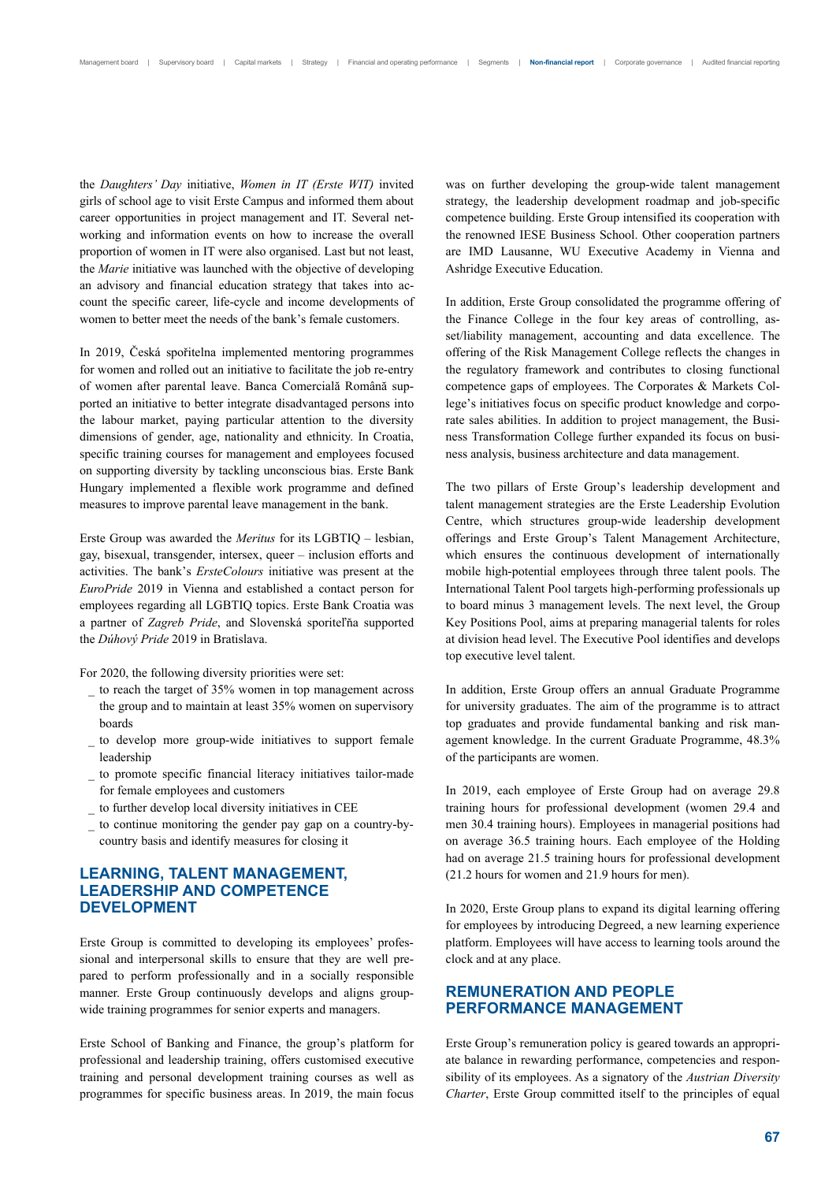the *Daughters' Day* initiative, *Women in IT (Erste WIT)* invited girls of school age to visit Erste Campus and informed them about career opportunities in project management and IT. Several networking and information events on how to increase the overall proportion of women in IT were also organised. Last but not least, the *Marie* initiative was launched with the objective of developing an advisory and financial education strategy that takes into account the specific career, life-cycle and income developments of women to better meet the needs of the bank's female customers.

In 2019, Česká spořitelna implemented mentoring programmes for women and rolled out an initiative to facilitate the job re-entry of women after parental leave. Banca Comercială Română supported an initiative to better integrate disadvantaged persons into the labour market, paying particular attention to the diversity dimensions of gender, age, nationality and ethnicity. In Croatia, specific training courses for management and employees focused on supporting diversity by tackling unconscious bias. Erste Bank Hungary implemented a flexible work programme and defined measures to improve parental leave management in the bank.

Erste Group was awarded the *Meritus* for its LGBTIQ – lesbian, gay, bisexual, transgender, intersex, queer – inclusion efforts and activities. The bank's *ErsteColours* initiative was present at the *EuroPride* 2019 in Vienna and established a contact person for employees regarding all LGBTIQ topics. Erste Bank Croatia was a partner of *Zagreb Pride*, and Slovenská sporiteľňa supported the *Dúhový Pride* 2019 in Bratislava.

For 2020, the following diversity priorities were set:

- \_ to reach the target of 35% women in top management across the group and to maintain at least 35% women on supervisory boards
- to develop more group-wide initiatives to support female leadership
- to promote specific financial literacy initiatives tailor-made for female employees and customers
- \_ to further develop local diversity initiatives in CEE
- \_ to continue monitoring the gender pay gap on a country-bycountry basis and identify measures for closing it

## **LEARNING, TALENT MANAGEMENT, LEADERSHIP AND COMPETENCE DEVELOPMENT**

Erste Group is committed to developing its employees' professional and interpersonal skills to ensure that they are well prepared to perform professionally and in a socially responsible manner. Erste Group continuously develops and aligns groupwide training programmes for senior experts and managers.

Erste School of Banking and Finance, the group's platform for professional and leadership training, offers customised executive training and personal development training courses as well as programmes for specific business areas. In 2019, the main focus was on further developing the group-wide talent management strategy, the leadership development roadmap and job-specific competence building. Erste Group intensified its cooperation with the renowned IESE Business School. Other cooperation partners are IMD Lausanne, WU Executive Academy in Vienna and Ashridge Executive Education.

In addition, Erste Group consolidated the programme offering of the Finance College in the four key areas of controlling, asset/liability management, accounting and data excellence. The offering of the Risk Management College reflects the changes in the regulatory framework and contributes to closing functional competence gaps of employees. The Corporates & Markets College's initiatives focus on specific product knowledge and corporate sales abilities. In addition to project management, the Business Transformation College further expanded its focus on business analysis, business architecture and data management.

The two pillars of Erste Group's leadership development and talent management strategies are the Erste Leadership Evolution Centre, which structures group-wide leadership development offerings and Erste Group's Talent Management Architecture, which ensures the continuous development of internationally mobile high-potential employees through three talent pools. The International Talent Pool targets high-performing professionals up to board minus 3 management levels. The next level, the Group Key Positions Pool, aims at preparing managerial talents for roles at division head level. The Executive Pool identifies and develops top executive level talent.

In addition, Erste Group offers an annual Graduate Programme for university graduates. The aim of the programme is to attract top graduates and provide fundamental banking and risk management knowledge. In the current Graduate Programme, 48.3% of the participants are women.

In 2019, each employee of Erste Group had on average 29.8 training hours for professional development (women 29.4 and men 30.4 training hours). Employees in managerial positions had on average 36.5 training hours. Each employee of the Holding had on average 21.5 training hours for professional development (21.2 hours for women and 21.9 hours for men).

In 2020, Erste Group plans to expand its digital learning offering for employees by introducing Degreed, a new learning experience platform. Employees will have access to learning tools around the clock and at any place.

## **REMUNERATION AND PEOPLE PERFORMANCE MANAGEMENT**

Erste Group's remuneration policy is geared towards an appropriate balance in rewarding performance, competencies and responsibility of its employees. As a signatory of the *Austrian Diversity Charter*, Erste Group committed itself to the principles of equal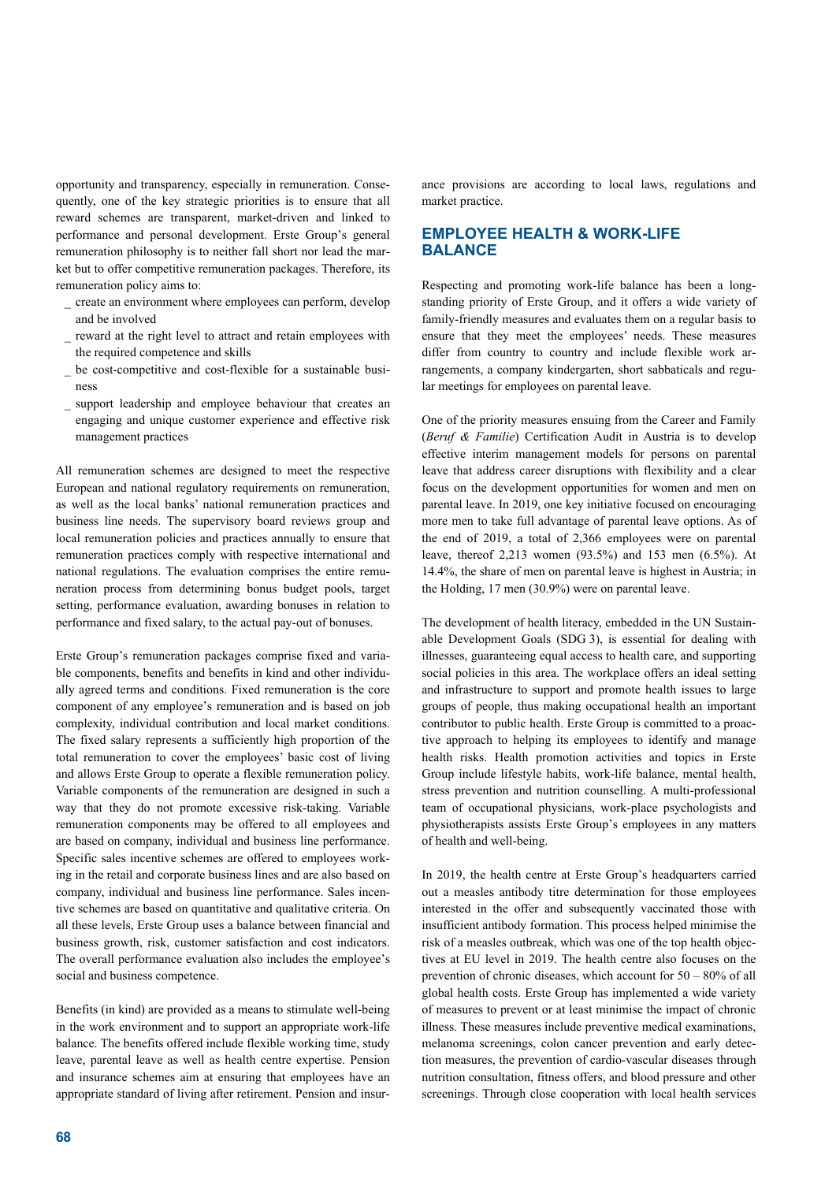opportunity and transparency, especially in remuneration. Consequently, one of the key strategic priorities is to ensure that all reward schemes are transparent, market-driven and linked to performance and personal development. Erste Group's general remuneration philosophy is to neither fall short nor lead the market but to offer competitive remuneration packages. Therefore, its remuneration policy aims to:

- \_ create an environment where employees can perform, develop and be involved
- reward at the right level to attract and retain employees with the required competence and skills
- be cost-competitive and cost-flexible for a sustainable business
- support leadership and employee behaviour that creates an engaging and unique customer experience and effective risk management practices

All remuneration schemes are designed to meet the respective European and national regulatory requirements on remuneration, as well as the local banks' national remuneration practices and business line needs. The supervisory board reviews group and local remuneration policies and practices annually to ensure that remuneration practices comply with respective international and national regulations. The evaluation comprises the entire remuneration process from determining bonus budget pools, target setting, performance evaluation, awarding bonuses in relation to performance and fixed salary, to the actual pay-out of bonuses.

Erste Group's remuneration packages comprise fixed and variable components, benefits and benefits in kind and other individually agreed terms and conditions. Fixed remuneration is the core component of any employee's remuneration and is based on job complexity, individual contribution and local market conditions. The fixed salary represents a sufficiently high proportion of the total remuneration to cover the employees' basic cost of living and allows Erste Group to operate a flexible remuneration policy. Variable components of the remuneration are designed in such a way that they do not promote excessive risk-taking. Variable remuneration components may be offered to all employees and are based on company, individual and business line performance. Specific sales incentive schemes are offered to employees working in the retail and corporate business lines and are also based on company, individual and business line performance. Sales incentive schemes are based on quantitative and qualitative criteria. On all these levels, Erste Group uses a balance between financial and business growth, risk, customer satisfaction and cost indicators. The overall performance evaluation also includes the employee's social and business competence.

Benefits (in kind) are provided as a means to stimulate well-being in the work environment and to support an appropriate work-life balance. The benefits offered include flexible working time, study leave, parental leave as well as health centre expertise. Pension and insurance schemes aim at ensuring that employees have an appropriate standard of living after retirement. Pension and insur-

ance provisions are according to local laws, regulations and market practice.

## **EMPLOYEE HEALTH & WORK-LIFE BALANCE**

Respecting and promoting work-life balance has been a longstanding priority of Erste Group, and it offers a wide variety of family-friendly measures and evaluates them on a regular basis to ensure that they meet the employees' needs. These measures differ from country to country and include flexible work arrangements, a company kindergarten, short sabbaticals and regular meetings for employees on parental leave.

One of the priority measures ensuing from the Career and Family (*Beruf & Familie*) Certification Audit in Austria is to develop effective interim management models for persons on parental leave that address career disruptions with flexibility and a clear focus on the development opportunities for women and men on parental leave. In 2019, one key initiative focused on encouraging more men to take full advantage of parental leave options. As of the end of 2019, a total of 2,366 employees were on parental leave, thereof 2,213 women (93.5%) and 153 men (6.5%). At 14.4%, the share of men on parental leave is highest in Austria; in the Holding, 17 men (30.9%) were on parental leave.

The development of health literacy, embedded in the UN Sustainable Development Goals (SDG 3), is essential for dealing with illnesses, guaranteeing equal access to health care, and supporting social policies in this area. The workplace offers an ideal setting and infrastructure to support and promote health issues to large groups of people, thus making occupational health an important contributor to public health. Erste Group is committed to a proactive approach to helping its employees to identify and manage health risks. Health promotion activities and topics in Erste Group include lifestyle habits, work-life balance, mental health, stress prevention and nutrition counselling. A multi-professional team of occupational physicians, work-place psychologists and physiotherapists assists Erste Group's employees in any matters of health and well-being.

In 2019, the health centre at Erste Group's headquarters carried out a measles antibody titre determination for those employees interested in the offer and subsequently vaccinated those with insufficient antibody formation. This process helped minimise the risk of a measles outbreak, which was one of the top health objectives at EU level in 2019. The health centre also focuses on the prevention of chronic diseases, which account for 50 – 80% of all global health costs. Erste Group has implemented a wide variety of measures to prevent or at least minimise the impact of chronic illness. These measures include preventive medical examinations, melanoma screenings, colon cancer prevention and early detection measures, the prevention of cardio-vascular diseases through nutrition consultation, fitness offers, and blood pressure and other screenings. Through close cooperation with local health services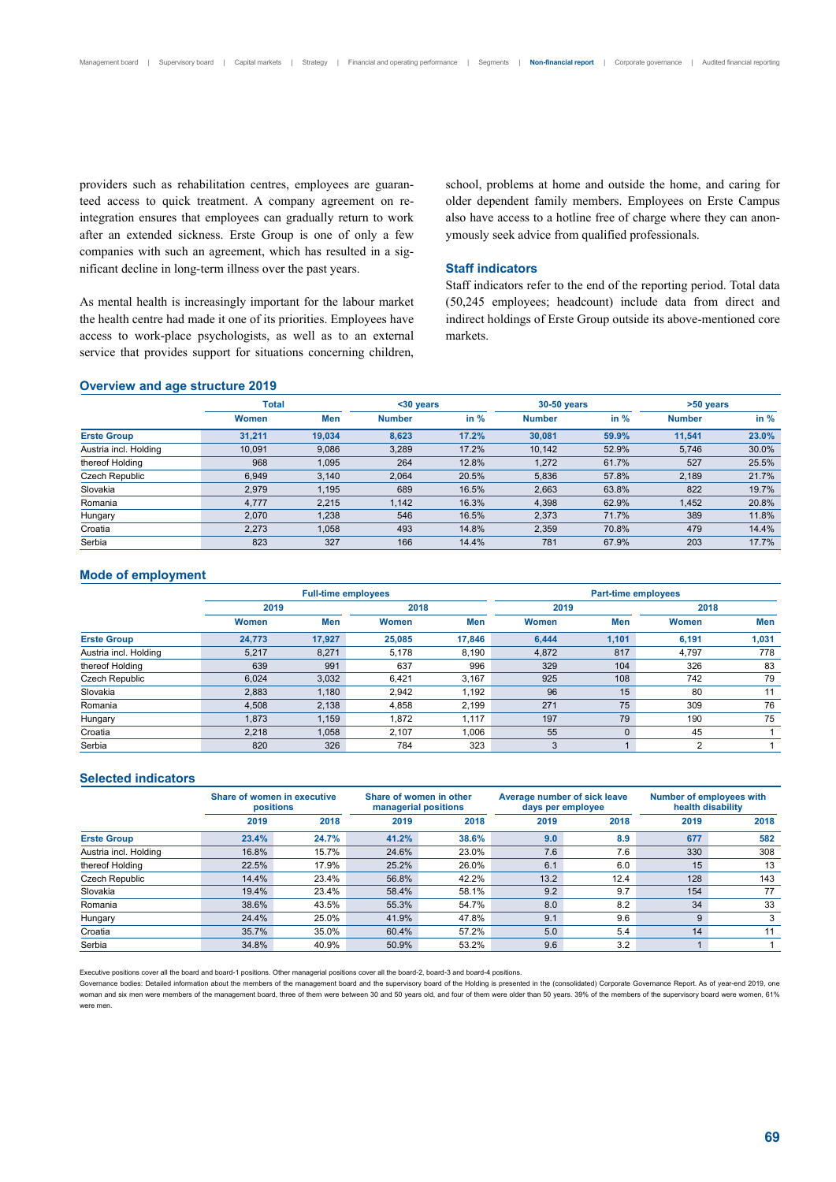providers such as rehabilitation centres, employees are guaranteed access to quick treatment. A company agreement on reintegration ensures that employees can gradually return to work after an extended sickness. Erste Group is one of only a few companies with such an agreement, which has resulted in a significant decline in long-term illness over the past years.

As mental health is increasingly important for the labour market the health centre had made it one of its priorities. Employees have access to work-place psychologists, as well as to an external service that provides support for situations concerning children, school, problems at home and outside the home, and caring for older dependent family members. Employees on Erste Campus also have access to a hotline free of charge where they can anonymously seek advice from qualified professionals.

## **Staff indicators**

Staff indicators refer to the end of the reporting period. Total data (50,245 employees; headcount) include data from direct and indirect holdings of Erste Group outside its above-mentioned core markets.

#### **Overview and age structure 2019**

|                       | <b>Total</b> |        | $30$ years    |        | 30-50 years   |        | >50 years     |        |  |
|-----------------------|--------------|--------|---------------|--------|---------------|--------|---------------|--------|--|
|                       | <b>Women</b> | Men    | <b>Number</b> | in $%$ | <b>Number</b> | in $%$ | <b>Number</b> | in $%$ |  |
| <b>Erste Group</b>    | 31.211       | 19.034 | 8,623         | 17.2%  | 30,081        | 59.9%  | 11,541        | 23.0%  |  |
| Austria incl. Holding | 10.091       | 9,086  | 3,289         | 17.2%  | 10.142        | 52.9%  | 5,746         | 30.0%  |  |
| thereof Holding       | 968          | 1,095  | 264           | 12.8%  | 1,272         | 61.7%  | 527           | 25.5%  |  |
| Czech Republic        | 6.949        | 3.140  | 2.064         | 20.5%  | 5.836         | 57.8%  | 2,189         | 21.7%  |  |
| Slovakia              | 2.979        | 1.195  | 689           | 16.5%  | 2.663         | 63.8%  | 822           | 19.7%  |  |
| Romania               | 4.777        | 2,215  | 1.142         | 16.3%  | 4,398         | 62.9%  | 1,452         | 20.8%  |  |
| Hungary               | 2,070        | 1,238  | 546           | 16.5%  | 2,373         | 71.7%  | 389           | 11.8%  |  |
| Croatia               | 2,273        | 1,058  | 493           | 14.8%  | 2,359         | 70.8%  | 479           | 14.4%  |  |
| Serbia                | 823          | 327    | 166           | 14.4%  | 781           | 67.9%  | 203           | 17.7%  |  |

## **Mode of employment**

|                       |        | <b>Full-time employees</b> |              |        | Part-time employees |              |                |       |  |  |
|-----------------------|--------|----------------------------|--------------|--------|---------------------|--------------|----------------|-------|--|--|
|                       | 2019   |                            |              |        | 2019                |              | 2018           |       |  |  |
|                       | Women  | <b>Men</b>                 | <b>Women</b> | Men    | Women               | Men          | Women          | Men   |  |  |
| <b>Erste Group</b>    | 24.773 | 17.927                     | 25,085       | 17,846 | 6,444               | 1.101        | 6,191          | 1,031 |  |  |
| Austria incl. Holding | 5,217  | 8,271                      | 5,178        | 8,190  | 4,872               | 817          | 4,797          | 778   |  |  |
| thereof Holding       | 639    | 991                        | 637          | 996    | 329                 | 104          | 326            | 83    |  |  |
| Czech Republic        | 6,024  | 3,032                      | 6.421        | 3,167  | 925                 | 108          | 742            | 79    |  |  |
| Slovakia              | 2.883  | 1.180                      | 2.942        | 1.192  | 96                  | 15           | 80             | 11    |  |  |
| Romania               | 4.508  | 2,138                      | 4.858        | 2.199  | 271                 | 75           | 309            | 76    |  |  |
| Hungary               | 1,873  | 1,159                      | 1.872        | 1.117  | 197                 | 79           | 190            | 75    |  |  |
| Croatia               | 2.218  | 1.058                      | 2.107        | 1.006  | 55                  | $\mathbf{0}$ | 45             |       |  |  |
| Serbia                | 820    | 326                        | 784          | 323    | 3                   |              | $\overline{2}$ |       |  |  |

## **Selected indicators**

|                       | Share of women in executive<br>positions |       |       | Share of women in other<br>managerial positions |      | Average number of sick leave<br>days per employee | Number of employees with<br>health disability |      |  |
|-----------------------|------------------------------------------|-------|-------|-------------------------------------------------|------|---------------------------------------------------|-----------------------------------------------|------|--|
|                       | 2019                                     | 2018  | 2019  | 2018                                            | 2019 | 2018                                              | 2019                                          | 2018 |  |
| <b>Erste Group</b>    | 23.4%                                    | 24.7% | 41.2% | 38.6%                                           | 9.0  | 8.9                                               | 677                                           | 582  |  |
| Austria incl. Holding | 16.8%                                    | 15.7% | 24.6% | 23.0%                                           | 7.6  | 7.6                                               | 330                                           | 308  |  |
| thereof Holding       | 22.5%                                    | 17.9% | 25.2% | 26.0%                                           | 6.1  | 6.0                                               | 15                                            | 13   |  |
| Czech Republic        | 14.4%                                    | 23.4% | 56.8% | 42.2%                                           | 13.2 | 12.4                                              | 128                                           | 143  |  |
| Slovakia              | 19.4%                                    | 23.4% | 58.4% | 58.1%                                           | 9.2  | 9.7                                               | 154                                           | 77   |  |
| Romania               | 38.6%                                    | 43.5% | 55.3% | 54.7%                                           | 8.0  | 8.2                                               | 34                                            | 33   |  |
| Hungary               | 24.4%                                    | 25.0% | 41.9% | 47.8%                                           | 9.1  | 9.6                                               | 9                                             | 3    |  |
| Croatia               | 35.7%                                    | 35.0% | 60.4% | 57.2%                                           | 5.0  | 5.4                                               | 14                                            | 11   |  |
| Serbia                | 34.8%                                    | 40.9% | 50.9% | 53.2%                                           | 9.6  | 3.2                                               |                                               |      |  |

Executive positions cover all the board and board-1 positions. Other managerial positions cover all the board-2, board-3 and board-4 positions.

Governance bodies: Detailed information about the members of the management board and the supervisory board of the Holding is presented in the (consolidated) Corporate Governance Report. As of year-end 2019, one woman and six men were members of the management board, three of them were between 30 and 50 years old, and four of them were older than 50 years. 39% of the members of the supervisory board were women, 61% were men.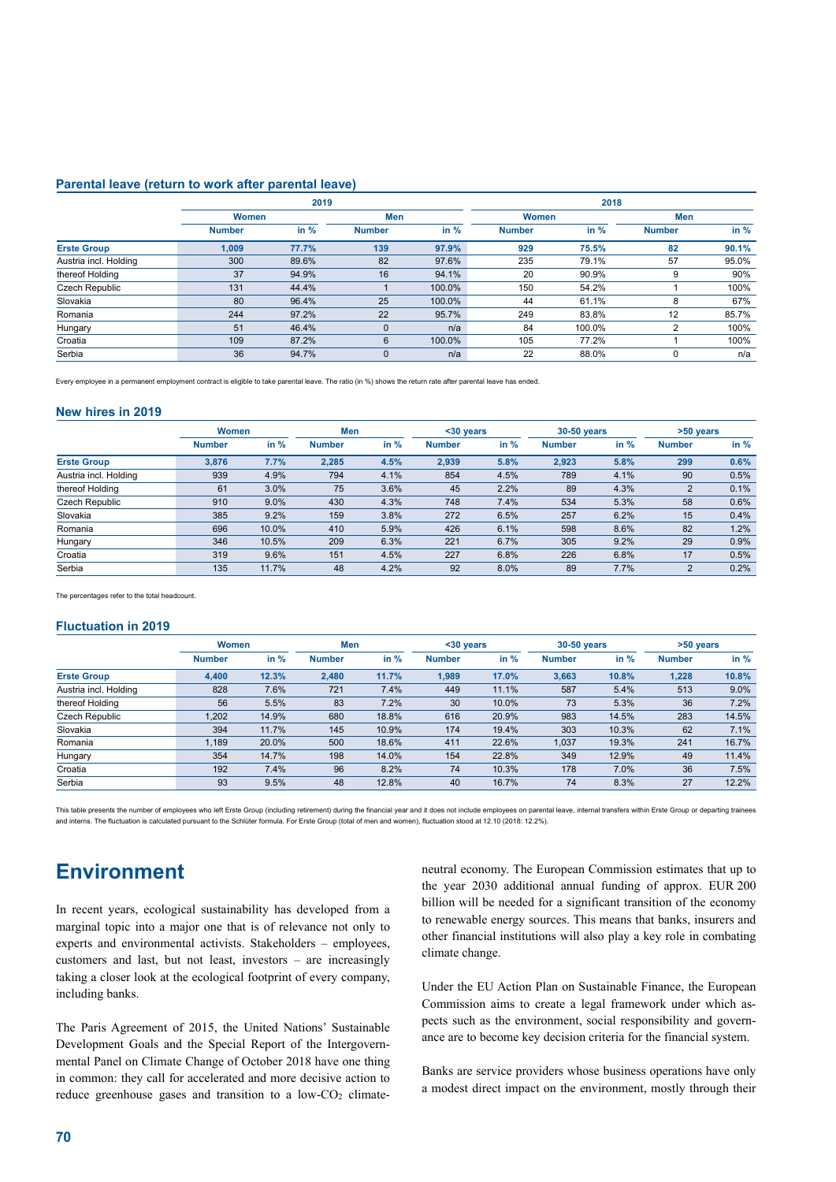#### **Parental leave (return to work after parental leave)**

|                       |               | 2019   |               | 2018   |               |        |               |        |
|-----------------------|---------------|--------|---------------|--------|---------------|--------|---------------|--------|
|                       | Women         |        | Men           |        | Women         |        | Men           |        |
|                       | <b>Number</b> | in $%$ | <b>Number</b> | in $%$ | <b>Number</b> | in $%$ | <b>Number</b> | in $%$ |
| <b>Erste Group</b>    | 1,009         | 77.7%  | 139           | 97.9%  | 929           | 75.5%  | 82            | 90.1%  |
| Austria incl. Holding | 300           | 89.6%  | 82            | 97.6%  | 235           | 79.1%  | 57            | 95.0%  |
| thereof Holding       | 37            | 94.9%  | 16            | 94.1%  | 20            | 90.9%  | 9             | 90%    |
| Czech Republic        | 131           | 44.4%  |               | 100.0% | 150           | 54.2%  |               | 100%   |
| Slovakia              | 80            | 96.4%  | 25            | 100.0% | 44            | 61.1%  | 8             | 67%    |
| Romania               | 244           | 97.2%  | 22            | 95.7%  | 249           | 83.8%  | 12            | 85.7%  |
| Hungary               | 51            | 46.4%  | $\Omega$      | n/a    | 84            | 100.0% | 2             | 100%   |
| Croatia               | 109           | 87.2%  | 6             | 100.0% | 105           | 77.2%  |               | 100%   |
| Serbia                | 36            | 94.7%  | $\Omega$      | n/a    | 22            | 88.0%  | 0             | n/a    |

Every employee in a permanent employment contract is eligible to take parental leave. The ratio (in %) shows the return rate after parental leave has ended.

#### **New hires in 2019**

|                       | Women         |       | Men           |        | $30$ years    |        | 30-50 years   |      | >50 years      |        |
|-----------------------|---------------|-------|---------------|--------|---------------|--------|---------------|------|----------------|--------|
|                       | <b>Number</b> | in %  | <b>Number</b> | in $%$ | <b>Number</b> | in $%$ | <b>Number</b> | in % | <b>Number</b>  | in $%$ |
| <b>Erste Group</b>    | 3,876         | 7.7%  | 2.285         | 4.5%   | 2.939         | 5.8%   | 2,923         | 5.8% | 299            | 0.6%   |
| Austria incl. Holding | 939           | 4.9%  | 794           | 4.1%   | 854           | 4.5%   | 789           | 4.1% | 90             | 0.5%   |
| thereof Holding       | 61            | 3.0%  | 75            | 3.6%   | 45            | 2.2%   | 89            | 4.3% | $\overline{2}$ | 0.1%   |
| Czech Republic        | 910           | 9.0%  | 430           | 4.3%   | 748           | 7.4%   | 534           | 5.3% | 58             | 0.6%   |
| Slovakia              | 385           | 9.2%  | 159           | 3.8%   | 272           | 6.5%   | 257           | 6.2% | 15             | 0.4%   |
| Romania               | 696           | 10.0% | 410           | 5.9%   | 426           | 6.1%   | 598           | 8.6% | 82             | 1.2%   |
| Hungary               | 346           | 10.5% | 209           | 6.3%   | 221           | 6.7%   | 305           | 9.2% | 29             | 0.9%   |
| Croatia               | 319           | 9.6%  | 151           | 4.5%   | 227           | 6.8%   | 226           | 6.8% | 17             | 0.5%   |
| Serbia                | 135           | 11.7% | 48            | 4.2%   | 92            | 8.0%   | 89            | 7.7% | 2              | 0.2%   |

The percentages refer to the total headcount.

#### **Fluctuation in 2019**

|                       | Women         |       | Men           |        | $30$ years    |        | 30-50 years   |       | >50 years     |        |
|-----------------------|---------------|-------|---------------|--------|---------------|--------|---------------|-------|---------------|--------|
|                       | <b>Number</b> | in %  | <b>Number</b> | in $%$ | <b>Number</b> | in $%$ | <b>Number</b> | in %  | <b>Number</b> | in $%$ |
| <b>Erste Group</b>    | 4,400         | 12.3% | 2.480         | 11.7%  | 1.989         | 17.0%  | 3,663         | 10.8% | 1.228         | 10.8%  |
| Austria incl. Holding | 828           | 7.6%  | 721           | 7.4%   | 449           | 11.1%  | 587           | 5.4%  | 513           | 9.0%   |
| thereof Holding       | 56            | 5.5%  | 83            | 7.2%   | 30            | 10.0%  | 73            | 5.3%  | 36            | 7.2%   |
| Czech Republic        | 1,202         | 14.9% | 680           | 18.8%  | 616           | 20.9%  | 983           | 14.5% | 283           | 14.5%  |
| Slovakia              | 394           | 11.7% | 145           | 10.9%  | 174           | 19.4%  | 303           | 10.3% | 62            | 7.1%   |
| Romania               | 1,189         | 20.0% | 500           | 18.6%  | 411           | 22.6%  | 1,037         | 19.3% | 241           | 16.7%  |
| Hungary               | 354           | 14.7% | 198           | 14.0%  | 154           | 22.8%  | 349           | 12.9% | 49            | 11.4%  |
| Croatia               | 192           | 7.4%  | 96            | 8.2%   | 74            | 10.3%  | 178           | 7.0%  | 36            | 7.5%   |
| Serbia                | 93            | 9.5%  | 48            | 12.8%  | 40            | 16.7%  | 74            | 8.3%  | 27            | 12.2%  |

This table presents the number of employees who left Erste Group (including retirement) during the financial year and it does not include employees on parental leave, internal transfers within Erste Group or departing trai and interns. The fluctuation is calculated pursuant to the Schlüter formula. For Erste Group (total of men and women), fluctuation stood at 12.10 (2018: 12.2%).

## **Environment**

In recent years, ecological sustainability has developed from a marginal topic into a major one that is of relevance not only to experts and environmental activists. Stakeholders – employees, customers and last, but not least, investors – are increasingly taking a closer look at the ecological footprint of every company, including banks.

The Paris Agreement of 2015, the United Nations' Sustainable Development Goals and the Special Report of the Intergovernmental Panel on Climate Change of October 2018 have one thing in common: they call for accelerated and more decisive action to reduce greenhouse gases and transition to a low-CO<sub>2</sub> climateneutral economy. The European Commission estimates that up to the year 2030 additional annual funding of approx. EUR 200 billion will be needed for a significant transition of the economy to renewable energy sources. This means that banks, insurers and other financial institutions will also play a key role in combating climate change.

Under the EU Action Plan on Sustainable Finance, the European Commission aims to create a legal framework under which aspects such as the environment, social responsibility and governance are to become key decision criteria for the financial system.

Banks are service providers whose business operations have only a modest direct impact on the environment, mostly through their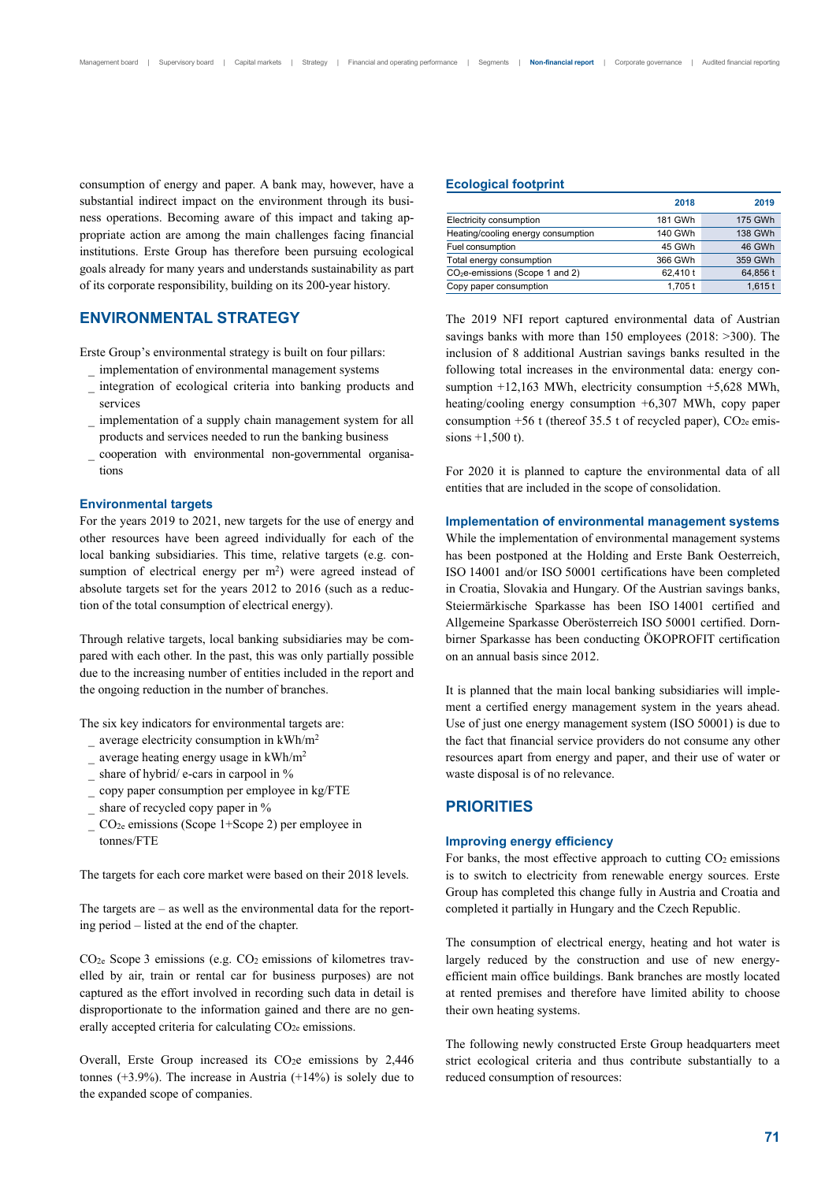consumption of energy and paper. A bank may, however, have a substantial indirect impact on the environment through its business operations. Becoming aware of this impact and taking appropriate action are among the main challenges facing financial institutions. Erste Group has therefore been pursuing ecological goals already for many years and understands sustainability as part of its corporate responsibility, building on its 200-year history.

## **ENVIRONMENTAL STRATEGY**

Erste Group's environmental strategy is built on four pillars:

- \_ implementation of environmental management systems
- \_ integration of ecological criteria into banking products and services
- implementation of a supply chain management system for all products and services needed to run the banking business
- \_ cooperation with environmental non-governmental organisations

#### **Environmental targets**

For the years 2019 to 2021, new targets for the use of energy and other resources have been agreed individually for each of the local banking subsidiaries. This time, relative targets (e.g. consumption of electrical energy per m<sup>2</sup>) were agreed instead of absolute targets set for the years 2012 to 2016 (such as a reduction of the total consumption of electrical energy).

Through relative targets, local banking subsidiaries may be compared with each other. In the past, this was only partially possible due to the increasing number of entities included in the report and the ongoing reduction in the number of branches.

The six key indicators for environmental targets are:

- average electricity consumption in  $kWh/m^2$
- $\frac{1}{2}$  average heating energy usage in kWh/m<sup>2</sup>
- \_ share of hybrid/ e-cars in carpool in %
- \_ copy paper consumption per employee in kg/FTE
- share of recycled copy paper in %
- $CO<sub>2e</sub>$  emissions (Scope 1+Scope 2) per employee in tonnes/FTE

The targets for each core market were based on their 2018 levels.

The targets are – as well as the environmental data for the reporting period – listed at the end of the chapter.

CO2e Scope 3 emissions (e.g. CO2 emissions of kilometres travelled by air, train or rental car for business purposes) are not captured as the effort involved in recording such data in detail is disproportionate to the information gained and there are no generally accepted criteria for calculating CO<sub>2e</sub> emissions.

Overall, Erste Group increased its  $CO<sub>2</sub>e$  emissions by 2,446 tonnes  $(+3.9\%)$ . The increase in Austria  $(+14\%)$  is solely due to the expanded scope of companies.

#### **Ecological footprint**

|                                    | 2018     | 2019      |
|------------------------------------|----------|-----------|
| Electricity consumption            | 181 GWh  | 175 GWh   |
| Heating/cooling energy consumption | 140 GWh  | 138 GWh   |
| Fuel consumption                   | 45 GWh   | 46 GWh    |
| Total energy consumption           | 366 GWh  | 359 GWh   |
| $CO2e$ -emissions (Scope 1 and 2)  | 62.410 t | 64,856 t  |
| Copy paper consumption             | 1,705t   | $1,615$ t |

The 2019 NFI report captured environmental data of Austrian savings banks with more than 150 employees (2018: >300). The inclusion of 8 additional Austrian savings banks resulted in the following total increases in the environmental data: energy consumption +12,163 MWh, electricity consumption +5,628 MWh, heating/cooling energy consumption +6,307 MWh, copy paper consumption  $+56$  t (thereof 35.5 t of recycled paper),  $CO<sub>2e</sub>$  emissions +1,500 t).

For 2020 it is planned to capture the environmental data of all entities that are included in the scope of consolidation.

#### **Implementation of environmental management systems**

While the implementation of environmental management systems has been postponed at the Holding and Erste Bank Oesterreich, ISO 14001 and/or ISO 50001 certifications have been completed in Croatia, Slovakia and Hungary. Of the Austrian savings banks, Steiermärkische Sparkasse has been ISO 14001 certified and Allgemeine Sparkasse Oberösterreich ISO 50001 certified. Dornbirner Sparkasse has been conducting ÖKOPROFIT certification on an annual basis since 2012.

It is planned that the main local banking subsidiaries will implement a certified energy management system in the years ahead. Use of just one energy management system (ISO 50001) is due to the fact that financial service providers do not consume any other resources apart from energy and paper, and their use of water or waste disposal is of no relevance.

## **PRIORITIES**

## **Improving energy efficiency**

For banks, the most effective approach to cutting  $CO<sub>2</sub>$  emissions is to switch to electricity from renewable energy sources. Erste Group has completed this change fully in Austria and Croatia and completed it partially in Hungary and the Czech Republic.

The consumption of electrical energy, heating and hot water is largely reduced by the construction and use of new energyefficient main office buildings. Bank branches are mostly located at rented premises and therefore have limited ability to choose their own heating systems.

The following newly constructed Erste Group headquarters meet strict ecological criteria and thus contribute substantially to a reduced consumption of resources: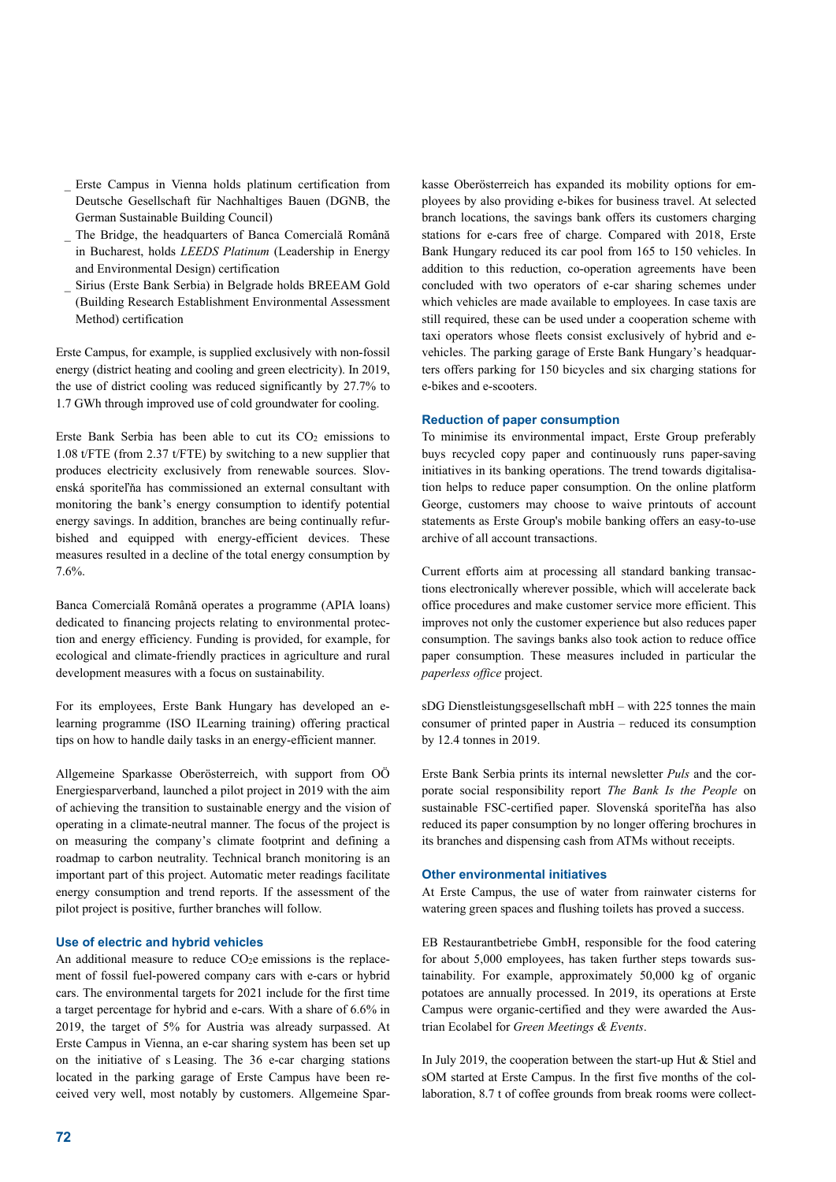- \_ Erste Campus in Vienna holds platinum certification from Deutsche Gesellschaft für Nachhaltiges Bauen (DGNB, the German Sustainable Building Council)
- The Bridge, the headquarters of Banca Comercială Română in Bucharest, holds *LEEDS Platinum* (Leadership in Energy and Environmental Design) certification
- \_ Sirius (Erste Bank Serbia) in Belgrade holds BREEAM Gold (Building Research Establishment Environmental Assessment Method) certification

Erste Campus, for example, is supplied exclusively with non-fossil energy (district heating and cooling and green electricity). In 2019, the use of district cooling was reduced significantly by 27.7% to 1.7 GWh through improved use of cold groundwater for cooling.

Erste Bank Serbia has been able to cut its  $CO<sub>2</sub>$  emissions to 1.08 t/FTE (from 2.37 t/FTE) by switching to a new supplier that produces electricity exclusively from renewable sources. Slovenská sporiteľňa has commissioned an external consultant with monitoring the bank's energy consumption to identify potential energy savings. In addition, branches are being continually refurbished and equipped with energy-efficient devices. These measures resulted in a decline of the total energy consumption by 7.6%.

Banca Comercială Română operates a programme (APIA loans) dedicated to financing projects relating to environmental protection and energy efficiency. Funding is provided, for example, for ecological and climate-friendly practices in agriculture and rural development measures with a focus on sustainability.

For its employees, Erste Bank Hungary has developed an elearning programme (ISO ILearning training) offering practical tips on how to handle daily tasks in an energy-efficient manner.

Allgemeine Sparkasse Oberösterreich, with support from OÖ Energiesparverband, launched a pilot project in 2019 with the aim of achieving the transition to sustainable energy and the vision of operating in a climate-neutral manner. The focus of the project is on measuring the company's climate footprint and defining a roadmap to carbon neutrality. Technical branch monitoring is an important part of this project. Automatic meter readings facilitate energy consumption and trend reports. If the assessment of the pilot project is positive, further branches will follow.

#### **Use of electric and hybrid vehicles**

An additional measure to reduce  $CO<sub>2</sub>e$  emissions is the replacement of fossil fuel-powered company cars with e-cars or hybrid cars. The environmental targets for 2021 include for the first time a target percentage for hybrid and e-cars. With a share of 6.6% in 2019, the target of 5% for Austria was already surpassed. At Erste Campus in Vienna, an e-car sharing system has been set up on the initiative of s Leasing. The 36 e-car charging stations located in the parking garage of Erste Campus have been received very well, most notably by customers. Allgemeine Sparkasse Oberösterreich has expanded its mobility options for employees by also providing e-bikes for business travel. At selected branch locations, the savings bank offers its customers charging stations for e-cars free of charge. Compared with 2018, Erste Bank Hungary reduced its car pool from 165 to 150 vehicles. In addition to this reduction, co-operation agreements have been concluded with two operators of e-car sharing schemes under which vehicles are made available to employees. In case taxis are still required, these can be used under a cooperation scheme with taxi operators whose fleets consist exclusively of hybrid and evehicles. The parking garage of Erste Bank Hungary's headquarters offers parking for 150 bicycles and six charging stations for e-bikes and e-scooters.

## **Reduction of paper consumption**

To minimise its environmental impact, Erste Group preferably buys recycled copy paper and continuously runs paper-saving initiatives in its banking operations. The trend towards digitalisation helps to reduce paper consumption. On the online platform George, customers may choose to waive printouts of account statements as Erste Group's mobile banking offers an easy-to-use archive of all account transactions.

Current efforts aim at processing all standard banking transactions electronically wherever possible, which will accelerate back office procedures and make customer service more efficient. This improves not only the customer experience but also reduces paper consumption. The savings banks also took action to reduce office paper consumption. These measures included in particular the *paperless office* project.

sDG Dienstleistungsgesellschaft mbH – with 225 tonnes the main consumer of printed paper in Austria – reduced its consumption by 12.4 tonnes in 2019.

Erste Bank Serbia prints its internal newsletter *Puls* and the corporate social responsibility report *The Bank Is the People* on sustainable FSC-certified paper. Slovenská sporiteľňa has also reduced its paper consumption by no longer offering brochures in its branches and dispensing cash from ATMs without receipts.

## **Other environmental initiatives**

At Erste Campus, the use of water from rainwater cisterns for watering green spaces and flushing toilets has proved a success.

EB Restaurantbetriebe GmbH, responsible for the food catering for about 5,000 employees, has taken further steps towards sustainability. For example, approximately 50,000 kg of organic potatoes are annually processed. In 2019, its operations at Erste Campus were organic-certified and they were awarded the Austrian Ecolabel for *Green Meetings & Events*.

In July 2019, the cooperation between the start-up Hut & Stiel and sOM started at Erste Campus. In the first five months of the collaboration, 8.7 t of coffee grounds from break rooms were collect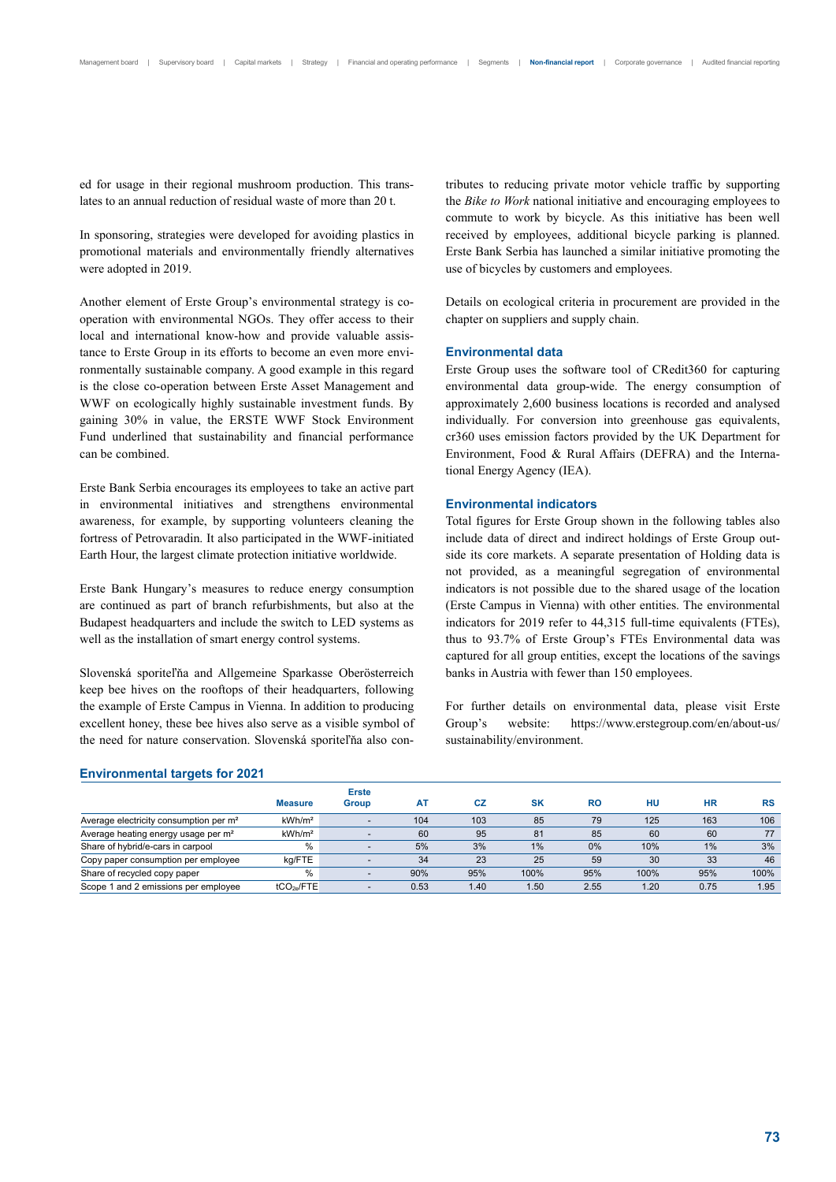ed for usage in their regional mushroom production. This translates to an annual reduction of residual waste of more than 20 t.

In sponsoring, strategies were developed for avoiding plastics in promotional materials and environmentally friendly alternatives were adopted in 2019.

Another element of Erste Group's environmental strategy is cooperation with environmental NGOs. They offer access to their local and international know-how and provide valuable assistance to Erste Group in its efforts to become an even more environmentally sustainable company. A good example in this regard is the close co-operation between Erste Asset Management and WWF on ecologically highly sustainable investment funds. By gaining 30% in value, the ERSTE WWF Stock Environment Fund underlined that sustainability and financial performance can be combined.

Erste Bank Serbia encourages its employees to take an active part in environmental initiatives and strengthens environmental awareness, for example, by supporting volunteers cleaning the fortress of Petrovaradin. It also participated in the WWF-initiated Earth Hour, the largest climate protection initiative worldwide.

Erste Bank Hungary's measures to reduce energy consumption are continued as part of branch refurbishments, but also at the Budapest headquarters and include the switch to LED systems as well as the installation of smart energy control systems.

Slovenská sporiteľňa and Allgemeine Sparkasse Oberösterreich keep bee hives on the rooftops of their headquarters, following the example of Erste Campus in Vienna. In addition to producing excellent honey, these bee hives also serve as a visible symbol of the need for nature conservation. Slovenská sporiteľňa also contributes to reducing private motor vehicle traffic by supporting the *Bike to Work* national initiative and encouraging employees to commute to work by bicycle. As this initiative has been well received by employees, additional bicycle parking is planned. Erste Bank Serbia has launched a similar initiative promoting the use of bicycles by customers and employees.

Details on ecological criteria in procurement are provided in the chapter on suppliers and supply chain.

#### **Environmental data**

Erste Group uses the software tool of CRedit360 for capturing environmental data group-wide. The energy consumption of approximately 2,600 business locations is recorded and analysed individually. For conversion into greenhouse gas equivalents, cr360 uses emission factors provided by the UK Department for Environment, Food & Rural Affairs (DEFRA) and the International Energy Agency (IEA).

#### **Environmental indicators**

Total figures for Erste Group shown in the following tables also include data of direct and indirect holdings of Erste Group outside its core markets. A separate presentation of Holding data is not provided, as a meaningful segregation of environmental indicators is not possible due to the shared usage of the location (Erste Campus in Vienna) with other entities. The environmental indicators for 2019 refer to 44,315 full-time equivalents (FTEs), thus to 93.7% of Erste Group's FTEs Environmental data was captured for all group entities, except the locations of the savings banks in Austria with fewer than 150 employees.

For further details on environmental data, please visit Erste Group's website: https://www.erstegroup.com/en/about-us/ sustainability/environment.

#### **Environmental targets for 2021**

|                                                    | <b>Measure</b>         | <b>Erste</b><br>Group | A <sub>T</sub> | СZ   | <b>SK</b> | RO   | HU   | <b>HR</b> | <b>RS</b> |
|----------------------------------------------------|------------------------|-----------------------|----------------|------|-----------|------|------|-----------|-----------|
| Average electricity consumption per m <sup>2</sup> | kWh/m <sup>2</sup>     |                       | 104            | 103  | 85        | 79   | 125  | 163       | 106       |
| Average heating energy usage per m <sup>2</sup>    | kWh/m <sup>2</sup>     |                       | 60             | 95   | 81        | 85   | 60   | 60        | 77        |
| Share of hybrid/e-cars in carpool                  | $\%$                   |                       | 5%             | 3%   | 1%        | 0%   | 10%  | 1%        | 3%        |
| Copy paper consumption per employee                | kg/FTE                 |                       | 34             | 23   | 25        | 59   | 30   | 33        | 46        |
| Share of recycled copy paper                       | $\%$                   |                       | 90%            | 95%  | 100%      | 95%  | 100% | 95%       | 100%      |
| Scope 1 and 2 emissions per employee               | tCO <sub>2e</sub> /FTE |                       | 0.53           | 1.40 | 1.50      | 2.55 | 1.20 | 0.75      | 1.95      |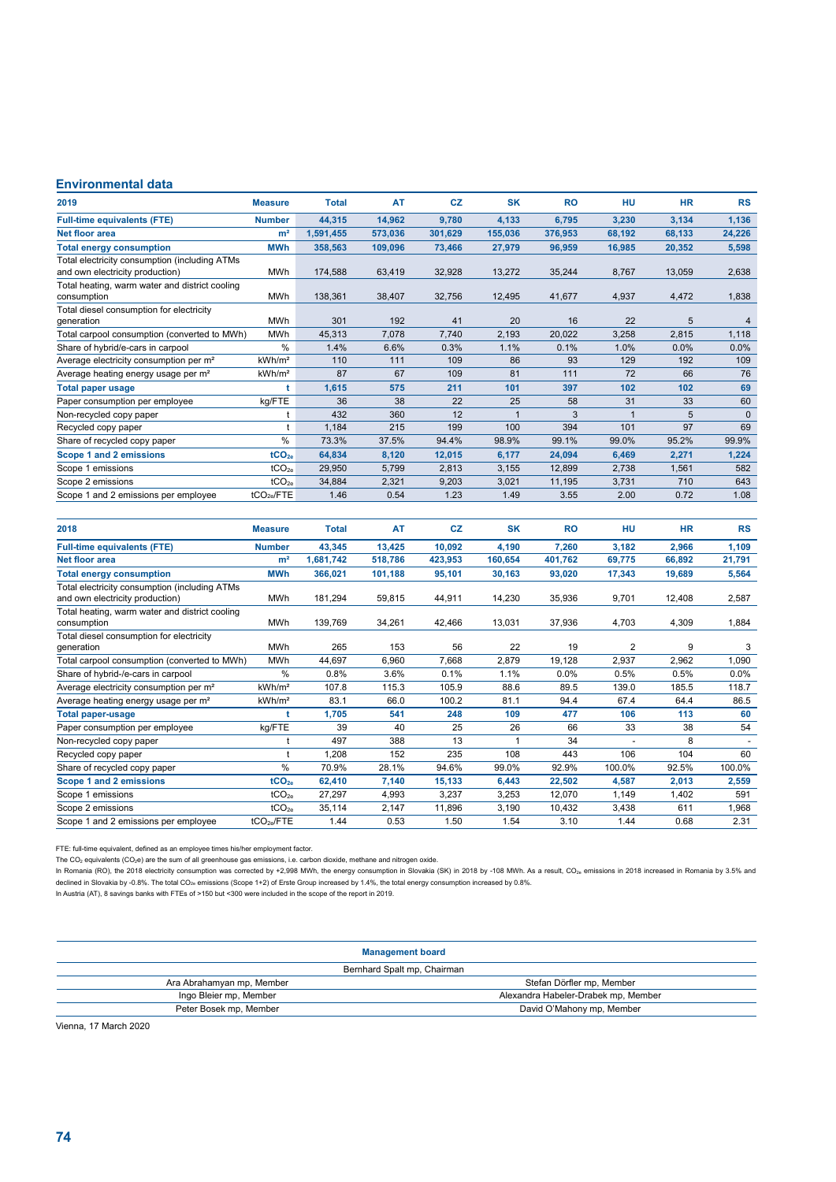## **Environmental data**

| 2019                                                                             | <b>Measure</b>     | <b>Total</b> | AT      | CZ      | <b>SK</b> | <b>RO</b> | HU                      | <b>HR</b> | <b>RS</b> |
|----------------------------------------------------------------------------------|--------------------|--------------|---------|---------|-----------|-----------|-------------------------|-----------|-----------|
| <b>Full-time equivalents (FTE)</b>                                               | <b>Number</b>      | 44,315       | 14,962  | 9,780   | 4,133     | 6,795     | 3,230                   | 3,134     | 1,136     |
| <b>Net floor area</b>                                                            | m <sup>2</sup>     | 1,591,455    | 573,036 | 301,629 | 155,036   | 376,953   | 68,192                  | 68,133    | 24,226    |
| <b>Total energy consumption</b>                                                  | <b>MWh</b>         | 358,563      | 109,096 | 73,466  | 27,979    | 96,959    | 16,985                  | 20,352    | 5,598     |
| Total electricity consumption (including ATMs<br>and own electricity production) | <b>MWh</b>         | 174,588      | 63,419  | 32,928  | 13,272    | 35,244    | 8,767                   | 13,059    | 2,638     |
| Total heating, warm water and district cooling<br>consumption                    | <b>MWh</b>         | 138.361      | 38,407  | 32,756  | 12,495    | 41,677    | 4,937                   | 4,472     | 1,838     |
| Total diesel consumption for electricity<br>generation                           | <b>MWh</b>         | 301          | 192     | 41      | 20        | 16        | 22                      | 5         | 4         |
| Total carpool consumption (converted to MWh)                                     | <b>MWh</b>         | 45,313       | 7,078   | 7,740   | 2,193     | 20,022    | 3,258                   | 2,815     | 1,118     |
| Share of hybrid/e-cars in carpool                                                | %                  | 1.4%         | 6.6%    | 0.3%    | 1.1%      | 0.1%      | 1.0%                    | 0.0%      | 0.0%      |
| Average electricity consumption per m <sup>2</sup>                               | kWh/m <sup>2</sup> | 110          | 111     | 109     | 86        | 93        | 129                     | 192       | 109       |
| Average heating energy usage per m <sup>2</sup>                                  | kWh/m <sup>2</sup> | 87           | 67      | 109     | 81        | 111       | 72                      | 66        | 76        |
| <b>Total paper usage</b>                                                         | t                  | 1,615        | 575     | 211     | 101       | 397       | 102                     | 102       | 69        |
| Paper consumption per employee                                                   | kg/FTE             | 36           | 38      | 22      | 25        | 58        | 31                      | 33        | 60        |
| Non-recycled copy paper                                                          | t                  | 432          | 360     | 12      |           | 3         | $\overline{\mathbf{1}}$ | 5         | $\Omega$  |
| Recycled copy paper                                                              |                    | 1.184        | 215     | 199     | 100       | 394       | 101                     | 97        | 69        |
| Share of recycled copy paper                                                     | %                  | 73.3%        | 37.5%   | 94.4%   | 98.9%     | 99.1%     | 99.0%                   | 95.2%     | 99.9%     |
| Scope 1 and 2 emissions                                                          | tCO <sub>2e</sub>  | 64,834       | 8,120   | 12,015  | 6.177     | 24,094    | 6,469                   | 2,271     | 1,224     |
| Scope 1 emissions                                                                | tCO <sub>2e</sub>  | 29,950       | 5,799   | 2,813   | 3,155     | 12,899    | 2,738                   | 1,561     | 582       |
| Scope 2 emissions                                                                | tCO <sub>2e</sub>  | 34,884       | 2,321   | 9,203   | 3,021     | 11,195    | 3,731                   | 710       | 643       |
| Scope 1 and 2 emissions per employee                                             | $tCO_{2e}$ /FTE    | 1.46         | 0.54    | 1.23    | 1.49      | 3.55      | 2.00                    | 0.72      | 1.08      |
|                                                                                  |                    |              |         |         |           |           |                         |           |           |

| 2018                                                                             | <b>Measure</b>         | <b>Total</b> | AT      | <b>CZ</b> | <b>SK</b> | <b>RO</b> | HU     | <b>HR</b> | <b>RS</b> |
|----------------------------------------------------------------------------------|------------------------|--------------|---------|-----------|-----------|-----------|--------|-----------|-----------|
| <b>Full-time equivalents (FTE)</b>                                               | <b>Number</b>          | 43,345       | 13,425  | 10,092    | 4,190     | 7,260     | 3,182  | 2,966     | 1,109     |
| <b>Net floor area</b>                                                            | m <sup>2</sup>         | 1,681,742    | 518,786 | 423,953   | 160,654   | 401,762   | 69,775 | 66,892    | 21,791    |
| <b>Total energy consumption</b>                                                  | <b>MWh</b>             | 366,021      | 101,188 | 95,101    | 30,163    | 93,020    | 17,343 | 19,689    | 5,564     |
| Total electricity consumption (including ATMs<br>and own electricity production) | <b>MWh</b>             | 181,294      | 59,815  | 44,911    | 14,230    | 35,936    | 9,701  | 12,408    | 2,587     |
| Total heating, warm water and district cooling<br>consumption                    | <b>MWh</b>             | 139,769      | 34,261  | 42,466    | 13,031    | 37,936    | 4,703  | 4,309     | 1,884     |
| Total diesel consumption for electricity                                         |                        |              |         |           |           |           |        |           |           |
| generation                                                                       | <b>MWh</b>             | 265          | 153     | 56        | 22        | 19        | 2      | 9         | 3         |
| Total carpool consumption (converted to MWh)                                     | <b>MWh</b>             | 44,697       | 6,960   | 7,668     | 2,879     | 19,128    | 2,937  | 2,962     | 1,090     |
| Share of hybrid-/e-cars in carpool                                               | $\frac{0}{0}$          | 0.8%         | 3.6%    | 0.1%      | 1.1%      | 0.0%      | 0.5%   | 0.5%      | 0.0%      |
| Average electricity consumption per m <sup>2</sup>                               | kWh/m <sup>2</sup>     | 107.8        | 115.3   | 105.9     | 88.6      | 89.5      | 139.0  | 185.5     | 118.7     |
| Average heating energy usage per m <sup>2</sup>                                  | kWh/m <sup>2</sup>     | 83.1         | 66.0    | 100.2     | 81.1      | 94.4      | 67.4   | 64.4      | 86.5      |
| <b>Total paper-usage</b>                                                         |                        | 1,705        | 541     | 248       | 109       | 477       | 106    | 113       | 60        |
| Paper consumption per employee                                                   | kg/FTE                 | 39           | 40      | 25        | 26        | 66        | 33     | 38        | 54        |
| Non-recycled copy paper                                                          |                        | 497          | 388     | 13        |           | 34        |        | 8         |           |
| Recycled copy paper                                                              |                        | 1,208        | 152     | 235       | 108       | 443       | 106    | 104       | 60        |
| Share of recycled copy paper                                                     | $\%$                   | 70.9%        | 28.1%   | 94.6%     | 99.0%     | 92.9%     | 100.0% | 92.5%     | 100.0%    |
| Scope 1 and 2 emissions                                                          | tCO <sub>20</sub>      | 62,410       | 7,140   | 15,133    | 6,443     | 22,502    | 4,587  | 2,013     | 2,559     |
| Scope 1 emissions                                                                | tCO <sub>2e</sub>      | 27,297       | 4,993   | 3,237     | 3,253     | 12,070    | 1,149  | 1,402     | 591       |
| Scope 2 emissions                                                                | tCO <sub>2e</sub>      | 35,114       | 2,147   | 11,896    | 3,190     | 10,432    | 3,438  | 611       | 1,968     |
| Scope 1 and 2 emissions per employee                                             | tCO <sub>2e</sub> /FTE | 1.44         | 0.53    | 1.50      | 1.54      | 3.10      | 1.44   | 0.68      | 2.31      |

FTE: full-time equivalent, defined as an employee times his/her employment factor.<br>The CO<sub>2</sub> equivalents (CO<sub>2</sub>e) are the sum of all greenhouse gas emissions, i.e. carbon dioxide, methane and nitrogen oxide.

In Romania (RO), the 2018 electricity consumption was corrected by +2,998 MWh, the energy consumption in Slovakia (SK) in 2018 by -108 MWh. As a result, CO<sub>2e</sub> emissions in 2018 increased in Romania by 3.5% and declined in Slovakia by -0.8%. The total CO<sub>2e</sub> emissions (Scope 1+2) of Erste Group increased by 1.4%, the total energy consumption increased by 0.8%.<br>In Austria (AT), 8 savings banks with FTEs of >150 but <300 were inclu

## **Management board**

| Bernhard Spalt mp, Chairman         |  |  |  |  |
|-------------------------------------|--|--|--|--|
| Stefan Dörfler mp, Member           |  |  |  |  |
| Alexandra Habeler-Drabek mp, Member |  |  |  |  |
| David O'Mahony mp, Member           |  |  |  |  |
|                                     |  |  |  |  |

Vienna, 17 March 2020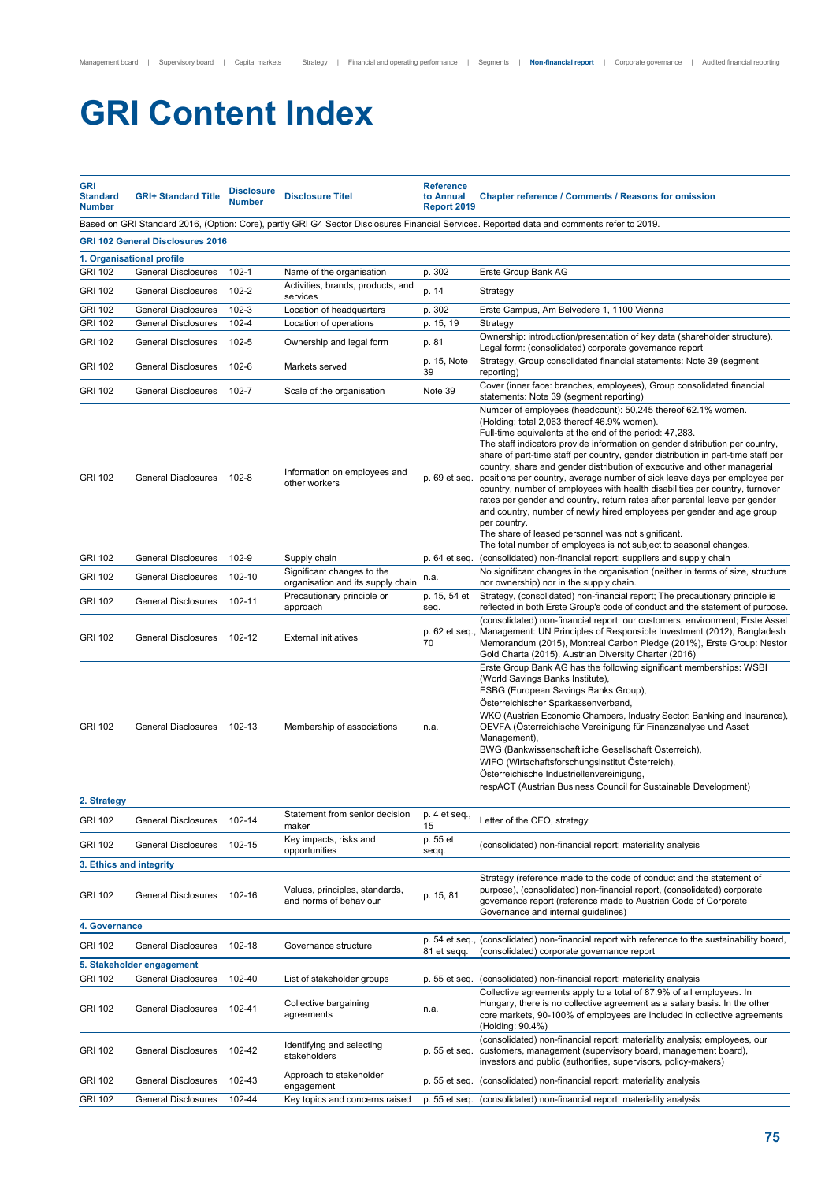# **GRI Content Index**

| <b>GRI</b><br><b>Standard</b><br><b>Number</b> | <b>GRI+ Standard Title</b>                               | <b>Disclosure</b><br><b>Number</b> | <b>Disclosure Titel</b>                                       | <b>Reference</b><br>to Annual<br><b>Report 2019</b> | <b>Chapter reference / Comments / Reasons for omission</b>                                                                                                                                                                                                                                                                                                                                                                                                                                                                                                                                                                                                                                                                                                                                                                                                                              |  |
|------------------------------------------------|----------------------------------------------------------|------------------------------------|---------------------------------------------------------------|-----------------------------------------------------|-----------------------------------------------------------------------------------------------------------------------------------------------------------------------------------------------------------------------------------------------------------------------------------------------------------------------------------------------------------------------------------------------------------------------------------------------------------------------------------------------------------------------------------------------------------------------------------------------------------------------------------------------------------------------------------------------------------------------------------------------------------------------------------------------------------------------------------------------------------------------------------------|--|
|                                                |                                                          |                                    |                                                               |                                                     | Based on GRI Standard 2016, (Option: Core), partly GRI G4 Sector Disclosures Financial Services. Reported data and comments refer to 2019.                                                                                                                                                                                                                                                                                                                                                                                                                                                                                                                                                                                                                                                                                                                                              |  |
|                                                | <b>GRI 102 General Disclosures 2016</b>                  |                                    |                                                               |                                                     |                                                                                                                                                                                                                                                                                                                                                                                                                                                                                                                                                                                                                                                                                                                                                                                                                                                                                         |  |
|                                                | 1. Organisational profile                                |                                    |                                                               |                                                     |                                                                                                                                                                                                                                                                                                                                                                                                                                                                                                                                                                                                                                                                                                                                                                                                                                                                                         |  |
| <b>GRI 102</b>                                 | <b>General Disclosures</b>                               | 102-1                              | Name of the organisation                                      | p. 302                                              | Erste Group Bank AG                                                                                                                                                                                                                                                                                                                                                                                                                                                                                                                                                                                                                                                                                                                                                                                                                                                                     |  |
| <b>GRI 102</b>                                 | <b>General Disclosures</b>                               | 102-2                              | Activities, brands, products, and<br>services                 | p. 14                                               | Strategy                                                                                                                                                                                                                                                                                                                                                                                                                                                                                                                                                                                                                                                                                                                                                                                                                                                                                |  |
| <b>GRI 102</b>                                 | <b>General Disclosures</b>                               | $102 - 3$                          | Location of headquarters                                      | p. 302                                              | Erste Campus, Am Belvedere 1, 1100 Vienna                                                                                                                                                                                                                                                                                                                                                                                                                                                                                                                                                                                                                                                                                                                                                                                                                                               |  |
| <b>GRI 102</b>                                 | <b>General Disclosures</b>                               | $102 - 4$                          | Location of operations                                        | p. 15, 19                                           | Strategy                                                                                                                                                                                                                                                                                                                                                                                                                                                                                                                                                                                                                                                                                                                                                                                                                                                                                |  |
| <b>GRI 102</b>                                 | <b>General Disclosures</b>                               | 102-5                              | Ownership and legal form                                      | p. 81                                               | Ownership: introduction/presentation of key data (shareholder structure).<br>Legal form: (consolidated) corporate governance report                                                                                                                                                                                                                                                                                                                                                                                                                                                                                                                                                                                                                                                                                                                                                     |  |
| <b>GRI 102</b>                                 | <b>General Disclosures</b>                               | 102-6                              | Markets served                                                | p. 15, Note<br>39                                   | Strategy, Group consolidated financial statements: Note 39 (segment<br>reporting)                                                                                                                                                                                                                                                                                                                                                                                                                                                                                                                                                                                                                                                                                                                                                                                                       |  |
| <b>GRI 102</b>                                 | <b>General Disclosures</b>                               | 102-7                              | Scale of the organisation                                     | Note 39                                             | Cover (inner face: branches, employees), Group consolidated financial<br>statements: Note 39 (segment reporting)<br>Number of employees (headcount): 50,245 thereof 62.1% women.                                                                                                                                                                                                                                                                                                                                                                                                                                                                                                                                                                                                                                                                                                        |  |
| <b>GRI 102</b><br><b>GRI 102</b>               | <b>General Disclosures</b><br><b>General Disclosures</b> | 102-8<br>102-9                     | Information on employees and<br>other workers<br>Supply chain | p. 69 et seq.                                       | (Holding: total 2,063 thereof 46.9% women).<br>Full-time equivalents at the end of the period: 47,283.<br>The staff indicators provide information on gender distribution per country,<br>share of part-time staff per country, gender distribution in part-time staff per<br>country, share and gender distribution of executive and other managerial<br>positions per country, average number of sick leave days per employee per<br>country, number of employees with health disabilities per country, turnover<br>rates per gender and country, return rates after parental leave per gender<br>and country, number of newly hired employees per gender and age group<br>per country.<br>The share of leased personnel was not significant.<br>The total number of employees is not subject to seasonal changes.<br>(consolidated) non-financial report: suppliers and supply chain |  |
|                                                |                                                          |                                    | Significant changes to the                                    | p. 64 et seq.                                       | No significant changes in the organisation (neither in terms of size, structure                                                                                                                                                                                                                                                                                                                                                                                                                                                                                                                                                                                                                                                                                                                                                                                                         |  |
| <b>GRI 102</b>                                 | <b>General Disclosures</b>                               | 102-10                             | organisation and its supply chain                             | n.a.                                                | nor ownership) nor in the supply chain.                                                                                                                                                                                                                                                                                                                                                                                                                                                                                                                                                                                                                                                                                                                                                                                                                                                 |  |
| <b>GRI 102</b>                                 | <b>General Disclosures</b>                               | 102-11                             | Precautionary principle or<br>approach                        | p. 15, 54 et<br>seq.                                | Strategy, (consolidated) non-financial report; The precautionary principle is<br>reflected in both Erste Group's code of conduct and the statement of purpose.                                                                                                                                                                                                                                                                                                                                                                                                                                                                                                                                                                                                                                                                                                                          |  |
| <b>GRI 102</b>                                 | <b>General Disclosures</b>                               | 102-12                             | <b>External initiatives</b>                                   | 70                                                  | (consolidated) non-financial report: our customers, environment; Erste Asset<br>p. 62 et seq., Management: UN Principles of Responsible Investment (2012), Bangladesh<br>Memorandum (2015), Montreal Carbon Pledge (201%), Erste Group: Nestor<br>Gold Charta (2015), Austrian Diversity Charter (2016)                                                                                                                                                                                                                                                                                                                                                                                                                                                                                                                                                                                 |  |
| <b>GRI 102</b>                                 | <b>General Disclosures</b>                               | 102-13                             | Membership of associations                                    | n.a.                                                | Erste Group Bank AG has the following significant memberships: WSBI<br>(World Savings Banks Institute),<br>ESBG (European Savings Banks Group),<br>Österreichischer Sparkassenverband,<br>WKO (Austrian Economic Chambers, Industry Sector: Banking and Insurance),<br>OEVFA (Österreichische Vereinigung für Finanzanalyse und Asset<br>Management),<br>BWG (Bankwissenschaftliche Gesellschaft Österreich),<br>WIFO (Wirtschaftsforschungsinstitut Österreich),<br>Österreichische Industriellenvereinigung,<br>respACT (Austrian Business Council for Sustainable Development)                                                                                                                                                                                                                                                                                                       |  |
| 2. Strategy                                    |                                                          |                                    |                                                               |                                                     |                                                                                                                                                                                                                                                                                                                                                                                                                                                                                                                                                                                                                                                                                                                                                                                                                                                                                         |  |
| <b>GRI 102</b>                                 | <b>General Disclosures</b>                               | 102-14                             | Statement from senior decision<br>maker                       | p. 4 et seq.,<br>15                                 | Letter of the CEO, strategy                                                                                                                                                                                                                                                                                                                                                                                                                                                                                                                                                                                                                                                                                                                                                                                                                                                             |  |
| <b>GRI 102</b>                                 | <b>General Disclosures</b>                               | 102-15                             | Key impacts, risks and<br>opportunities                       | p. 55 et<br>seqq.                                   | (consolidated) non-financial report: materiality analysis                                                                                                                                                                                                                                                                                                                                                                                                                                                                                                                                                                                                                                                                                                                                                                                                                               |  |
| 3. Ethics and integrity                        |                                                          |                                    |                                                               |                                                     |                                                                                                                                                                                                                                                                                                                                                                                                                                                                                                                                                                                                                                                                                                                                                                                                                                                                                         |  |
| <b>GRI 102</b>                                 | <b>General Disclosures</b>                               | 102-16                             | Values, principles, standards,<br>and norms of behaviour      | p. 15, 81                                           | Strategy (reference made to the code of conduct and the statement of<br>purpose), (consolidated) non-financial report, (consolidated) corporate<br>governance report (reference made to Austrian Code of Corporate<br>Governance and internal guidelines)                                                                                                                                                                                                                                                                                                                                                                                                                                                                                                                                                                                                                               |  |
| 4. Governance                                  |                                                          |                                    |                                                               |                                                     |                                                                                                                                                                                                                                                                                                                                                                                                                                                                                                                                                                                                                                                                                                                                                                                                                                                                                         |  |
| <b>GRI 102</b>                                 | <b>General Disclosures</b>                               | 102-18                             | Governance structure                                          | p. 54 et seq.,<br>81 et segg.                       | (consolidated) non-financial report with reference to the sustainability board,<br>(consolidated) corporate governance report                                                                                                                                                                                                                                                                                                                                                                                                                                                                                                                                                                                                                                                                                                                                                           |  |
|                                                | 5. Stakeholder engagement                                |                                    |                                                               |                                                     |                                                                                                                                                                                                                                                                                                                                                                                                                                                                                                                                                                                                                                                                                                                                                                                                                                                                                         |  |
| <b>GRI 102</b>                                 | <b>General Disclosures</b>                               | 102-40                             | List of stakeholder groups                                    | p. 55 et seq.                                       | (consolidated) non-financial report: materiality analysis                                                                                                                                                                                                                                                                                                                                                                                                                                                                                                                                                                                                                                                                                                                                                                                                                               |  |
| <b>GRI 102</b>                                 | <b>General Disclosures</b>                               | 102-41                             | Collective bargaining<br>agreements                           | n.a.                                                | Collective agreements apply to a total of 87.9% of all employees. In<br>Hungary, there is no collective agreement as a salary basis. In the other<br>core markets, 90-100% of employees are included in collective agreements<br>(Holding: 90.4%)                                                                                                                                                                                                                                                                                                                                                                                                                                                                                                                                                                                                                                       |  |
| <b>GRI 102</b>                                 | <b>General Disclosures</b>                               | 102-42                             | Identifying and selecting<br>stakeholders                     | p. 55 et seq.                                       | (consolidated) non-financial report: materiality analysis; employees, our<br>customers, management (supervisory board, management board),<br>investors and public (authorities, supervisors, policy-makers)                                                                                                                                                                                                                                                                                                                                                                                                                                                                                                                                                                                                                                                                             |  |
| <b>GRI 102</b>                                 | <b>General Disclosures</b>                               | 102-43                             | Approach to stakeholder<br>engagement                         |                                                     | p. 55 et seq. (consolidated) non-financial report: materiality analysis                                                                                                                                                                                                                                                                                                                                                                                                                                                                                                                                                                                                                                                                                                                                                                                                                 |  |
| <b>GRI 102</b>                                 | <b>General Disclosures</b>                               | 102-44                             | Key topics and concerns raised                                |                                                     | p. 55 et seq. (consolidated) non-financial report: materiality analysis                                                                                                                                                                                                                                                                                                                                                                                                                                                                                                                                                                                                                                                                                                                                                                                                                 |  |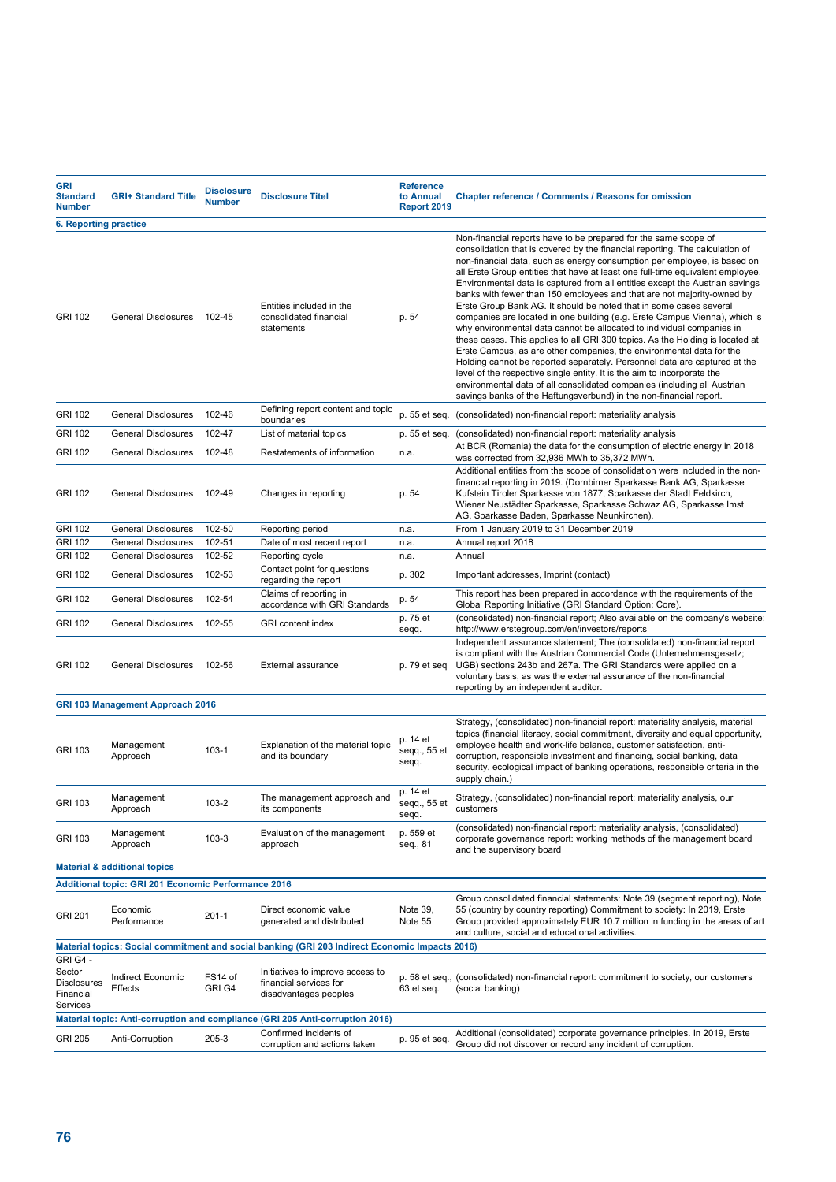| <b>GRI</b><br><b>Standard</b><br><b>Number</b>                                                 | <b>GRI+ Standard Title</b>              | <b>Disclosure</b><br><b>Number</b> | <b>Disclosure Titel</b>                                                             | <b>Reference</b><br>to Annual<br><b>Report 2019</b> | <b>Chapter reference / Comments / Reasons for omission</b>                                                                                                                                                                                                                                                                                                                                                                                                                                                                                                                                                                                                                                                                                                                                                                                                                                                                                                                                                                                                                                                                                                              |  |
|------------------------------------------------------------------------------------------------|-----------------------------------------|------------------------------------|-------------------------------------------------------------------------------------|-----------------------------------------------------|-------------------------------------------------------------------------------------------------------------------------------------------------------------------------------------------------------------------------------------------------------------------------------------------------------------------------------------------------------------------------------------------------------------------------------------------------------------------------------------------------------------------------------------------------------------------------------------------------------------------------------------------------------------------------------------------------------------------------------------------------------------------------------------------------------------------------------------------------------------------------------------------------------------------------------------------------------------------------------------------------------------------------------------------------------------------------------------------------------------------------------------------------------------------------|--|
| <b>6. Reporting practice</b>                                                                   |                                         |                                    |                                                                                     |                                                     |                                                                                                                                                                                                                                                                                                                                                                                                                                                                                                                                                                                                                                                                                                                                                                                                                                                                                                                                                                                                                                                                                                                                                                         |  |
| <b>GRI 102</b>                                                                                 | <b>General Disclosures</b>              | 102-45                             | Entities included in the<br>consolidated financial<br>statements                    | p. 54                                               | Non-financial reports have to be prepared for the same scope of<br>consolidation that is covered by the financial reporting. The calculation of<br>non-financial data, such as energy consumption per employee, is based on<br>all Erste Group entities that have at least one full-time equivalent employee.<br>Environmental data is captured from all entities except the Austrian savings<br>banks with fewer than 150 employees and that are not majority-owned by<br>Erste Group Bank AG. It should be noted that in some cases several<br>companies are located in one building (e.g. Erste Campus Vienna), which is<br>why environmental data cannot be allocated to individual companies in<br>these cases. This applies to all GRI 300 topics. As the Holding is located at<br>Erste Campus, as are other companies, the environmental data for the<br>Holding cannot be reported separately. Personnel data are captured at the<br>level of the respective single entity. It is the aim to incorporate the<br>environmental data of all consolidated companies (including all Austrian<br>savings banks of the Haftungsverbund) in the non-financial report. |  |
| <b>GRI 102</b>                                                                                 | <b>General Disclosures</b>              | 102-46                             | Defining report content and topic<br>boundaries                                     |                                                     | p. 55 et seq. (consolidated) non-financial report: materiality analysis                                                                                                                                                                                                                                                                                                                                                                                                                                                                                                                                                                                                                                                                                                                                                                                                                                                                                                                                                                                                                                                                                                 |  |
| <b>GRI 102</b>                                                                                 | <b>General Disclosures</b>              | 102-47                             | List of material topics                                                             |                                                     | p. 55 et seq. (consolidated) non-financial report: materiality analysis                                                                                                                                                                                                                                                                                                                                                                                                                                                                                                                                                                                                                                                                                                                                                                                                                                                                                                                                                                                                                                                                                                 |  |
| <b>GRI 102</b>                                                                                 | <b>General Disclosures</b>              | 102-48                             | Restatements of information                                                         | n.a.                                                | At BCR (Romania) the data for the consumption of electric energy in 2018<br>was corrected from 32,936 MWh to 35,372 MWh.<br>Additional entities from the scope of consolidation were included in the non-                                                                                                                                                                                                                                                                                                                                                                                                                                                                                                                                                                                                                                                                                                                                                                                                                                                                                                                                                               |  |
| <b>GRI 102</b>                                                                                 | <b>General Disclosures</b>              | 102-49                             | Changes in reporting                                                                | p. 54                                               | financial reporting in 2019. (Dornbirner Sparkasse Bank AG, Sparkasse<br>Kufstein Tiroler Sparkasse von 1877, Sparkasse der Stadt Feldkirch,<br>Wiener Neustädter Sparkasse, Sparkasse Schwaz AG, Sparkasse Imst<br>AG, Sparkasse Baden, Sparkasse Neunkirchen).                                                                                                                                                                                                                                                                                                                                                                                                                                                                                                                                                                                                                                                                                                                                                                                                                                                                                                        |  |
| <b>GRI 102</b>                                                                                 | <b>General Disclosures</b>              | 102-50                             | Reporting period                                                                    | n.a.                                                | From 1 January 2019 to 31 December 2019                                                                                                                                                                                                                                                                                                                                                                                                                                                                                                                                                                                                                                                                                                                                                                                                                                                                                                                                                                                                                                                                                                                                 |  |
| <b>GRI 102</b>                                                                                 | <b>General Disclosures</b>              | 102-51                             | Date of most recent report                                                          | n.a.                                                | Annual report 2018                                                                                                                                                                                                                                                                                                                                                                                                                                                                                                                                                                                                                                                                                                                                                                                                                                                                                                                                                                                                                                                                                                                                                      |  |
| <b>GRI 102</b>                                                                                 | <b>General Disclosures</b>              | 102-52                             | Reporting cycle<br>Contact point for questions                                      | n.a.                                                | Annual                                                                                                                                                                                                                                                                                                                                                                                                                                                                                                                                                                                                                                                                                                                                                                                                                                                                                                                                                                                                                                                                                                                                                                  |  |
| <b>GRI 102</b>                                                                                 | <b>General Disclosures</b>              | 102-53                             | regarding the report<br>Claims of reporting in                                      | p. 302                                              | Important addresses, Imprint (contact)<br>This report has been prepared in accordance with the requirements of the                                                                                                                                                                                                                                                                                                                                                                                                                                                                                                                                                                                                                                                                                                                                                                                                                                                                                                                                                                                                                                                      |  |
| <b>GRI 102</b>                                                                                 | <b>General Disclosures</b>              | 102-54                             | accordance with GRI Standards                                                       | p. 54                                               | Global Reporting Initiative (GRI Standard Option: Core).                                                                                                                                                                                                                                                                                                                                                                                                                                                                                                                                                                                                                                                                                                                                                                                                                                                                                                                                                                                                                                                                                                                |  |
| <b>GRI 102</b>                                                                                 | General Disclosures                     | 102-55                             | <b>GRI</b> content index                                                            | p. 75 et<br>seqq.                                   | (consolidated) non-financial report; Also available on the company's website:<br>http://www.erstegroup.com/en/investors/reports                                                                                                                                                                                                                                                                                                                                                                                                                                                                                                                                                                                                                                                                                                                                                                                                                                                                                                                                                                                                                                         |  |
| <b>GRI 102</b>                                                                                 | <b>General Disclosures</b>              | 102-56                             | External assurance                                                                  | p. 79 et seq                                        | Independent assurance statement; The (consolidated) non-financial report<br>is compliant with the Austrian Commercial Code (Unternehmensgesetz;<br>UGB) sections 243b and 267a. The GRI Standards were applied on a<br>voluntary basis, as was the external assurance of the non-financial<br>reporting by an independent auditor.                                                                                                                                                                                                                                                                                                                                                                                                                                                                                                                                                                                                                                                                                                                                                                                                                                      |  |
|                                                                                                | <b>GRI 103 Management Approach 2016</b> |                                    |                                                                                     |                                                     |                                                                                                                                                                                                                                                                                                                                                                                                                                                                                                                                                                                                                                                                                                                                                                                                                                                                                                                                                                                                                                                                                                                                                                         |  |
| <b>GRI 103</b>                                                                                 | Management<br>Approach                  | $103-1$                            | Explanation of the material topic<br>and its boundary                               | p. 14 et<br>seqq., 55 et<br>seqq.                   | Strategy, (consolidated) non-financial report: materiality analysis, material<br>topics (financial literacy, social commitment, diversity and equal opportunity,<br>employee health and work-life balance, customer satisfaction, anti-<br>corruption, responsible investment and financing, social banking, data<br>security, ecological impact of banking operations, responsible criteria in the<br>supply chain.)                                                                                                                                                                                                                                                                                                                                                                                                                                                                                                                                                                                                                                                                                                                                                   |  |
| <b>GRI 103</b>                                                                                 | Management<br>Approach                  | 103-2                              | The management approach and<br>its components                                       | p. 14 et<br>seqq., 55 et<br>seqq.                   | Strategy, (consolidated) non-financial report: materiality analysis, our<br>customers                                                                                                                                                                                                                                                                                                                                                                                                                                                                                                                                                                                                                                                                                                                                                                                                                                                                                                                                                                                                                                                                                   |  |
| <b>GRI 103</b>                                                                                 | Management<br>Approach                  | $103-3$                            | Evaluation of the management<br>approach                                            | p. 559 et<br>seq., 81                               | (consolidated) non-financial report: materiality analysis, (consolidated)<br>corporate governance report: working methods of the management board<br>and the supervisory board                                                                                                                                                                                                                                                                                                                                                                                                                                                                                                                                                                                                                                                                                                                                                                                                                                                                                                                                                                                          |  |
|                                                                                                | <b>Material &amp; additional topics</b> |                                    |                                                                                     |                                                     |                                                                                                                                                                                                                                                                                                                                                                                                                                                                                                                                                                                                                                                                                                                                                                                                                                                                                                                                                                                                                                                                                                                                                                         |  |
| <b>Additional topic: GRI 201 Economic Performance 2016</b>                                     |                                         |                                    |                                                                                     |                                                     |                                                                                                                                                                                                                                                                                                                                                                                                                                                                                                                                                                                                                                                                                                                                                                                                                                                                                                                                                                                                                                                                                                                                                                         |  |
| <b>GRI 201</b>                                                                                 | Economic<br>Performance                 | $201 - 1$                          | Direct economic value<br>generated and distributed                                  | Note 39,<br>Note 55                                 | Group consolidated financial statements: Note 39 (segment reporting), Note<br>55 (country by country reporting) Commitment to society: In 2019, Erste<br>Group provided approximately EUR 10.7 million in funding in the areas of art<br>and culture, social and educational activities.                                                                                                                                                                                                                                                                                                                                                                                                                                                                                                                                                                                                                                                                                                                                                                                                                                                                                |  |
| Material topics: Social commitment and social banking (GRI 203 Indirect Economic Impacts 2016) |                                         |                                    |                                                                                     |                                                     |                                                                                                                                                                                                                                                                                                                                                                                                                                                                                                                                                                                                                                                                                                                                                                                                                                                                                                                                                                                                                                                                                                                                                                         |  |
| GRI G4 -<br>Sector<br><b>Disclosures</b><br>Financial<br>Services                              | Indirect Economic<br>Effects            | FS14 of<br>GRI G4                  | Initiatives to improve access to<br>financial services for<br>disadvantages peoples | 63 et seq.                                          | p. 58 et seq., (consolidated) non-financial report: commitment to society, our customers<br>(social banking)                                                                                                                                                                                                                                                                                                                                                                                                                                                                                                                                                                                                                                                                                                                                                                                                                                                                                                                                                                                                                                                            |  |
| Material topic: Anti-corruption and compliance (GRI 205 Anti-corruption 2016)                  |                                         |                                    |                                                                                     |                                                     |                                                                                                                                                                                                                                                                                                                                                                                                                                                                                                                                                                                                                                                                                                                                                                                                                                                                                                                                                                                                                                                                                                                                                                         |  |
| <b>GRI 205</b>                                                                                 | Anti-Corruption                         | 205-3                              | Confirmed incidents of<br>corruption and actions taken                              | p. 95 et seq.                                       | Additional (consolidated) corporate governance principles. In 2019, Erste<br>Group did not discover or record any incident of corruption.                                                                                                                                                                                                                                                                                                                                                                                                                                                                                                                                                                                                                                                                                                                                                                                                                                                                                                                                                                                                                               |  |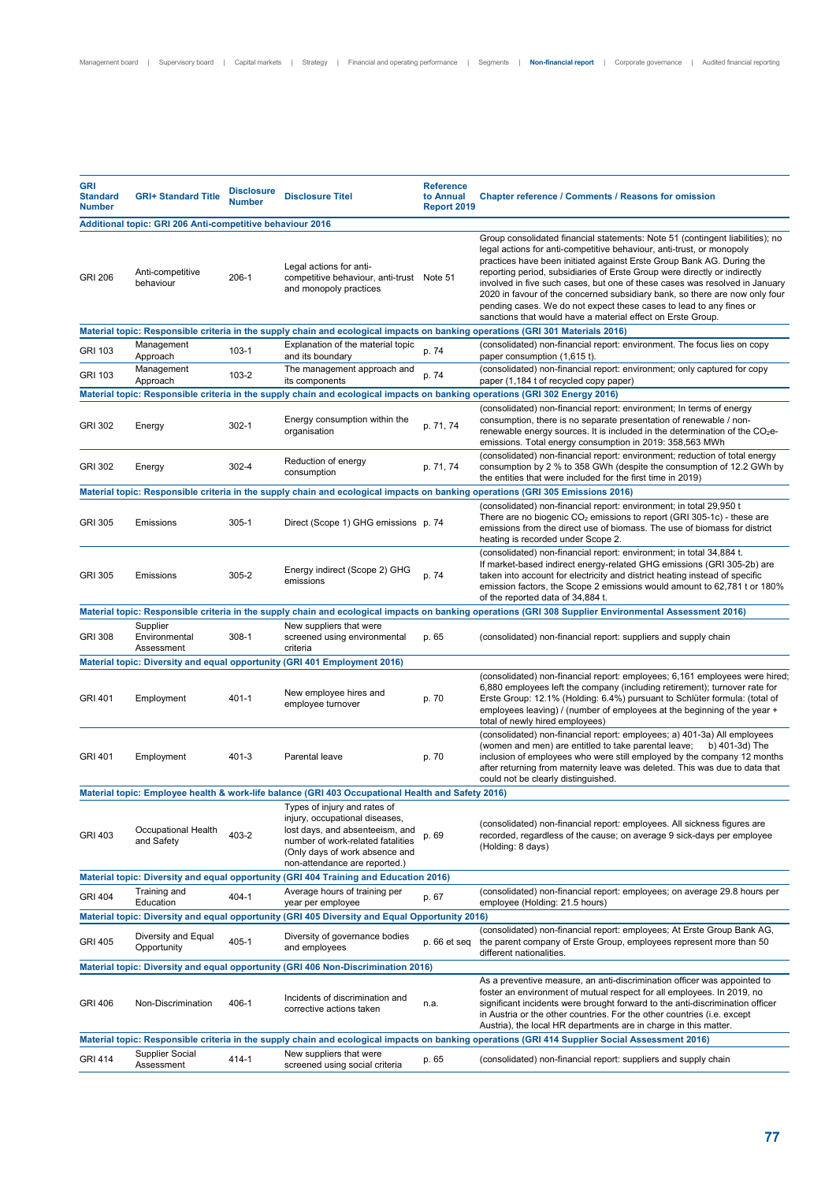| <b>GRI</b><br><b>Standard</b><br><b>Number</b>                                                                                                  | <b>GRI+ Standard Title</b>                                | <b>Disclosure</b><br><b>Number</b> | <b>Disclosure Titel</b>                                                                                                                                                                                   | <b>Reference</b><br>to Annual<br><b>Report 2019</b> | <b>Chapter reference / Comments / Reasons for omission</b>                                                                                                                                                                                                                                                                                                                                                                                                                                                                                                                                                       |  |
|-------------------------------------------------------------------------------------------------------------------------------------------------|-----------------------------------------------------------|------------------------------------|-----------------------------------------------------------------------------------------------------------------------------------------------------------------------------------------------------------|-----------------------------------------------------|------------------------------------------------------------------------------------------------------------------------------------------------------------------------------------------------------------------------------------------------------------------------------------------------------------------------------------------------------------------------------------------------------------------------------------------------------------------------------------------------------------------------------------------------------------------------------------------------------------------|--|
|                                                                                                                                                 | Additional topic: GRI 206 Anti-competitive behaviour 2016 |                                    |                                                                                                                                                                                                           |                                                     |                                                                                                                                                                                                                                                                                                                                                                                                                                                                                                                                                                                                                  |  |
| <b>GRI 206</b>                                                                                                                                  | Anti-competitive<br>behaviour                             | 206-1                              | Legal actions for anti-<br>competitive behaviour, anti-trust Note 51<br>and monopoly practices                                                                                                            |                                                     | Group consolidated financial statements: Note 51 (contingent liabilities); no<br>legal actions for anti-competitive behaviour, anti-trust, or monopoly<br>practices have been initiated against Erste Group Bank AG. During the<br>reporting period, subsidiaries of Erste Group were directly or indirectly<br>involved in five such cases, but one of these cases was resolved in January<br>2020 in favour of the concerned subsidiary bank, so there are now only four<br>pending cases. We do not expect these cases to lead to any fines or<br>sanctions that would have a material effect on Erste Group. |  |
|                                                                                                                                                 |                                                           |                                    |                                                                                                                                                                                                           |                                                     | Material topic: Responsible criteria in the supply chain and ecological impacts on banking operations (GRI 301 Materials 2016)                                                                                                                                                                                                                                                                                                                                                                                                                                                                                   |  |
| GRI 103                                                                                                                                         | Management<br>Approach                                    | $103-1$                            | Explanation of the material topic<br>and its boundary                                                                                                                                                     | p. 74                                               | (consolidated) non-financial report: environment. The focus lies on copy<br>paper consumption (1,615 t).                                                                                                                                                                                                                                                                                                                                                                                                                                                                                                         |  |
| GRI 103                                                                                                                                         | Management<br>Approach                                    | 103-2                              | The management approach and<br>its components                                                                                                                                                             | p. 74                                               | (consolidated) non-financial report: environment; only captured for copy<br>paper (1,184 t of recycled copy paper)                                                                                                                                                                                                                                                                                                                                                                                                                                                                                               |  |
|                                                                                                                                                 |                                                           |                                    |                                                                                                                                                                                                           |                                                     | Material topic: Responsible criteria in the supply chain and ecological impacts on banking operations (GRI 302 Energy 2016)                                                                                                                                                                                                                                                                                                                                                                                                                                                                                      |  |
| <b>GRI 302</b>                                                                                                                                  | Energy                                                    | $302 - 1$                          | Energy consumption within the<br>organisation                                                                                                                                                             | p. 71, 74                                           | (consolidated) non-financial report: environment; In terms of energy<br>consumption, there is no separate presentation of renewable / non-<br>renewable energy sources. It is included in the determination of the $CO2e-$<br>emissions. Total energy consumption in 2019: 358,563 MWh                                                                                                                                                                                                                                                                                                                           |  |
| <b>GRI 302</b>                                                                                                                                  | Energy                                                    | 302-4                              | Reduction of energy<br>consumption                                                                                                                                                                        | p. 71.74                                            | (consolidated) non-financial report: environment; reduction of total energy<br>consumption by 2 % to 358 GWh (despite the consumption of 12.2 GWh by<br>the entities that were included for the first time in 2019)                                                                                                                                                                                                                                                                                                                                                                                              |  |
|                                                                                                                                                 |                                                           |                                    |                                                                                                                                                                                                           |                                                     | Material topic: Responsible criteria in the supply chain and ecological impacts on banking operations (GRI 305 Emissions 2016)                                                                                                                                                                                                                                                                                                                                                                                                                                                                                   |  |
| <b>GRI 305</b>                                                                                                                                  | Emissions                                                 | $305 - 1$                          | Direct (Scope 1) GHG emissions p. 74                                                                                                                                                                      |                                                     | (consolidated) non-financial report: environment; in total 29,950 t<br>There are no biogenic $CO2$ emissions to report (GRI 305-1c) - these are<br>emissions from the direct use of biomass. The use of biomass for district<br>heating is recorded under Scope 2.                                                                                                                                                                                                                                                                                                                                               |  |
| <b>GRI 305</b>                                                                                                                                  | Emissions                                                 | $305 - 2$                          | Energy indirect (Scope 2) GHG<br>emissions                                                                                                                                                                | p. 74                                               | (consolidated) non-financial report: environment; in total 34,884 t.<br>If market-based indirect energy-related GHG emissions (GRI 305-2b) are<br>taken into account for electricity and district heating instead of specific<br>emission factors, the Scope 2 emissions would amount to 62,781 t or 180%<br>of the reported data of 34,884 t.                                                                                                                                                                                                                                                                   |  |
|                                                                                                                                                 |                                                           |                                    |                                                                                                                                                                                                           |                                                     | Material topic: Responsible criteria in the supply chain and ecological impacts on banking operations (GRI 308 Supplier Environmental Assessment 2016)                                                                                                                                                                                                                                                                                                                                                                                                                                                           |  |
| <b>GRI 308</b>                                                                                                                                  | Supplier<br>Environmental<br>Assessment                   | $308-1$                            | New suppliers that were<br>screened using environmental<br>criteria                                                                                                                                       | p. 65                                               | (consolidated) non-financial report: suppliers and supply chain                                                                                                                                                                                                                                                                                                                                                                                                                                                                                                                                                  |  |
|                                                                                                                                                 |                                                           |                                    | Material topic: Diversity and equal opportunity (GRI 401 Employment 2016)                                                                                                                                 |                                                     |                                                                                                                                                                                                                                                                                                                                                                                                                                                                                                                                                                                                                  |  |
| <b>GRI 401</b>                                                                                                                                  | Employment                                                | $401 - 1$                          | New employee hires and<br>employee turnover                                                                                                                                                               | p. 70                                               | (consolidated) non-financial report: employees; 6,161 employees were hired;<br>6,880 employees left the company (including retirement); turnover rate for<br>Erste Group: 12.1% (Holding: 6.4%) pursuant to Schlüter formula: (total of<br>employees leaving) / (number of employees at the beginning of the year +<br>total of newly hired employees)                                                                                                                                                                                                                                                           |  |
| <b>GRI 401</b>                                                                                                                                  | Employment                                                | 401-3                              | Parental leave                                                                                                                                                                                            | p. 70                                               | (consolidated) non-financial report: employees; a) 401-3a) All employees<br>(women and men) are entitled to take parental leave;<br>b) 401-3d) The<br>inclusion of employees who were still employed by the company 12 months<br>after returning from maternity leave was deleted. This was due to data that<br>could not be clearly distinguished.                                                                                                                                                                                                                                                              |  |
|                                                                                                                                                 |                                                           |                                    | Material topic: Employee health & work-life balance (GRI 403 Occupational Health and Safety 2016)                                                                                                         |                                                     |                                                                                                                                                                                                                                                                                                                                                                                                                                                                                                                                                                                                                  |  |
| <b>GRI 403</b>                                                                                                                                  | Occupational Health<br>and Safety                         | 403-2                              | Types of injury and rates of<br>injury, occupational diseases,<br>lost days, and absenteeism, and<br>number of work-related fatalities<br>(Only days of work absence and<br>non-attendance are reported.) | p. 69                                               | (consolidated) non-financial report: employees. All sickness figures are<br>recorded, regardless of the cause; on average 9 sick-days per employee<br>(Holding: 8 days)                                                                                                                                                                                                                                                                                                                                                                                                                                          |  |
|                                                                                                                                                 |                                                           |                                    | Material topic: Diversity and equal opportunity (GRI 404 Training and Education 2016)                                                                                                                     |                                                     |                                                                                                                                                                                                                                                                                                                                                                                                                                                                                                                                                                                                                  |  |
| <b>GRI 404</b>                                                                                                                                  | Training and<br>Education                                 | 404-1                              | Average hours of training per<br>year per employee                                                                                                                                                        | p. 67                                               | (consolidated) non-financial report: employees; on average 29.8 hours per<br>employee (Holding: 21.5 hours)                                                                                                                                                                                                                                                                                                                                                                                                                                                                                                      |  |
|                                                                                                                                                 |                                                           |                                    | Material topic: Diversity and equal opportunity (GRI 405 Diversity and Equal Opportunity 2016)                                                                                                            |                                                     |                                                                                                                                                                                                                                                                                                                                                                                                                                                                                                                                                                                                                  |  |
| <b>GRI 405</b>                                                                                                                                  | Diversity and Equal<br>Opportunity                        | 405-1                              | Diversity of governance bodies<br>and employees                                                                                                                                                           | p. 66 et seq                                        | (consolidated) non-financial report: employees; At Erste Group Bank AG,<br>the parent company of Erste Group, employees represent more than 50<br>different nationalities.                                                                                                                                                                                                                                                                                                                                                                                                                                       |  |
| Material topic: Diversity and equal opportunity (GRI 406 Non-Discrimination 2016)                                                               |                                                           |                                    |                                                                                                                                                                                                           |                                                     |                                                                                                                                                                                                                                                                                                                                                                                                                                                                                                                                                                                                                  |  |
| <b>GRI 406</b>                                                                                                                                  | Non-Discrimination                                        | 406-1                              | Incidents of discrimination and<br>corrective actions taken                                                                                                                                               | n.a.                                                | As a preventive measure, an anti-discrimination officer was appointed to<br>foster an environment of mutual respect for all employees. In 2019, no<br>significant incidents were brought forward to the anti-discrimination officer<br>in Austria or the other countries. For the other countries (i.e. except<br>Austria), the local HR departments are in charge in this matter.                                                                                                                                                                                                                               |  |
| Material topic: Responsible criteria in the supply chain and ecological impacts on banking operations (GRI 414 Supplier Social Assessment 2016) |                                                           |                                    |                                                                                                                                                                                                           |                                                     |                                                                                                                                                                                                                                                                                                                                                                                                                                                                                                                                                                                                                  |  |
| <b>GRI 414</b>                                                                                                                                  | Supplier Social<br>Assessment                             | 414-1                              | New suppliers that were<br>screened using social criteria                                                                                                                                                 | p. 65                                               | (consolidated) non-financial report: suppliers and supply chain                                                                                                                                                                                                                                                                                                                                                                                                                                                                                                                                                  |  |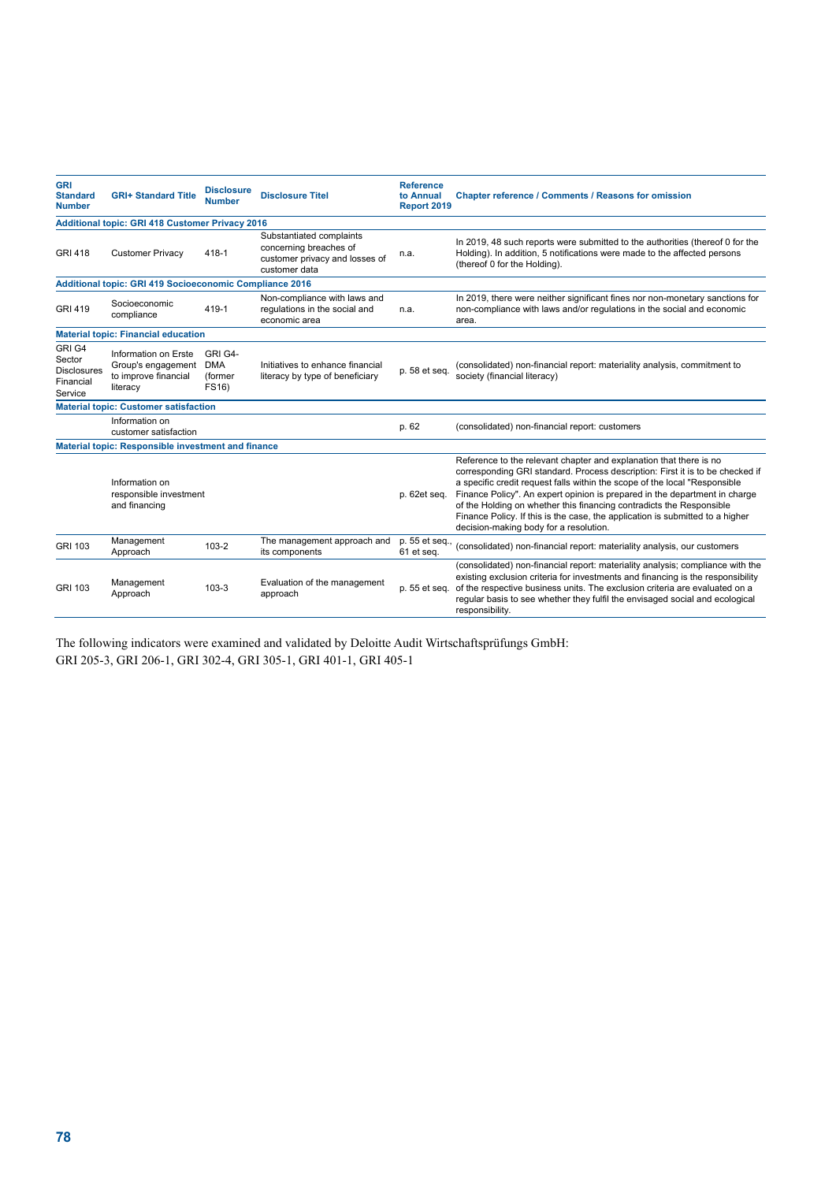| <b>GRI</b><br><b>Standard</b><br><b>Number</b>                 | <b>GRI+ Standard Title</b>                                                     | <b>Disclosure</b><br><b>Number</b>        | <b>Disclosure Titel</b>                                                                               | <b>Reference</b><br>to Annual<br>Report 2019 | <b>Chapter reference / Comments / Reasons for omission</b>                                                                                                                                                                                                                                                                                                                                                                                                                                                         |
|----------------------------------------------------------------|--------------------------------------------------------------------------------|-------------------------------------------|-------------------------------------------------------------------------------------------------------|----------------------------------------------|--------------------------------------------------------------------------------------------------------------------------------------------------------------------------------------------------------------------------------------------------------------------------------------------------------------------------------------------------------------------------------------------------------------------------------------------------------------------------------------------------------------------|
|                                                                | <b>Additional topic: GRI 418 Customer Privacy 2016</b>                         |                                           |                                                                                                       |                                              |                                                                                                                                                                                                                                                                                                                                                                                                                                                                                                                    |
| <b>GRI 418</b>                                                 | <b>Customer Privacy</b>                                                        | 418-1                                     | Substantiated complaints<br>concerning breaches of<br>customer privacy and losses of<br>customer data | n.a.                                         | In 2019, 48 such reports were submitted to the authorities (thereof 0 for the<br>Holding). In addition, 5 notifications were made to the affected persons<br>(thereof 0 for the Holding).                                                                                                                                                                                                                                                                                                                          |
|                                                                | <b>Additional topic: GRI 419 Socioeconomic Compliance 2016</b>                 |                                           |                                                                                                       |                                              |                                                                                                                                                                                                                                                                                                                                                                                                                                                                                                                    |
| <b>GRI 419</b>                                                 | Socioeconomic<br>compliance                                                    | 419-1                                     | Non-compliance with laws and<br>regulations in the social and<br>economic area                        | n.a.                                         | In 2019, there were neither significant fines nor non-monetary sanctions for<br>non-compliance with laws and/or regulations in the social and economic<br>area.                                                                                                                                                                                                                                                                                                                                                    |
|                                                                | <b>Material topic: Financial education</b>                                     |                                           |                                                                                                       |                                              |                                                                                                                                                                                                                                                                                                                                                                                                                                                                                                                    |
| GRI G4<br>Sector<br><b>Disclosures</b><br>Financial<br>Service | Information on Erste<br>Group's engagement<br>to improve financial<br>literacy | GRI G4-<br><b>DMA</b><br>(former<br>FS16) | Initiatives to enhance financial<br>literacy by type of beneficiary                                   | p. 58 et seq.                                | (consolidated) non-financial report: materiality analysis, commitment to<br>society (financial literacy)                                                                                                                                                                                                                                                                                                                                                                                                           |
|                                                                | <b>Material topic: Customer satisfaction</b>                                   |                                           |                                                                                                       |                                              |                                                                                                                                                                                                                                                                                                                                                                                                                                                                                                                    |
|                                                                | Information on<br>customer satisfaction                                        |                                           |                                                                                                       | p. 62                                        | (consolidated) non-financial report: customers                                                                                                                                                                                                                                                                                                                                                                                                                                                                     |
| <b>Material topic: Responsible investment and finance</b>      |                                                                                |                                           |                                                                                                       |                                              |                                                                                                                                                                                                                                                                                                                                                                                                                                                                                                                    |
|                                                                | Information on<br>responsible investment<br>and financing                      |                                           |                                                                                                       | p. 62et seq.                                 | Reference to the relevant chapter and explanation that there is no<br>corresponding GRI standard. Process description: First it is to be checked if<br>a specific credit request falls within the scope of the local "Responsible<br>Finance Policy". An expert opinion is prepared in the department in charge<br>of the Holding on whether this financing contradicts the Responsible<br>Finance Policy. If this is the case, the application is submitted to a higher<br>decision-making body for a resolution. |
| GRI 103                                                        | Management<br>Approach                                                         | 103-2                                     | The management approach and<br>its components                                                         | p. 55 et seq.,<br>61 et seq.                 | (consolidated) non-financial report: materiality analysis, our customers                                                                                                                                                                                                                                                                                                                                                                                                                                           |
| GRI 103                                                        | Management<br>Approach                                                         | $103 - 3$                                 | Evaluation of the management<br>approach                                                              | p. 55 et seq.                                | (consolidated) non-financial report: materiality analysis; compliance with the<br>existing exclusion criteria for investments and financing is the responsibility<br>of the respective business units. The exclusion criteria are evaluated on a<br>regular basis to see whether they fulfil the envisaged social and ecological<br>responsibility.                                                                                                                                                                |

The following indicators were examined and validated by Deloitte Audit Wirtschaftsprüfungs GmbH: GRI 205-3, GRI 206-1, GRI 302-4, GRI 305-1, GRI 401-1, GRI 405-1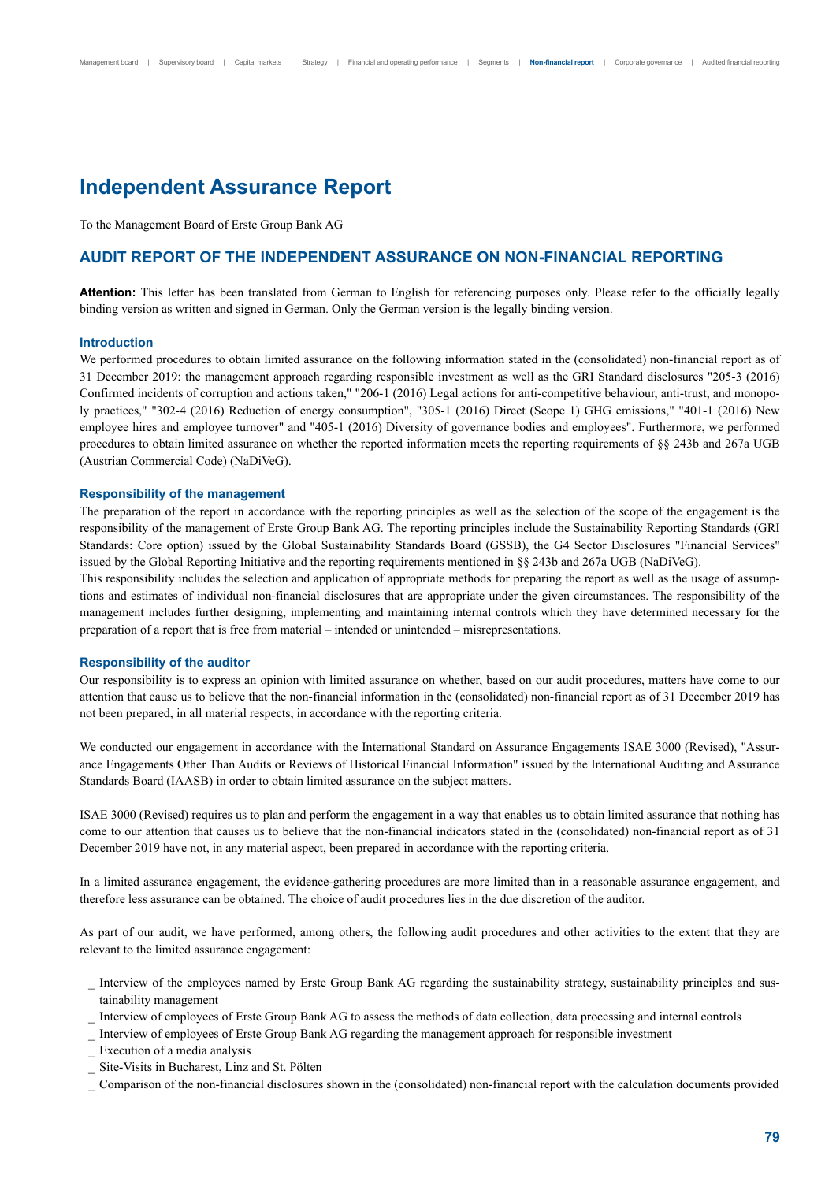# **Independent Assurance Report**

To the Management Board of Erste Group Bank AG

## **AUDIT REPORT OF THE INDEPENDENT ASSURANCE ON NON-FINANCIAL REPORTING**

**Attention:** This letter has been translated from German to English for referencing purposes only. Please refer to the officially legally binding version as written and signed in German. Only the German version is the legally binding version.

## **Introduction**

We performed procedures to obtain limited assurance on the following information stated in the (consolidated) non-financial report as of 31 December 2019: the management approach regarding responsible investment as well as the GRI Standard disclosures "205-3 (2016) Confirmed incidents of corruption and actions taken," "206-1 (2016) Legal actions for anti-competitive behaviour, anti-trust, and monopoly practices," "302-4 (2016) Reduction of energy consumption", "305-1 (2016) Direct (Scope 1) GHG emissions," "401-1 (2016) New employee hires and employee turnover" and "405-1 (2016) Diversity of governance bodies and employees". Furthermore, we performed procedures to obtain limited assurance on whether the reported information meets the reporting requirements of §§ 243b and 267a UGB (Austrian Commercial Code) (NaDiVeG).

#### **Responsibility of the management**

The preparation of the report in accordance with the reporting principles as well as the selection of the scope of the engagement is the responsibility of the management of Erste Group Bank AG. The reporting principles include the Sustainability Reporting Standards (GRI Standards: Core option) issued by the Global Sustainability Standards Board (GSSB), the G4 Sector Disclosures "Financial Services" issued by the Global Reporting Initiative and the reporting requirements mentioned in §§ 243b and 267a UGB (NaDiVeG).

This responsibility includes the selection and application of appropriate methods for preparing the report as well as the usage of assumptions and estimates of individual non-financial disclosures that are appropriate under the given circumstances. The responsibility of the management includes further designing, implementing and maintaining internal controls which they have determined necessary for the preparation of a report that is free from material – intended or unintended – misrepresentations.

## **Responsibility of the auditor**

Our responsibility is to express an opinion with limited assurance on whether, based on our audit procedures, matters have come to our attention that cause us to believe that the non-financial information in the (consolidated) non-financial report as of 31 December 2019 has not been prepared, in all material respects, in accordance with the reporting criteria.

We conducted our engagement in accordance with the International Standard on Assurance Engagements ISAE 3000 (Revised), "Assurance Engagements Other Than Audits or Reviews of Historical Financial Information" issued by the International Auditing and Assurance Standards Board (IAASB) in order to obtain limited assurance on the subject matters.

ISAE 3000 (Revised) requires us to plan and perform the engagement in a way that enables us to obtain limited assurance that nothing has come to our attention that causes us to believe that the non-financial indicators stated in the (consolidated) non-financial report as of 31 December 2019 have not, in any material aspect, been prepared in accordance with the reporting criteria.

In a limited assurance engagement, the evidence-gathering procedures are more limited than in a reasonable assurance engagement, and therefore less assurance can be obtained. The choice of audit procedures lies in the due discretion of the auditor.

As part of our audit, we have performed, among others, the following audit procedures and other activities to the extent that they are relevant to the limited assurance engagement:

- Interview of the employees named by Erste Group Bank AG regarding the sustainability strategy, sustainability principles and sustainability management
- \_ Interview of employees of Erste Group Bank AG to assess the methods of data collection, data processing and internal controls
- \_ Interview of employees of Erste Group Bank AG regarding the management approach for responsible investment
- \_ Execution of a media analysis
- \_ Site-Visits in Bucharest, Linz and St. Pölten
- \_ Comparison of the non-financial disclosures shown in the (consolidated) non-financial report with the calculation documents provided